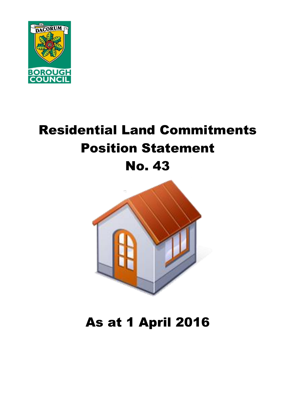

# Residential Land Commitments Position Statement No. 43



# As at 1 April 2016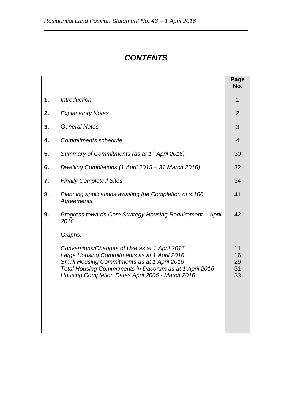# *CONTENTS*

|    |                                                                                                                                                                                                                                                                         | Page<br>No.                |
|----|-------------------------------------------------------------------------------------------------------------------------------------------------------------------------------------------------------------------------------------------------------------------------|----------------------------|
| 1. | <b>Introduction</b>                                                                                                                                                                                                                                                     | 1                          |
| 2. | <b>Explanatory Notes</b>                                                                                                                                                                                                                                                | $\overline{2}$             |
| 3. | <b>General Notes</b>                                                                                                                                                                                                                                                    | 3                          |
| 4. | <b>Commitments schedule</b>                                                                                                                                                                                                                                             | $\overline{4}$             |
| 5. | Summary of Commitments (as at 1 <sup>st</sup> April 2016)                                                                                                                                                                                                               | 30                         |
| 6. | Dwelling Completions (1 April 2015 - 31 March 2016)                                                                                                                                                                                                                     | 32                         |
| 7. | <b>Finally Completed Sites</b>                                                                                                                                                                                                                                          | 34                         |
| 8. | Planning applications awaiting the Completion of s.106<br>Agreements                                                                                                                                                                                                    | 41                         |
| 9. | Progress towards Core Strategy Housing Requirement - April<br>2016                                                                                                                                                                                                      | 42                         |
|    | Graphs:<br>Conversions/Changes of Use as at 1 April 2016<br>Large Housing Commitments as at 1 April 2016<br>Small Housing Commitments as at 1 April 2016<br>Total Housing Commitments in Dacorum as at 1 April 2016<br>Housing Completion Rates April 2006 - March 2016 | 11<br>16<br>29<br>31<br>33 |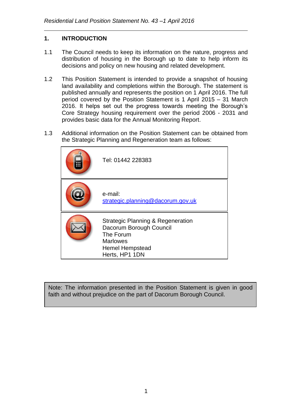# **1. INTRODUCTION**

- 1.1 The Council needs to keep its information on the nature, progress and distribution of housing in the Borough up to date to help inform its decisions and policy on new housing and related development.
- 1.2 This Position Statement is intended to provide a snapshot of housing land availability and completions within the Borough. The statement is published annually and represents the position on 1 April 2016. The full period covered by the Position Statement is 1 April 2015 – 31 March 2016. It helps set out the progress towards meeting the Borough's Core Strategy housing requirement over the period 2006 - 2031 and provides basic data for the Annual Monitoring Report.
- 1.3 Additional information on the Position Statement can be obtained from the Strategic Planning and Regeneration team as follows:

| Tel: 01442 228383                                                                                                                        |
|------------------------------------------------------------------------------------------------------------------------------------------|
| e-mail:<br>strategic.planning@dacorum.gov.uk                                                                                             |
| Strategic Planning & Regeneration<br>Dacorum Borough Council<br>The Forum<br><b>Marlowes</b><br><b>Hemel Hempstead</b><br>Herts, HP1 1DN |

Note: The information presented in the Position Statement is given in good faith and without prejudice on the part of Dacorum Borough Council.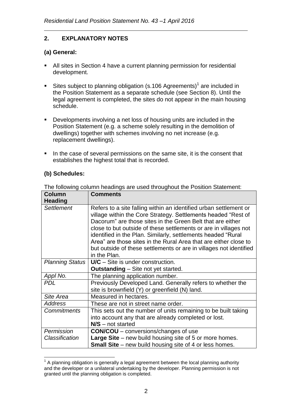# **2. EXPLANATORY NOTES**

# **(a) General:**

- All sites in Section 4 have a current planning permission for residential development.
- Sites subject to planning obligation (s.106 Agreements)<sup>1</sup> are included in the Position Statement as a separate schedule (see Section 8). Until the legal agreement is completed, the sites do not appear in the main housing schedule.
- **Developments involving a net loss of housing units are included in the** Position Statement (e.g. a scheme solely resulting in the demolition of dwellings) together with schemes involving no net increase (e.g. replacement dwellings).
- In the case of several permissions on the same site, it is the consent that establishes the highest total that is recorded.

# **(b) Schedules:**

| <b>Column</b><br><b>Heading</b> | <b>Comments</b>                                                                                                                                                                                                                                                                                                                                                                                                                                                                                |
|---------------------------------|------------------------------------------------------------------------------------------------------------------------------------------------------------------------------------------------------------------------------------------------------------------------------------------------------------------------------------------------------------------------------------------------------------------------------------------------------------------------------------------------|
| <b>Settlement</b>               | Refers to a site falling within an identified urban settlement or<br>village within the Core Strategy. Settlements headed "Rest of<br>Dacorum" are those sites in the Green Belt that are either<br>close to but outside of these settlements or are in villages not<br>identified in the Plan. Similarly, settlements headed "Rural<br>Area" are those sites in the Rural Area that are either close to<br>but outside of these settlements or are in villages not identified<br>in the Plan. |
| <b>Planning Status</b>          | $U/C -$ Site is under construction.<br><b>Outstanding</b> – Site not yet started.                                                                                                                                                                                                                                                                                                                                                                                                              |
| Appl No.                        | The planning application number.                                                                                                                                                                                                                                                                                                                                                                                                                                                               |
| <b>PDL</b>                      | Previously Developed Land. Generally refers to whether the<br>site is brownfield (Y) or greenfield (N) land.                                                                                                                                                                                                                                                                                                                                                                                   |
| Site Area                       | Measured in hectares.                                                                                                                                                                                                                                                                                                                                                                                                                                                                          |
| <b>Address</b>                  | These are not in street name order.                                                                                                                                                                                                                                                                                                                                                                                                                                                            |
| <b>Commitments</b>              | This sets out the number of units remaining to be built taking<br>into account any that are already completed or lost.<br>$N/S$ – not started                                                                                                                                                                                                                                                                                                                                                  |
| Permission                      | <b>CON/COU</b> – conversions/changes of use                                                                                                                                                                                                                                                                                                                                                                                                                                                    |
| Classification                  | <b>Large Site</b> – new build housing site of 5 or more homes.<br><b>Small Site</b> – new build housing site of 4 or less homes.                                                                                                                                                                                                                                                                                                                                                               |

The following column headings are used throughout the Position Statement:

<sup>1</sup>  $1$  A planning obligation is generally a legal agreement between the local planning authority and the developer or a unilateral undertaking by the developer. Planning permission is not granted until the planning obligation is completed.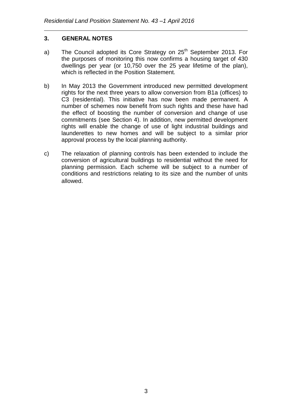# **3. GENERAL NOTES**

- a) The Council adopted its Core Strategy on 25<sup>th</sup> September 2013. For the purposes of monitoring this now confirms a housing target of 430 dwellings per year (or 10,750 over the 25 year lifetime of the plan), which is reflected in the Position Statement.
- b) In May 2013 the Government introduced new permitted development rights for the next three years to allow conversion from B1a (offices) to C3 (residential). This initiative has now been made permanent. A number of schemes now benefit from such rights and these have had the effect of boosting the number of conversion and change of use commitments (see Section 4). In addition, new permitted development rights will enable the change of use of light industrial buildings and launderettes to new homes and will be subject to a similar prior approval process by the local planning authority.
- c) The relaxation of planning controls has been extended to include the conversion of agricultural buildings to residential without the need for planning permission. Each scheme will be subject to a number of conditions and restrictions relating to its size and the number of units allowed.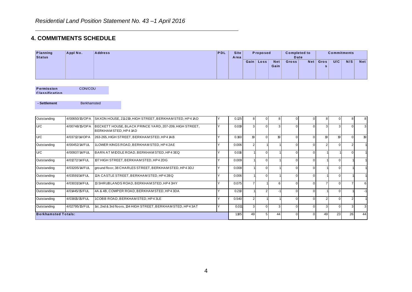# **4. COMMITMENTS SCHEDULE**

|                                  | <b>COMMITMENTS SCHEDULE</b> |                                                                                  |     |                     |                |                |                    |                             |                |                |                    |                |                  |
|----------------------------------|-----------------------------|----------------------------------------------------------------------------------|-----|---------------------|----------------|----------------|--------------------|-----------------------------|----------------|----------------|--------------------|----------------|------------------|
| <b>Planning</b><br><b>Status</b> | Appl No.                    | <b>Address</b>                                                                   | PDL | <b>Site</b><br>Area |                | Proposed       |                    | <b>Completed to</b><br>Date |                |                | <b>Commitments</b> |                |                  |
|                                  |                             |                                                                                  |     |                     |                | Gain   Loss    | <b>Net</b><br>Gain | Gross                       |                | Net Gros<br>s  | U/C                | N/S            | <b>Net</b>       |
| Permission<br>Classification     | CON/COU                     |                                                                                  |     |                     |                |                |                    |                             |                |                |                    |                |                  |
| - Settlement                     | <b>Berkhamsted</b>          |                                                                                  |     |                     |                |                |                    |                             |                |                |                    |                |                  |
| Outstanding                      | 4/00650/15/OPA              | SAXON HOUSE, 211-219, HIGH STREET, BERKHAMSTED, HP4 1AD                          | Y   | 0.125               | 8 <sup>1</sup> | $\overline{0}$ | 8                  | $\overline{0}$              | $\overline{0}$ | 8 <sup>1</sup> | $\overline{0}$     | 8              | 8 <sup>1</sup>   |
| U/C                              | 4/00748/15/OPA              | BECKETT HOUSE, BLACK PRINCE YARD, 207-209, HIGH STREET,<br>BERKHAM STED. HP4 1AD | Y   | 0.019               | $\overline{3}$ | $\Omega$       | 3                  | $\Omega$                    | $\Omega$       | 3              | 3                  | $\Omega$       | $\overline{3}$   |
| U/C                              | 4/03712/14/OPA              | 263-265, HIGH STREET, BERKHAM STED, HP4 1AB                                      | Y   | 0.160               | 19             | $\Omega$       | 19                 | 0                           | $\Omega$       | 19             | 19                 | $\overline{0}$ | 19               |
| Outstanding                      | 4/00452/14/FUL              | 1LOWER KINGS ROAD, BERKHAM STED, HP42AE                                          | Y   | 0.006               | 2 <sup>1</sup> |                |                    | $\Omega$                    | $\Omega$       | 2              | $\overline{0}$     | 2              |                  |
| U/C                              | 4/00937/14/FUL              | BARN AT MIDDLE ROAD, BERKHAM STED, HP4 3EQ                                       | Y   | 0.016               |                | $\Omega$       |                    | $\mathbf 0$                 | $\Omega$       |                |                    | $\overline{0}$ |                  |
| Outstanding                      | 4/01272/14/FUL              | 107 HIGH STREET, BERKHAM STED, HP4 2DG                                           | Y   | 0.009               |                | $\Omega$       |                    | $\mathbf 0$                 | $\Omega$       |                | $\overline{0}$     |                |                  |
| Outstanding                      | 4/03205/14/FUL              | ground floor, 38 CHARLES STREET, BERKHAM STED, HP4 3DJ                           | Y   | 0.008               |                | $\Omega$       |                    | $\mathbf 0$                 | $\overline{0}$ |                | $\overline{0}$     |                |                  |
| Outstanding                      | 4/03591/14/FUL              | 12A CASTLE STREET, BERKHAM STED, HP4 2BQ                                         | Y   | 0.006               |                | $\Omega$       |                    | $\Omega$                    | $\Omega$       |                | $\Omega$           |                |                  |
| Outstanding                      | 4/03031/14/FUL              | 13 SHRUBLANDS ROAD, BERKHAM STED, HP4 3HY                                        | Y   | 0.075               | $\overline{7}$ |                | 6                  | $\Omega$                    | $\Omega$       | $\overline{7}$ | $\Omega$           | $\overline{7}$ | $6 \overline{6}$ |
| Outstanding                      | 4/01445/15/FUL              | 4A & 4B, COWPER ROAD, BERKHAM STED, HP4 3DA                                      | Y   | 0.210               |                | 2              | $-1$               | $\Omega$                    | $\Omega$       |                | $\Omega$           |                |                  |
| Outstanding                      | 4/03815/15/FUL              | 1COBB ROAD, BERKHAM STED, HP43LE                                                 | Υ   | 0.540               | 2 <sup>1</sup> |                |                    | $\Omega$                    | $\Omega$       | 2              | $\Omega$           | $\overline{2}$ |                  |
| Outstanding                      | 4/02795/15/FUL              | 1st, 2nd & 3rd floors, 134 HIGH STREET, BERKHAM STED, HP43AT                     | Υ   | 0.011               | $\overline{3}$ | $\Omega$       | 3                  | $\Omega$                    | $\Omega$       | $\overline{3}$ | $\Omega$           | $\overline{3}$ | 3                |
| <b>Berkhamsted Totals:</b>       |                             |                                                                                  |     | 1.185               | 49             | 5              | 44                 | $\Omega$                    | $\Omega$       | 49             | 23                 | 26             | 44               |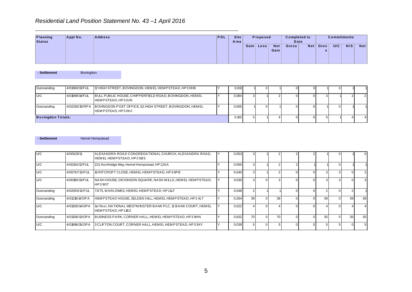### *Residential Land Position Statement No. 43 –1 April 2016*

|                           |          | Residential Land Position Statement No. 43-1 April 2016 |            |                     |      |          |                    |                             |     |           |                    |     |     |
|---------------------------|----------|---------------------------------------------------------|------------|---------------------|------|----------|--------------------|-----------------------------|-----|-----------|--------------------|-----|-----|
| Planning<br><b>Status</b> | Appl No. | <b>Address</b>                                          | <b>PDL</b> | <b>Site</b><br>Area |      | Proposed |                    | <b>Completed to</b><br>Date |     |           | <b>Commitments</b> |     |     |
|                           |          |                                                         |            |                     | Gain | Loss     | <b>Net</b><br>Gain | <b>Gross</b>                | Net | Gros<br>s | U/C                | N/S | Net |

| - Settlement             | Bovingdon      |                    |                                                         |       |  |  |  |    |  |
|--------------------------|----------------|--------------------|---------------------------------------------------------|-------|--|--|--|----|--|
|                          |                |                    |                                                         |       |  |  |  |    |  |
| Outstanding              | 4/01369/13/FUL |                    | 12 HIGH STREET, BOVINGDON, HEMEL HEMPSTEAD, HP30HB      | 0.013 |  |  |  |    |  |
| U/C                      | 4/01699/14/FUL | HEMPSTEAD, HP3 0JN | BULL PUBLIC HOUSE, CHIPPERFIELD ROAD, BOVINGDON, HEMEL  | 0.084 |  |  |  |    |  |
| Outstanding              | 4/02282/15/RPA | HEMPSTEAD, HP30HJ  | BOVINGDON POST OFFICE, 62 HIGH STREET, BOVINGDON, HEMEL | 0.005 |  |  |  |    |  |
| <b>Bovingdon Totals:</b> |                |                    |                                                         | 0.102 |  |  |  | 5. |  |

### **-** Settlement **Hemel Hempstead**

| - Settlement |                | <b>Hemel Hempstead</b>  |                                                                 |       |                 |    |          |    |    |  |
|--------------|----------------|-------------------------|-----------------------------------------------------------------|-------|-----------------|----|----------|----|----|--|
|              |                |                         |                                                                 |       |                 |    |          |    |    |  |
|              | 4/00529/11     | HEMEL HEMPSTEAD, HP25BS | ALEXANDRA ROAD CONGREGATIONAL CHURCH, ALEXANDRA ROAD,           | 0.053 |                 |    |          |    |    |  |
| U/C          | 4/00134/12/FUL |                         | 221, Northridge Way, Hemel Hempstead, HP12AA                    | 0.055 |                 |    |          |    |    |  |
| U/C          | 4/00767/12/FUL |                         | 10 RITCROFT CLOSE, HEM EL HEM PSTEAD, HP3 8PB                   | 0.040 |                 |    | $\Omega$ |    |    |  |
| U/C          | 4/00195/13/FUL | HP39GT                  | NASH HOUSE, DICKINSON SQUARE, NASH MILLS, HEMEL HEMPSTEAD,      | 0.030 |                 |    |          |    |    |  |
| Outstanding  | 4/02003/12/FUL |                         | 73/75, MARLOWES, HEMEL HEMPSTEAD, HP11LF                        | 0.048 |                 |    | $\Omega$ |    |    |  |
| Outstanding  | 4/01218/14/OPA |                         | HEMPSTEAD HOUSE, SELDEN HILL, HEMEL HEMPSTEAD, HP2 4LT          | 0.264 | 39 <sup>1</sup> | 39 | $\Omega$ | 39 | 39 |  |
| U/C          | 4/01300/14/OPA | HEMPSTEAD, HP11BZ       | 1st floor, NATIONAL WESTM INSTER BANK PLC, 12 BANK COURT, HEMEL | 0.022 |                 |    |          |    |    |  |
| Outstanding  | 4/01306/13/OPA |                         | BUSINESS PARK, CORNER HALL, HEMEL HEM PSTEAD, HP3 9HN           | 0.832 | 70 l            | 70 | $\Omega$ | 35 | 35 |  |
| U/C          | 4/01896/15/OPA |                         | 3 CLIFTON COURT, CORNER HALL, HEM EL HEMPSTEAD, HP3 9XY         | 0.039 |                 |    | $\Omega$ |    |    |  |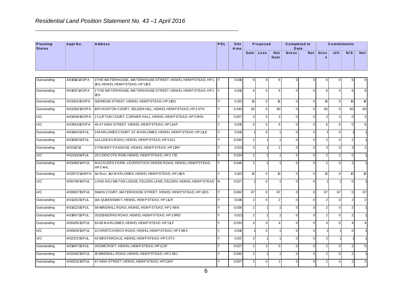|                           |                | Residential Land Position Statement No. 43-1 April 2016                                     |        |                     |                  |                |                    |                             |                |                  |                    |                  |            |
|---------------------------|----------------|---------------------------------------------------------------------------------------------|--------|---------------------|------------------|----------------|--------------------|-----------------------------|----------------|------------------|--------------------|------------------|------------|
| Planning<br><b>Status</b> | Appl No.       | <b>Address</b>                                                                              | PDL    | <b>Site</b><br>Area |                  | Proposed       |                    | <b>Completed to</b><br>Date |                |                  | <b>Commitments</b> |                  |            |
|                           |                |                                                                                             |        |                     |                  | Gain Loss      | <b>Net</b><br>Gain | Gross                       | Net            | Gros<br>s        | U/C                | N/S              | <b>Net</b> |
| Outstanding               | 4/01916/14/OPA | 1THE WATERHOUSE,, WATERHOUSE STREET, HEMEL HEMPSTEAD, HP1<br>1ES, HEM EL HEM PSTEAD, HP11ES | lΥ     | 0.016               | 6                | $\overline{0}$ | 6                  | $\mathbf 0$                 | $\mathsf 0$    | $6 \mid$         | $\mathbf 0$        | 6                | 6          |
| Outstanding               | 4/01917/14/OPA | 2 THE WATERHOUSE, WATERHOUSE STREET, HEMEL HEMPSTEAD, HP1<br>ΈS                             | lΥ     | 0.016               | $6 \mid$         | $\overline{0}$ | $6 \mid$           | $\mathbf 0$                 | $\overline{0}$ | 6 <sup>1</sup>   | $\overline{0}$     | 6                | 6          |
| Outstanding               | 4/03124/15/OPA | 11BRIDGE STREET, HEMEL HEMPSTEAD, HP11EG                                                    | Y      | 0.120               | 16               | $\Omega$       | 16                 | $\mathsf 0$                 | $\overline{0}$ | 16               | $\Omega$           | 16               | 16         |
| Outstanding               | 4/03283/15/OPA | BRYANSTON COURT, SELDEN HILL, HEM EL HEMPSTEAD, HP24TN                                      |        | 0.340               | 60               | $\overline{0}$ | 60                 | $\mathsf 0$                 | $\overline{0}$ | 60               | $\overline{0}$     | 60               | 60         |
| U/C                       | 4/03649/15/OPA | 2 CLIFTON COURT, CORNER HALL, HEMEL HEMPSTEAD, HP3 9HN                                      |        | 0.007               | 3 <sup>1</sup>   | $\overline{0}$ | 3                  | $\mathbf 0$                 | $\overline{0}$ | $\overline{3}$   | $\overline{3}$     | $\overline{0}$   | 3          |
| U/C                       | 4/03651/15/OPA | 45-47 HIGH STREET, HEMEL HEMPSTEAD, HP13AF                                                  | Y      | 0.015               | $6 \mid$         | $\overline{0}$ | $6 \mid$           | $\mathbf 0$                 | $\overline{0}$ | $6 \mid$         | $6 \mid$           | $\mathbf 0$      | 6          |
| Outstanding               | 4/01464/13/FUL | 3 MARLOWES COURT, 67, MARLOWES, HEM EL HEMP STEAD, HP11LE                                   |        | 0.010               |                  | $\overline{0}$ |                    | $\mathbf 0$                 | $\overline{0}$ |                  | $\overline{0}$     |                  |            |
| Outstanding               | 4/01086/13/FUL | 1ALLDICKS ROAD, HEMEL HEMPSTEAD, HP3 9JJ                                                    | Υ      | 0.040               | $\mathbf{2}$     |                |                    | $\mathbf 0$                 | $\overline{0}$ | 2 <sub>1</sub>   | $\overline{0}$     | $\overline{2}$   |            |
| Outstanding               | 4/02112/14     | 2 FISHERY PASSAGE, HEMEL HEMPSTEAD, HP11RF                                                  |        | 0.031               | 3 <sup>1</sup>   |                | $\mathfrak{p}$     | $\mathbf 0$                 | $\overline{0}$ | 3 <sup>1</sup>   | $\overline{0}$     | 3                |            |
| U/C                       | 4/02261/14/FUL | 20 CODICOTE ROW, HEM ELHEMP STEAD, HP27JE                                                   | Y      | 0.034               | $\mathbf{2}$     |                |                    | $\mathbf 0$                 | $\overline{0}$ | 2                | $\overline{2}$     | $\overline{0}$   |            |
| Outstanding               | 4/03460/14/FUL | MACKLERS FARM, LEVERSTOCK GREEN ROAD, HEMEL HEMPSTEAD,<br>HP24HL                            | Υ      | 0.046               | $\overline{2}$   |                |                    | $\mathbf 0$                 | $\overline{0}$ | 2 <sup>1</sup>   | $\Omega$           | 2                |            |
| Outstanding               | 4/02672/14/MFA | 1st floor, 162 MARLOWES, HEM EL HEM PSTEAD, HP11BA                                          | Y      | 0.103               | 10 <sup>10</sup> | $\overline{0}$ | 10                 | $\mathbf 0$                 | $\overline{0}$ | 10 <sup>10</sup> | $\overline{0}$     | 10 <sup>10</sup> | 10         |
| U/C                       | 4/00749/15/FUL | LAND ADJ WILTON LODGE, FELDEN LANE, FELDEN, HEM EL HEM PSTEAD                               | IN.    | 0.027               |                  | $\overline{0}$ |                    | $\mathbf 0$                 | $\overline{0}$ |                  |                    | $\overline{0}$   |            |
| U/C                       | 4/00697/15/FUL | SWAN COURT, WATERHOUSE STREET, HEMEL HEMPSTEAD, HP11DS                                      |        | 0.062               | 67               | $\overline{0}$ | 67                 | $\mathbf 0$                 | $\overline{0}$ | 67               | 67                 | $\overline{0}$   | 67         |
| Outstanding               | 4/01325/15/FUL | 14A QUEENSWAY, HEM EL HEMPSTEAD, HP11LR                                                     | ٧      | 0.016               | $\overline{2}$   | $\overline{0}$ | $\mathfrak{p}$     | $\mathsf 0$                 | $\overline{0}$ | 2                | $\overline{0}$     | $\overline{2}$   |            |
| Outstanding               | 4/01422/15/FUL | 58 WINDM ILL ROAD, HEMEL HEM PSTEAD, HP2 4BN                                                |        | 0.036               | 2 <sup>2</sup>   |                |                    | $\mathbf 0$                 | $\overline{0}$ | 2 <sub>1</sub>   | $\overline{0}$     | $\overline{2}$   |            |
| Outstanding               | 4/01867/15/FUL | 201EBBERNS ROAD, HEMEL HEMPSTEAD, HP3 9RD                                                   |        | 0.021               | $\mathbf{2}$     |                |                    | $\mathbf 0$                 | $\overline{0}$ | 2 <sup>1</sup>   | $\overline{0}$     | $\overline{2}$   |            |
| Outstanding               | 4/00455/15/FUL | 83-85 MARLOWES, HEM EL HEMPSTEAD, HP11LF                                                    | Υ      | 0.033               | $\vert$          | $\overline{0}$ |                    | $\mathbf 0$                 | $\overline{0}$ | $\overline{4}$   | $\overline{0}$     | $\overline{4}$   |            |
| U/C                       | 4/00929/15/FUL | 1CHRISTCHURCH ROAD, HEMEL HEMPSTEAD, HP25BX                                                 |        | 0.016               |                  | $\overline{0}$ |                    | $\mathbf 0$                 | $\overline{0}$ |                  |                    | $\overline{0}$   |            |
| U/C                       | 4/02172/15/FUL | 43 WESTERDALE, HEM EL HEMPSTEAD, HP2 5TX                                                    | $\vee$ | 0.017               | $\overline{2}$   |                |                    | $\mathsf 0$                 | $\overline{0}$ | 2 <sub>1</sub>   |                    |                  |            |
| Outstanding               | 4/01697/15/FUL | 1ROWCROFT, HEMEL HEMPSTEAD, HP12JF                                                          |        | 0.027               | $\overline{2}$   | 2 <sub>1</sub> | $\Omega$           | $\mathbf 0$                 | $\overline{0}$ | 2 <sub>1</sub>   | $\overline{0}$     | $\overline{2}$   | $\Omega$   |
| Outstanding               | 4/02440/15/FUL | 15 WINDM ILL ROAD, HEMEL HEMPSTEAD, HP24BJ                                                  |        | 0.040               | $\overline{2}$   |                |                    | $\mathbf 0$                 | $\overline{0}$ | 2 <sub>1</sub>   | $\overline{0}$     | $\overline{2}$   |            |
| Outstanding               | 4/00520/15/FUL | 67 HIGH STREET, HEMEL HEMPSTEAD, HP13AF                                                     |        | 0.007               | $\overline{2}$   | $\overline{0}$ |                    | $\mathbf 0$                 | $\overline{0}$ | 2 <sup>1</sup>   | $\overline{0}$     | $\overline{2}$   |            |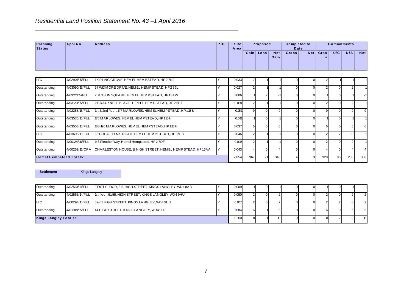| Appl No.       |              |                                                              | <b>Site</b> |      |                    |                                                     |                             |                                          |                           |
|----------------|--------------|--------------------------------------------------------------|-------------|------|--------------------|-----------------------------------------------------|-----------------------------|------------------------------------------|---------------------------|
|                |              |                                                              |             |      | <b>Net</b><br>Gain | <b>Gross</b>                                        | Gros<br>s                   | U/C                                      | <b>Net</b>                |
| 4/02901/15/FUL |              |                                                              | 0.033       |      |                    |                                                     |                             |                                          |                           |
|                | 100000010000 | <b>Address</b><br>1KIPLING GROVE, HEM EL HEM PSTEAD, HP2 7NJ | PDL         | Area | Gain  <br>Loss     | Proposed<br>$\sim$<br>$\ddot{\phantom{0}}$<br>0.007 | <b>Completed to</b><br>Date | Net <sub>1</sub><br>$\sim$ 1<br>$\sim$ 1 | <b>Commitments</b><br>N/S |

| U/C                            | 4/02901/15/FUL | 1KIP LING GROVE, HEM EL HEMP STEAD, HP27NJ                | 0.033 |     |          |     |   |     |    |     |     |
|--------------------------------|----------------|-----------------------------------------------------------|-------|-----|----------|-----|---|-----|----|-----|-----|
| Outstanding                    | 4/03090/15/FUL | 67 WIDM ORE DRIVE, HEMEL HEM PSTEAD, HP25JL               | 0.027 |     |          |     |   | 2   |    |     |     |
| Outstanding                    | 4/03121/15/FUL | 2 & 3 SUN SQUARE, HEM EL HEMPSTEAD, HP13AW                | 0.006 |     |          |     |   |     |    |     |     |
| Outstanding                    | 4/03123/15/FUL | 2 BRACKNELL PLACE, HEMEL HEMPSTEAD, HP2 6BT               | 0.018 |     |          |     |   |     |    |     |     |
| Outstanding                    | 4/02258/15/FUL | 1st & 2nd floor, 147 M ARLOWES, HEM EL HEM PSTEAD, HP11BB | 0.151 |     |          |     |   |     |    |     | 9   |
| Outstanding                    | 4/03535/15/FUL | 178 M ARLOWES, HEM EL HEMP STEAD, HP11BH                  | 0.011 |     | $\Omega$ |     |   |     |    |     |     |
| Outstanding                    | 4/03556/15/FUL | 188-190 MARLOWES, HEM ELHEMPSTEAD, HP11BH                 | 0.037 |     | $\Omega$ |     |   | 6   |    |     | 6   |
| U/C                            | 4/03695/15/FUL | 66 GREAT ELMS ROAD, HEMEL HEMP STEAD, HP3 9TY             | 0.046 | 2   |          |     |   |     |    |     |     |
| Outstanding                    | 4/00124/16/FUL | 143 Fletcher Way, Hemel Hempstead, HP2 7DF                | 0.019 |     |          |     |   |     |    |     |     |
| Outstanding                    | 4/00259/16/OPA | CHARLESTON HOUSE, 13 HIGH STREET, HEMEL HEMPSTEAD, HP13AA | 0.043 |     |          |     |   |     |    |     |     |
| <b>Hemel Hempstead Totals:</b> |                |                                                           | 2.854 | 367 | 21       | 346 | 3 | 328 | 95 | 233 | 308 |

**- Settlement** Kings Langley

| Outstanding           | 4/02510/14/FUL | FIRST FLOOR, 3-5, HIGH STREET, KINGS LANGLEY, WD4 8AB | 0.009 | 01 |  |     |             |      |
|-----------------------|----------------|-------------------------------------------------------|-------|----|--|-----|-------------|------|
| Outstanding           | 4/02555/14/FUL | St floor, 51-55, HIGH STREET, KINGS LANGLEY, WD4 9HU  | 0.050 | 01 |  |     |             |      |
| U/C                   | 4/00294/15/FUL | 59-61, HIGH STREET, KINGS LANGLEY, WD4 9HU            | 0.017 | 01 |  |     |             |      |
| Outstanding           | 4/01388/15/FUL | 44 HIGH STREET, KINGS LANGLEY, WD4 9HT                | 0.084 |    |  | n i | $^{\prime}$ |      |
| Kings Langley Totals: |                |                                                       | 0.160 |    |  |     |             | 10 I |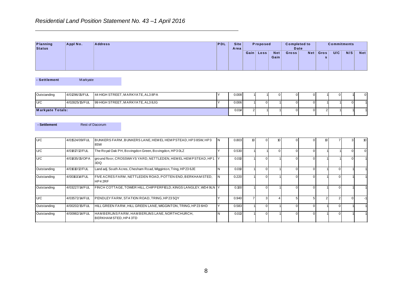|                    |          | Residential Land Position Statement No. 43-1 April 2016 |     |                     |           |                    |                             |     |           |                    |     |            |
|--------------------|----------|---------------------------------------------------------|-----|---------------------|-----------|--------------------|-----------------------------|-----|-----------|--------------------|-----|------------|
| Planning<br>Status | Appl No. | <b>Address</b>                                          | PDL | <b>Site</b><br>Area | Proposed  |                    | <b>Completed to</b><br>Date |     |           | <b>Commitments</b> |     |            |
|                    |          |                                                         |     |                     | Gain Loss | <b>Net</b><br>Gain | Gross <sup>1</sup>          | Net | Gros<br>s | U/C                | N/S | <b>Net</b> |

| - Settlement            | Markyate       |                                   |  |       |        |  |     |             |  |
|-------------------------|----------------|-----------------------------------|--|-------|--------|--|-----|-------------|--|
|                         |                |                                   |  |       |        |  |     |             |  |
| Outstanding             | 4/01296/15/FUL | 44 HIGH STREET, MARKYATE, AL3 8PA |  | 0.008 |        |  | 0 I |             |  |
| U/C                     | 4/02825/15/FUL | 99 HIGH STREET, MARKYATE, AL3 8JG |  | 0.006 |        |  |     |             |  |
| <b>Markyate Totals:</b> |                |                                   |  | 0.014 | $\sim$ |  |     | $^{\prime}$ |  |

| - Settlement |                | <b>Rest of Dacorum</b>                                                 |                                                                   |    |       |    |    |  |  |  |
|--------------|----------------|------------------------------------------------------------------------|-------------------------------------------------------------------|----|-------|----|----|--|--|--|
|              |                |                                                                        |                                                                   |    |       |    |    |  |  |  |
| U/C          | 4/01524/09/FUL | BUNKERS FARM, BUNKERS LANE, HEM EL HEM PSTEAD, HP3 8SW, HP3<br>8SW     |                                                                   | ΙN | 0.803 | 10 | 10 |  |  |  |
| U/C          | 4/01817/12/FUL | The Royal Oak PH, Bovingdon Green, Bovingdon, HP3 0LZ                  |                                                                   |    | 0.530 |    |    |  |  |  |
| U/C          | 4/01835/15/OPA | 3DQ                                                                    | ground floor, CROSSWAYS YARD, NETTLEDEN, HEMEL HEMPSTEAD, HP1     |    | 0.010 |    |    |  |  |  |
| Outstanding  | 4/01610/12/FUL | Land adj. South Acres, Chesham Road, Wigginton, Tring, HP236JE         |                                                                   |    | 0.010 |    |    |  |  |  |
| Outstanding  | 4/00161/14/FUL | FIVE ACRES FARM, NETTLEDEN ROAD, POTTEN END, BERKHAMSTED,<br>HP42RF    |                                                                   | N  | 0.220 |    |    |  |  |  |
| Outstanding  | 4/03227/14/FUL |                                                                        | FINCH COTTAGE, TOWER HILL, CHIPPERFIELD, KINGS LANGLEY, WD4 9LN Y |    | 0.100 |    |    |  |  |  |
| U/C          | 4/03572/14/FUL | PENDLEY FARM, STATION ROAD, TRING, HP235QY                             |                                                                   |    | 0.940 |    |    |  |  |  |
| Outstanding  | 4/00202/15/FUL | HILL GREEN FARM, HILL GREEN LANE, WIGGINTON, TRING, HP23 6HD           |                                                                   |    | 0.583 |    |    |  |  |  |
| Outstanding  | 4/00982/14/FUL | HAMBERLINS FARM, HAMBERLINS LANE, NORTHCHURCH,<br>BERKHAM STED, HP43TD |                                                                   |    | 0.013 |    |    |  |  |  |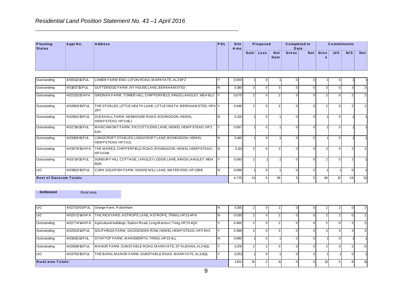| Appl No.       | <b>Address</b>                                | PDL                                                                            | <b>Site</b><br>Area |                            |                    |                    |                                       |     |        |                              |
|----------------|-----------------------------------------------|--------------------------------------------------------------------------------|---------------------|----------------------------|--------------------|--------------------|---------------------------------------|-----|--------|------------------------------|
|                |                                               |                                                                                |                     |                            | <b>Net</b><br>Gain | Gross <sup>1</sup> | Gros                                  | U/C | N/S    | <b>Net</b>                   |
| 4/00513/15/FUL | LOWER FARM END, LUTON ROAD, MARKYATE, AL3 8PZ |                                                                                |                     |                            |                    |                    |                                       |     |        |                              |
|                | $10.00 \div 10^{-1}$                          | Residential Land Position Statement No. 43-1 April 2016<br>$\bigcap_{i=1}^{n}$ | . .                 | 0.550<br>$\sim$ 100 $\sim$ | Gain  <br>Loss     | Proposed           | <b>Completed to</b><br>Date<br>$\sim$ | Net | $\sim$ | <b>Commitments</b><br>$\sim$ |

| Outstanding                    | 4/00513/15/FUL | LOWER FARM END, LUTON ROAD, MARKYATE, AL3 8PZ                             |          | 0.550 |                |                |    |          |    |                 |    |    |
|--------------------------------|----------------|---------------------------------------------------------------------------|----------|-------|----------------|----------------|----|----------|----|-----------------|----|----|
| Outstanding                    | 4/01817/15/FUL | GUTTERIDGE FARM, IVY HOUSE LANE, BERKHAM STED                             | N        | 0.190 | 3              | 0              |    | $\Omega$ | 3  | $\cap$          |    | 3  |
| Outstanding                    | 4/02313/15/APA | GREINAN FARM, TOWER HILL, CHIPPERFIELD, KINGS LANGLEY, WD4 9LU            |          | 0.075 |                | U              |    |          |    |                 |    |    |
| Outstanding                    | 4/02883/15/FUL | THE STABLES, LITTLE HEATH LANE, LITTLE HEATH, BERKHAM STED, HP4  Y<br>2RT |          | 0.046 | $\mathfrak{p}$ |                |    |          |    |                 |    |    |
| Outstanding                    | 4/02863/15/FUL | DUCKHALL FARM, NEWHOUSE ROAD, BOVINGDON, HEMEL<br>HEMPSTEAD, HP30EJ       | <b>N</b> | 0.125 |                | 0              |    | $\Omega$ |    | ∩               |    |    |
| Outstanding                    | 4/02716/15/FUL | MARCHMONT FARM, PICCOTTS END LANE, HEMEL HEMPSTEAD, HP2<br>6JH            |          | 0.067 |                |                |    |          |    |                 |    |    |
| Outstanding                    | 4/03109/15/FUL | LONGCROFT STABLES, LONGCROFT LANE, BOVINGDON, HEM EL<br>HEMPSTEAD, HP30JL | N        | 0.140 |                |                |    |          |    |                 |    |    |
| Outstanding                    | 4/03678/15/APA | THE MARES, CHIPPERFIELD ROAD, BOVINGDON, HEMEL HEMPSTEAD,<br>HP30JW       |          | 0.131 | з              | U              |    |          | 3  |                 |    | 3  |
| Outstanding                    | 4/03714/15/FUL | SUNBURY HILL COTTAGE, LANGLEY LODGE LANE, KINGS LANGLEY, WD4<br>8QN       |          | 0.093 | $\mathcal{P}$  |                |    |          | っ  |                 |    |    |
| U/C                            | 4/03902/15/FUL | CURA GOLDFISH FARM, NOAKE MILL LANE, WATER END, HP13BB                    | N        | 0.099 |                | 0              |    | $\Omega$ |    |                 |    |    |
| <b>Rest of Dacorum Totals:</b> |                |                                                                           |          | 4.725 | 41             | 5 <sup>1</sup> | 36 | 5        | 36 | 12 <sup>1</sup> | 24 | 31 |

**- Settlement Rural area** 

| U/C                       | 4/02733/03/FUL | Grange Farm, Puttenham                                                           | 0.155 |                 |  |  |  |                |
|---------------------------|----------------|----------------------------------------------------------------------------------|-------|-----------------|--|--|--|----------------|
| U/C                       |                | 4/02572/14/APA THE RICKYARD, ASTROPE LANE, ASTROPE, TRING, HP23 4PN              | 0.030 |                 |  |  |  | $\overline{2}$ |
| Outstanding               |                | 4/02774/4/APA Agricultural buildings, Station Road, Long Marston, Tring, HP234QX | 0.460 |                 |  |  |  |                |
| Outstanding               | 4/02503/14/FUL | SOUTHINGS FARM, GADDESDEN ROW, HEM EL HEMPSTEAD, HP2 6HX                         | 0.388 |                 |  |  |  | 3              |
| Outstanding               | 4/03813/14/FUL | STARTOP FARM, MARSWORTH, TRING, HP234LL                                          | 0.090 |                 |  |  |  |                |
| Outstanding               | 4/02688/15/FUL | MANOR FARM, DUNSTABLE ROAD, MARKYATE, ST ALBANS, AL3 8QL                         | 0.178 |                 |  |  |  | $\Omega$       |
| U/C                       | 4/03755/15/FUL | THE BARN, MANOR FARM, DUNSTABLE ROAD, MARKYATE, AL38QL                           | 0.051 |                 |  |  |  |                |
| <b>Rural area Totals:</b> |                |                                                                                  | 1.352 | 13 <sup>1</sup> |  |  |  | 11             |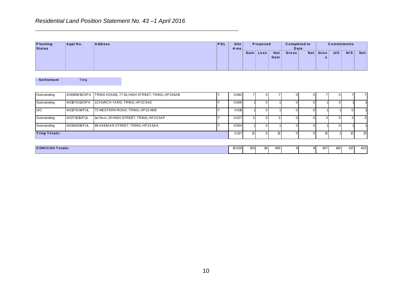|                    |          | Residential Land Position Statement No. 43-1 April 2016 |     |                     |           |          |                    |                                      |     |           |                           |     |            |
|--------------------|----------|---------------------------------------------------------|-----|---------------------|-----------|----------|--------------------|--------------------------------------|-----|-----------|---------------------------|-----|------------|
| Planning<br>Status | Appl No. | <b>Address</b>                                          | PDL | <b>Site</b><br>Area | Gain Loss | Proposed | <b>Net</b><br>Gain | <b>Completed to</b><br>Date<br>Gross | Net | Gros<br>s | <b>Commitments</b><br>U/C | N/S | <b>Net</b> |
|                    |          |                                                         |     |                     |           |          |                    |                                      |     |           |                           |     |            |

| Planning<br><b>Status</b> | Appl No.       | <b>Address</b>                                  | PDL | <b>Site</b><br>Area |                           | Proposed       |                    | <b>Completed to</b><br>Date |                     |                | <b>Commitments</b> |                |                           |
|---------------------------|----------------|-------------------------------------------------|-----|---------------------|---------------------------|----------------|--------------------|-----------------------------|---------------------|----------------|--------------------|----------------|---------------------------|
|                           |                |                                                 |     |                     |                           | Gain Loss      | <b>Net</b><br>Gain | Gross                       |                     | Net Gros<br>s  | $\overline{U/C}$   | N/S            | Net                       |
| - Settlement              | Tring          |                                                 |     |                     |                           |                |                    |                             |                     |                |                    |                |                           |
| Outstanding               | 4/00908/15/OPA | TRING HOUSE, 77-81, HIGH STREET, TRING, HP234AB | İΥ. | 0.082               | $\overline{7}$            | $\overline{0}$ | 7                  | $\mathbf 0$                 | $\boldsymbol{0}$    | 7 <sup>1</sup> | $\overline{0}$     | $\overline{7}$ | $\overline{7}$            |
| Outstanding               | 4/01873/13/OPA | 1CHURCH YARD, TRING, HP235AE                    | Y   | 0.006               |                           | $\overline{0}$ |                    | $\pmb{0}$                   | $\mathbf 0$         |                | $\overline{0}$     |                |                           |
| U/C                       | 4/01370/14/FUL | 72 WESTERN ROAD, TRING, HP23 4BB                | İΥ. | 0.018               |                           | $\overline{0}$ |                    | $\mathbf 0$                 | $\overline{0}$      |                |                    | $\overline{0}$ | $\overline{1}$            |
| Outstanding               | 4/02711/15/FUL | 1st floor, 20 HIGH STREET, TRING, HP23 5AP      | lY. | 0.027               | $\ensuremath{\mathsf{3}}$ | $\overline{0}$ | 3                  | $\mathbf{0}$                | $\boldsymbol{0}$    | 3 <sup>1</sup> | $\overline{0}$     | $\mathbf{3}$   | $\ensuremath{\mathsf{3}}$ |
| Outstanding               | 4/03941/15/FUL | 89 AKEMAN STREET, TRING, HP23 6AA               | Y   | 0.004               |                           | $\overline{0}$ |                    | $\mathbf 0$                 | $\boldsymbol{0}$    |                | $\overline{0}$     |                | 1                         |
| <b>Tring Totals:</b>      |                |                                                 |     | 0.137               | ${\bf 13}$                | $\overline{0}$ | 13                 | $\mathbf{0}$                | $\mathsf{O}\xspace$ | 13             |                    | $\overline{2}$ | $\overline{a}$            |
|                           |                |                                                 |     |                     |                           |                |                    |                             |                     |                |                    |                |                           |
|                           |                |                                                 |     |                     |                           |                |                    |                             |                     |                |                    |                |                           |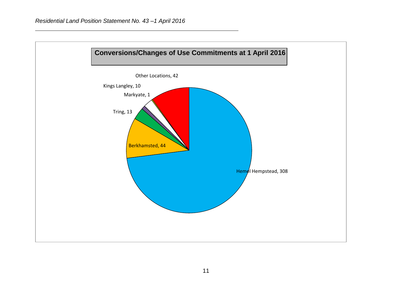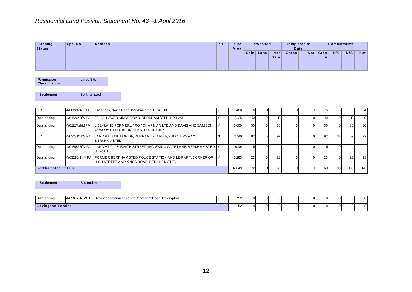| <b>PDL</b><br><b>Planning</b><br><b>Site</b><br>Appl No.<br><b>Address</b><br>Proposed<br><b>Commitments</b><br><b>Completed to</b><br><b>Status</b><br>Date<br>Area<br>N/S<br>U/C<br>Gain Loss<br><b>Net</b><br>Net<br><b>Net</b><br>Gros<br>Gross<br>Gain<br>s |  | Residential Land Position Statement No. 43-1 April 2016 |  |  |  |  |  |  |
|------------------------------------------------------------------------------------------------------------------------------------------------------------------------------------------------------------------------------------------------------------------|--|---------------------------------------------------------|--|--|--|--|--|--|
|                                                                                                                                                                                                                                                                  |  |                                                         |  |  |  |  |  |  |
|                                                                                                                                                                                                                                                                  |  |                                                         |  |  |  |  |  |  |
|                                                                                                                                                                                                                                                                  |  |                                                         |  |  |  |  |  |  |

| Planning<br><b>Status</b>                  | Appl No.       | <b>Address</b>                                                                                        | PDL | <b>Site</b><br>Area |                | Proposed       |                    | <b>Completed to</b><br>Date |                  |                  | <b>Commitments</b> |                  |            |
|--------------------------------------------|----------------|-------------------------------------------------------------------------------------------------------|-----|---------------------|----------------|----------------|--------------------|-----------------------------|------------------|------------------|--------------------|------------------|------------|
|                                            |                |                                                                                                       |     |                     |                | Gain Loss      | <b>Net</b><br>Gain | Gross                       | Net              | Gros<br>s        | U/C                | N/S              | <b>Net</b> |
| <b>Permission</b><br><b>Classification</b> | Large Site     |                                                                                                       |     |                     |                |                |                    |                             |                  |                  |                    |                  |            |
| - Settlement                               | Berkhamsted    |                                                                                                       |     |                     |                |                |                    |                             |                  |                  |                    |                  |            |
| U/C                                        | 4/00224/12/FUL | The Pines, North Road, Berkhamsted, HP4 3DX                                                           | Υ   | 0.400               | 6              |                | 5                  |                             |                  | 5 <sub>5</sub>   | 5 <sub>5</sub>     | $\boldsymbol{0}$ | 4          |
| Outstanding                                | 4/01626/13/MFA | 29 - 33, LOWER KINGS ROAD, BERKHAM STED, HP4 2AB                                                      | Y   | 0.125               | 10             | $\overline{0}$ | 10                 | $\mathbf 0$                 | $\overline{0}$   | 10 <sup>10</sup> | $\overline{0}$     | 10 <sup>10</sup> | 10         |
| Outstanding                                | 4/01317/14/MFA | LIDL - LAND FORMERLY ROY CHAPMAN LTD AND DAVIS AND SAMSON,<br>GOSSOM S END, BERKHAM STED, HP43LP      | Y   | 0.600               | 30             | $\overline{0}$ | 30                 | $\mathbf 0$                 | $\overline{0}$   | 30 <sub>o</sub>  | $\overline{0}$     | 30               | 30         |
| U/C                                        | 4/03241/14/MFA | LAND AT JUNCTION OF, DURRANTS LANE &, SHOOTERSWAY,<br><b>BERKHAMSTED</b>                              | N   | 11.140              | 92             | $\overline{0}$ | 92                 | $\mathbf 0$                 | $\overline{0}$   | 92               | 33                 | 59               | 92         |
| Outstanding                                | 4/01895/15/MFA | LAND AT 9, 11& 13 HIGH STREET AND SWING GATE LANE, BERKHAM STED, Y<br>HP42BX                          |     | 0.101               | 11             | $\overline{0}$ | 11                 | $\mathbf 0$                 | $\boldsymbol{0}$ | 11               | $\overline{0}$     | 11               | 11         |
| Outstanding                                | 4/03286/14/MFA | FORMER BERKHAM STED POLICE STATION AND LIBRARY, CORNER OF<br>HIGH STREET AND KINGS ROAD, BERKHAM STED | Y   | 0.283               | 23             | $\Omega$       | 23                 | $\mathbf 0$                 | $\overline{0}$   | 23               | $\overline{0}$     | 23               | 23         |
| <b>Berkhamsted Totals:</b>                 |                |                                                                                                       |     | 12.649              | 172            |                | 171                |                             |                  | 171              | 38                 | 133              | 170        |
| - Settlement                               | Bovingdon      |                                                                                                       |     |                     |                |                |                    |                             |                  |                  |                    |                  |            |
| Outstanding                                | 4/02077/12/VOT | Bovingdon Service Station, Chesham Road, Bovingdon                                                    | Y   | 0.152               | 8              | $\overline{0}$ | 8                  | $\mathbf 0$                 | $\overline{0}$   | 8 <sub>o</sub>   | $\overline{0}$     | 8                | 8          |
| <b>Bovingdon Totals:</b>                   |                |                                                                                                       |     | 0.152               | 8 <sup>1</sup> | $\overline{0}$ | 8 <sup>1</sup>     | $\mathbf 0$                 | $\overline{0}$   | 8 <sup>1</sup>   | $\overline{0}$     | 8 <sup>1</sup>   | 8          |
|                                            |                |                                                                                                       |     |                     |                |                |                    |                             |                  |                  |                    |                  |            |
|                                            |                |                                                                                                       |     |                     |                |                |                    |                             |                  |                  |                    |                  |            |
|                                            |                |                                                                                                       |     |                     |                |                |                    |                             |                  |                  |                    |                  |            |
|                                            |                | 12                                                                                                    |     |                     |                |                |                    |                             |                  |                  |                    |                  |            |

| <b>Bovingdon Totals:</b> |                  |                                                                   | 0.152 | 8 |  |  |  | 8 |
|--------------------------|------------------|-------------------------------------------------------------------|-------|---|--|--|--|---|
| Outstanding              |                  | 4/02077/12/VOT Bovingdon Service Station, Chesham Road, Bovingdon | 0.152 | 8 |  |  |  | 8 |
| - Settlement             | <b>Bovingdon</b> |                                                                   |       |   |  |  |  |   |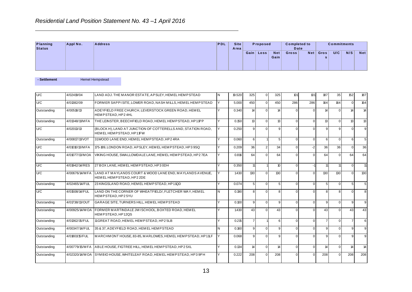**Residential Land Position Statement No. 43 – 1 April 2016**<br> **Planning Appl No.** Address Status PDL Site Area **Gain Completed to**<br>
Date<br>
Gross Net Gros<br>
s **s U/C** N/S Net **C o mpleted to**  plete<br>Date<br><sup>35</sup> **Commitments**<br> **Net Gros** | U/C | N/S | Gain Loss **Status A rea P ro po sed**

| - Settlement | <b>Hemel Hempstead</b> |
|--------------|------------------------|
|--------------|------------------------|

| Planning<br><b>Status</b> | Appl No.       | <b>Address</b>                                                                          | <b>PDL</b>     | <b>Site</b><br>Area |                | Proposed       |                    | <b>Completed to</b><br><b>Date</b> |                  |                 | <b>Commitments</b> |                |                |
|---------------------------|----------------|-----------------------------------------------------------------------------------------|----------------|---------------------|----------------|----------------|--------------------|------------------------------------|------------------|-----------------|--------------------|----------------|----------------|
|                           |                |                                                                                         |                |                     |                | Gain Loss      | <b>Net</b><br>Gain | Gross                              | Net <sub>1</sub> | Gros<br>s       | U/C                | N/S            | <b>Net</b>     |
| - Settlement              |                | <b>Hemel Hempstead</b>                                                                  |                |                     |                |                |                    |                                    |                  |                 |                    |                |                |
| U/C                       | 4/02419/04     | LAND ADJ. THE MANOR ESTATE, APSLEY, HEMEL HEMPSTEAD                                     | N <sub>1</sub> | 19.520              | 325            | $\overline{0}$ | 325                | 101                                | 101              | 187             | 35                 | 152            | 187            |
| U/C                       | 4/01382/09     | FORMER SAPPISITE, LOWER ROAD, NASH MILLS, HEMEL HEMPSTEAD                               | Y              | 5.000               | 450            | $\Omega$       | 450                | 286                                | 286              | 164             | 164                | $\overline{0}$ | 164            |
| Outstanding               | 4/00518/13     | ADEYFIELD FREE CHURCH, LEVERSTOCK GREEN ROAD, HEMEL<br>HEMPSTEAD.HP24HL                 | Y              | 0.340               | 14             | $\overline{0}$ | 14                 | $\mathbf 0$                        | $\pmb{0}$        | 14              | $\overline{0}$     | 14             | 14             |
| Outstanding               | 4/01348/11/MFA | THE LEINSTER, BEECHFIELD ROAD, HEMEL HEMPSTEAD, HP11PP                                  | Υ              | 0.150               | 13             | $\overline{0}$ | 13                 | $\mathbf{0}$                       | $\overline{0}$   | 13              | $\overline{0}$     | 13             | 13             |
| U/C                       | 4/02013/13     | (BLOCK H), LAND AT JUNCTION OF COTTERELLS AND, STATION ROAD,<br>HEMEL HEMPSTEAD, HP11FW | Y              | 0.250               | 9              | $\overline{0}$ | 9                  | $\mathbf 0$                        | $\overline{0}$   | 9               | 9 <sub>l</sub>     | $\overline{0}$ | $\overline{9}$ |
| Outstanding               | 4/00817/11/VOT | 31WOOD LANE END, HEMEL HEM PSTEAD, HP24RA                                               | Y              | 0.060               | 6              |                | 5                  | $\mathbf{0}$                       | $\overline{0}$   | $6 \mid$        | $\overline{0}$     | 6              | 5              |
| U/C                       | 4/01010/13/MFA | 175-189, LONDON ROAD, APSLEY, HEMEL HEMPSTEAD, HP39SQ                                   | ٧              | 0.209               | 36             | 2              | 34                 | $\mathbf 0$                        | $-2$             | 36              | 36                 | $\overline{0}$ | 36             |
| Outstanding               | 4/01077/13/MOA | VIKING HOUSE, SWALLOWDALE LANE, HEM EL HEM PSTEAD, HP27EA                               | Υ              | 0.816               | 64             | $\overline{0}$ | 64                 | $\mathbf 0$                        | $\overline{0}$   | 64              | $\overline{0}$     | 64             | 64             |
| U/C                       | 4/01942/14/RES | 27 BOX LANE, HEM EL HEMPSTEAD, HP3 0DH                                                  | Y              | 0.350               | 11             |                | 10                 | $\mathbf 0$                        | $-1$             | 11              | 11                 | $\overline{0}$ | 11             |
| U/C                       | 4/00676/14/MFA | LAND AT MAYLANDS COURT & WOOD LANE END, MAYLANDS AVENUE,<br>HEMEL HEMPSTEAD, HP22DE     | Υ              | 1.430               | 130            | $\overline{0}$ | 130                | $\mathbf 0$                        | $\overline{0}$   | 130             | 130                | $\overline{0}$ | 130            |
| Outstanding               | 4/02465/14/FUL | 23 KINGSLAND ROAD, HEMEL HEMPSTEAD, HP11QD                                              | Y              | 0.074               | 5              | $\overline{0}$ | 5                  | $\mathbf 0$                        | $\overline{0}$   | 5 <sub>5</sub>  | $\overline{0}$     | 5 <sub>5</sub> | 5              |
| U/C                       | 4/01508/14/FUL | LAND ON THE CORNER OF WHEATFIELD/, FLETCHER WAY, HEMEL<br>HEMPSTEAD, HP25YU             | N              | 0.190               | $\overline{8}$ | $\overline{0}$ | 8                  | $\Omega$                           | $\overline{0}$   | 8 <sup>1</sup>  | $\mathbf{8}$       | $\Omega$       | 8              |
| Outstanding               | 4/01738/13/OUT | GARAGE SITE, TURNERS HILL, HEMEL HEMPSTEAD                                              | Ÿ              | 0.100               | 9              | $\overline{0}$ | 9                  | $\mathbf 0$                        | $\overline{0}$   | 9               | $\Omega$           | $\overline{9}$ | 9              |
| Outstanding               | 4/00925/14/MOA | FORMER MARTINDALE JMISCHOOL, BOXTED ROAD, HEMEL<br>HEMPSTEAD, HP12QS                    | ٧              | 1.430               | 43             | $\overline{0}$ | 43                 | $\mathbf 0$                        | $\overline{0}$   | 43              | $\overline{0}$     | 43             | 43             |
| Outstanding               | 4/01362/15/FUL | 11 GREAT ROAD, HEMEL HEMP STEAD, HP25LB                                                 | Y              | 0.215               | $\overline{7}$ |                | 6                  | $\mathbf 0$                        | $\overline{0}$   | $\overline{7}$  | $\overline{0}$     | $\overline{7}$ | 6              |
| Outstanding               | 4/00347/14/FUL | 35 & 37. ADEYFIELD ROAD. HEMEL HEMPSTEAD                                                | N              | 0.160               | 9              | $\overline{0}$ | 9                  | $\Omega$                           | $\overline{0}$   | 9 <sub>l</sub>  | $\Omega$           | $\overline{9}$ | $\overline{9}$ |
| Outstanding               | 4/01801/15/FUL | MARCHMONT HOUSE, 83-85, MARLOWES, HEMEL HEMPSTEAD, HP11LF                               | Y              | 0.068               | 9              | $\overline{0}$ | $\mathbf{Q}$       | $\Omega$                           | $\overline{0}$   | 9               | $\overline{0}$     | $\overline{9}$ | 9              |
| Outstanding               | 4/00779/15/MFA | ABLE HOUSE, FIGTREE HILL, HEM EL HEMPSTEAD, HP25XL                                      | Υ              | 0.134               | 14             | $\overline{0}$ | 14                 | $\mathbf{0}$                       | $\overline{0}$   | $\vert 4 \vert$ | $\overline{0}$     | 14             | 14             |
| Outstanding               | 4/02320/14/MOA | SYMBIO HOUSE, WHITELEAF ROAD, HEMEL HEMPSTEAD, HP39PH                                   | Υ              | 0.222               | 208            | $\overline{0}$ | 208                | $\mathbf 0$                        | $\overline{0}$   | 208             | $\Omega$           | 208            | 208            |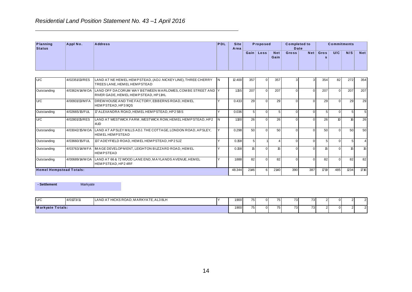|                           |                | Residential Land Position Statement No. 43-1 April 2016                                        |     |                     |      |          |                    |                             |                  |           |                    |     |     |
|---------------------------|----------------|------------------------------------------------------------------------------------------------|-----|---------------------|------|----------|--------------------|-----------------------------|------------------|-----------|--------------------|-----|-----|
| Planning<br><b>Status</b> | Appl No.       | <b>Address</b>                                                                                 | PDL | <b>Site</b><br>Area |      | Proposed |                    | <b>Completed to</b><br>Date |                  |           | <b>Commitments</b> |     |     |
|                           |                |                                                                                                |     |                     | Gain | Loss     | <b>Net</b><br>Gain | Gross                       | Net <sub>l</sub> | Gros<br>s | U/C                | N/S | Net |
| U/C                       | 4/02351/13/RES | LAND AT NE HEM EL HEMPSTEAD, (ADJ. NICKEY LINE), THREE CHERRY<br>TREES LANE, HEM EL HEMP STEAD | ΙN  | 12.400              | 357  | 01       | 357                |                             |                  | 354       | 82                 | 272 | 354 |

| Planning<br><b>Status</b>      | Appl No.       | <b>Address</b>                                                                                                                                  | PDL | <b>Site</b><br>Area |                | Proposed       |                    | <b>Completed to</b><br><b>Date</b> |             |                      | <b>Commitments</b> |                 |                         |
|--------------------------------|----------------|-------------------------------------------------------------------------------------------------------------------------------------------------|-----|---------------------|----------------|----------------|--------------------|------------------------------------|-------------|----------------------|--------------------|-----------------|-------------------------|
|                                |                |                                                                                                                                                 |     |                     |                | Gain Loss      | <b>Net</b><br>Gain | Gross                              | Net         | Gros<br>$\mathbf{s}$ | U/C                | N/S             | <b>Net</b>              |
| U/C                            | 4/02351/13/RES | LAND AT NE HEM EL HEMPSTEAD, (ADJ. NICKEY LINE), THREE CHERRY                                                                                   | IN. | 12.400              | 357            | $\overline{0}$ | 357                | 3                                  | 3           | 354                  | 82                 | 272             | 354                     |
| Outstanding                    |                | TREES LANE, HEM EL HEMPSTEAD<br>4/03624/14/MOA LAND OFF DACORUM WAY BETWEEN MARLOWES, COMBE STREET AND Y<br>RIVER GADE, HEMEL HEMPSTEAD, HP11HL |     | 1.155               | 207            | $\overline{0}$ | 207                | $\mathbf 0$                        | $\mathbf 0$ | 207                  | $\overline{0}$     | 207             | 207                     |
| U/C                            | 4/00931/13/MFA | DREW HOUSE AND THE FACTORY, EBBERNS ROAD, HEMEL<br>HEMPSTEAD, HP39QS                                                                            | Y   | 0.433               | 29             | $\overline{0}$ | 29                 | $\mathbf 0$                        | $\mathbf 0$ | 29                   | $\overline{0}$     | 29              | 29                      |
| Outstanding                    | 4/02665/15/FUL | 17 ALEXANDRA ROAD, HEM EL HEM PSTEAD, HP2 5BS                                                                                                   | Y   | 0.036               | 5 <sup>1</sup> | $\overline{0}$ | 5 <sup>1</sup>     | $\mathbf 0$                        | $\mathbf 0$ | $5\overline{)}$      | $\overline{0}$     | $5\overline{)}$ | $\overline{5}$          |
| U/C                            | 4/02801/15/RES | LAND AT WESTWICK FARM, WESTWICK ROW, HEMEL HEMPSTEAD, HP2<br>4UD                                                                                | IN. | 1.100               | 26             | $\overline{0}$ | 26                 | $\mathbf 0$                        | $\pmb{0}$   | 26                   | 10 <sup>10</sup>   | 16              | 26                      |
| Outstanding                    | 4/03042/15/MOA | LAND AT APSLEY MILLS ADJ. THE COTTAGE, LONDON ROAD, APSLEY,<br><b>HEMELHEMPSTEAD</b>                                                            | İΥ  | 0.298               | 50             | $\overline{0}$ | 50                 | $\mathbf 0$                        | $\mathbf 0$ | 50                   | $\overline{0}$     | 50              | 50                      |
| Outstanding                    | 4/03660/15/FUL | 137 ADEYFIELD ROAD, HEMEL HEMPSTEAD, HP2 5JZ                                                                                                    | Y   | 0.158               | 5 <sup>1</sup> |                | $\vert$ 4          | $\Omega$                           | $\mathbf 0$ | 5 <sup>1</sup>       | $\overline{0}$     | 5 <sup>5</sup>  | $\overline{\mathbf{4}}$ |
| Outstanding                    | 4/03763/14/MFA | IMAGE DEVELOPMENT, LEIGHTON BUZZARD ROAD, HEMEL<br><b>HEMPSTEAD</b>                                                                             | Y   | 0.158               | 15             | $\overline{0}$ | 15                 | $\mathbf 0$                        | $\mathbf 0$ | 15                   | $\overline{0}$     | 15              | 15                      |
| Outstanding                    |                | 4/00689/14/M OA LAND AT 66 & 72 WOOD LANE END, MAYLANDS AVENUE, HEMEL<br>HEMPSTEAD, HP24RF                                                      | Y   | 1.888               | 82             | $\overline{0}$ | 82                 | $\mathbf 0$                        | $\mathbf 0$ | 82                   | $\overline{0}$     | 82              | 82                      |
| <b>Hemel Hempstead Totals:</b> |                |                                                                                                                                                 |     | 48.344              | 2146           | $6 \mid$       | 2140               | 390                                | 387         | 1719                 | 485                | 1234            | 1716                    |
| - Settlement                   | Markyate       |                                                                                                                                                 |     |                     |                |                |                    |                                    |             |                      |                    |                 |                         |
| U/C                            | 4/01173/11     | LAND AT HICKS ROAD, MARKYATE, AL3 8LH                                                                                                           | l Y | 1.900               | 75             | $\overline{0}$ | 75                 | 73                                 | 73          | $2 \vert$            | $\overline{0}$     | $\overline{c}$  | $\overline{2}$          |
| <b>Markyate Totals:</b>        |                |                                                                                                                                                 |     | 1.900               | 75             | $\overline{0}$ | 75                 | 73                                 | 73          | 2 <sup>1</sup>       | $\circ$            | $\overline{2}$  | $\mathbf 2$             |
|                                |                |                                                                                                                                                 |     |                     |                |                |                    |                                    |             |                      |                    |                 |                         |
|                                |                |                                                                                                                                                 |     |                     |                |                |                    |                                    |             |                      |                    |                 |                         |
|                                |                |                                                                                                                                                 |     |                     |                |                |                    |                                    |             |                      |                    |                 |                         |
|                                |                |                                                                                                                                                 |     |                     |                |                |                    |                                    |             |                      |                    |                 |                         |
|                                |                |                                                                                                                                                 |     |                     |                |                |                    |                                    |             |                      |                    |                 |                         |

| - Settlement            | Markyate   |                                       |       |      |          |    |  |     |      |  |
|-------------------------|------------|---------------------------------------|-------|------|----------|----|--|-----|------|--|
| U/C                     | 4/01173/11 | LAND AT HICKS ROAD, MARKYATE, AL3 8LH | 1.900 | 75 I | $\Omega$ | 75 |  | 731 | 73)  |  |
| <b>Markyate Totals:</b> |            |                                       | 1.900 | 751  | ΩI       | 75 |  | 731 | 73 I |  |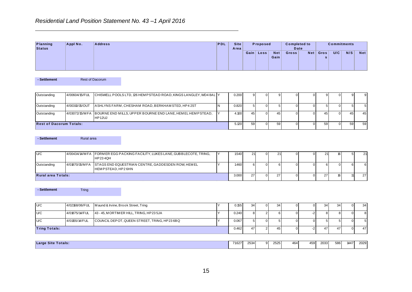|                    |          | Residential Land Position Statement No. 43-1 April 2016 |     |                     |           |                    |                     |      |           |     |                    |            |
|--------------------|----------|---------------------------------------------------------|-----|---------------------|-----------|--------------------|---------------------|------|-----------|-----|--------------------|------------|
| Planning<br>Status | Appl No. | <b>Address</b>                                          | PDL | <b>Site</b><br>Area | Proposed  |                    | <b>Completed to</b> | Date |           |     | <b>Commitments</b> |            |
|                    |          |                                                         |     |                     | Gain Loss | <b>Net</b><br>Gain | <b>Gross</b>        | Net  | Gros<br>s | U/C | N/S                | <b>Net</b> |

| Planning<br><b>Status</b>      | Appl No.                     | <b>Address</b>                                                                | PDL | <b>Site</b><br>Area |                | Proposed       |                    | <b>Completed to</b><br>Date |                |                  | <b>Commitments</b> |                |                |
|--------------------------------|------------------------------|-------------------------------------------------------------------------------|-----|---------------------|----------------|----------------|--------------------|-----------------------------|----------------|------------------|--------------------|----------------|----------------|
|                                |                              |                                                                               |     |                     |                | Gain Loss      | <b>Net</b><br>Gain | Gross                       | Net            | Gros<br>s        | U/C                | N/S            | <b>Net</b>     |
| - Settlement                   |                              | Rest of Dacorum                                                               |     |                     |                |                |                    |                             |                |                  |                    |                |                |
| Outstanding                    | 4/00604/15/FUL               | CHISWELL POOLS LTD, 126 HEM PSTEAD ROAD, KINGS LANGLEY, WD4 8AL   Y           |     | 0.200               | 9 <sub>o</sub> | $\overline{0}$ | 9                  | $\Omega$                    | $\overline{0}$ | $\overline{9}$   | $\mathbf 0$        | 9              | $9\,$          |
|                                |                              |                                                                               |     |                     |                |                |                    |                             |                |                  |                    |                |                |
| Outstanding                    | 4/00310/15/OUT               | ASHLYNS FARM, CHESHAM ROAD, BERKHAM STED, HP42ST                              | N   | 0.820               | 5 <sup>1</sup> | $\overline{0}$ | 5                  | $\mathbf 0$                 | $\overline{0}$ | 5 <sup>1</sup>   | $\mathbf 0$        | $\,$ 5 $\,$    | $\sqrt{5}$     |
| Outstanding                    | 4/03072/15/MFA               | BOURNE END MILLS, UPPER BOURNE END LANE, HEMEL HEMPSTEAD,<br><b>HP12UJ</b>    | Y   | 4.100               | 45             | $\overline{0}$ | 45                 | $\pmb{0}$                   | $\overline{0}$ | 45               | $\overline{0}$     | 45             | 45             |
| <b>Rest of Dacorum Totals:</b> |                              |                                                                               |     | 5.120               | 59             | $\overline{0}$ | 59                 | $\mathbf 0$                 | $\overline{0}$ | 59               | $\overline{0}$     | 59             | 59             |
| - Settlement<br>U/C            | Rural area<br>4/00434/14/MFA |                                                                               | Y   |                     |                |                |                    |                             |                |                  |                    |                |                |
|                                |                              | FORMER EGG PACKING FACILITY, LUKES LANE, GUBBLECOTE, TRING,<br><b>HP234QH</b> |     | 1.540               | 21             | $\overline{0}$ | 21                 | 0                           | $\overline{0}$ | 21               | 16                 | $\sqrt{5}$     | 21             |
| Outstanding                    | 4/01870/15/MFA               | STAGS END EQUESTRIAN CENTRE, GADDESDEN ROW, HEMEL<br>HEMPSTEAD, HP26HN        | Y   | 1.460               | $6 \mid$       | $\overline{0}$ | 6                  | $\mathbf 0$                 | $\overline{0}$ | $6 \overline{6}$ | $\overline{0}$     | $\sqrt{6}$     | $\,$ 6 $\,$    |
| <b>Rural area Totals:</b>      |                              |                                                                               |     | 3.000               | 27             | $\overline{0}$ | $\overline{27}$    | $\mathbf 0$                 | $\overline{0}$ | $\overline{27}$  | 16                 | 11             | 27             |
| - Settlement                   | Tring                        |                                                                               |     |                     |                |                |                    |                             |                |                  |                    |                |                |
| U/C                            | 4/02168/06/FUL               | Maund & Irvine, Brook Street, Tring                                           | Υ   | 0.155               | 34             | $\overline{0}$ | 34                 | $\mathbf 0$                 | $\overline{0}$ | 34               | 34                 | $\bf 0$        | 34             |
| U/C                            | 4/01875/14/FUL               | 43 - 45, MORTIMER HILL, TRING, HP23 5JA                                       | Y   | 0.240               | $\bf{8}$       | 2 <sup>1</sup> | 6                  | $\mathbf 0$                 | $-2$           | 8 <sup>1</sup>   | 8 <sup>1</sup>     | $\overline{0}$ | $\bf 8$        |
| U/C                            | 4/01155/14/FUL               | COUNCIL DEPOT, QUEEN STREET, TRING, HP23 6BQ                                  | Υ   | 0.067               | 5 <sup>1</sup> | $\circ$        | 5 <sub>5</sub>     | $\pmb{0}$                   | $\overline{0}$ | 5 <sup>1</sup>   | 5 <sup>5</sup>     | $\overline{0}$ | 5 <sup>1</sup> |
| <b>Tring Totals:</b>           |                              |                                                                               |     | 0.462               | 47             | 2 <sub>1</sub> | 45                 | $\mathbf 0$                 | $-2$           | 47               | 47                 | $\overline{0}$ | 47             |
|                                | <b>Large Site Totals:</b>    |                                                                               |     | 71.627              | 2534           | 9 <sub>l</sub> | 2525               | 464                         | 459            | 2033             | 586                | 1447           | 2029           |

| - Settlement              | Rural area                                                                 |                                                   |
|---------------------------|----------------------------------------------------------------------------|---------------------------------------------------|
|                           |                                                                            |                                                   |
| U/C                       | 4/00434/14/MFA FORMER EGG PACKING FACILITY, LUKES LANE, GUBBLECOTE, TRING, |                                                   |
|                           |                                                                            | HP234QH                                           |
| Outstanding               | 4/01870/15/MFA                                                             | STAGS END EQUESTRIAN CENTRE, GADDESDEN ROW, HEMEL |
|                           |                                                                            | HEMPSTEAD, HP2 6HN                                |
| <b>Rural area Totals:</b> |                                                                            |                                                   |

| - Settlement         | <b>Tring</b>   |                                     |                                              |       |                |     |  |    |    |  |
|----------------------|----------------|-------------------------------------|----------------------------------------------|-------|----------------|-----|--|----|----|--|
|                      |                |                                     |                                              |       |                |     |  |    |    |  |
|                      |                |                                     |                                              |       |                |     |  |    |    |  |
| U/C                  | 4/02168/06/FUL | Maund & Irvine, Brook Street, Tring |                                              | 0.155 | 34             | -34 |  | 34 | 34 |  |
| U/C                  | 4/01875/14/FUL |                                     | 43 - 45, MORTIMER HILL, TRING, HP23 5JA      | 0.240 | 81             | 6 I |  |    |    |  |
| U/C                  | 4/01155/14/FUL |                                     | COUNCIL DEPOT, QUEEN STREET, TRING, HP23 6BQ | 0.067 | 5 <sup>1</sup> |     |  |    |    |  |
| <b>Tring Totals:</b> |                |                                     |                                              | 0.462 | 47             | 45  |  | 47 | 47 |  |
|                      |                |                                     |                                              |       |                |     |  |    |    |  |

| Large Site Totals: | 71627 | 2534 | ດເ | 2525 | 464 | 459 | 2033 | 586 | 1447 | 2029 |
|--------------------|-------|------|----|------|-----|-----|------|-----|------|------|
|--------------------|-------|------|----|------|-----|-----|------|-----|------|------|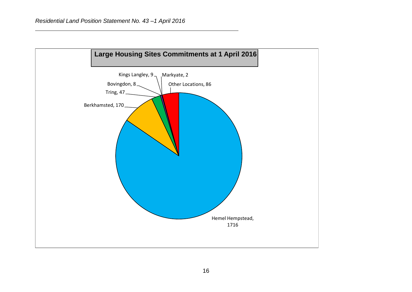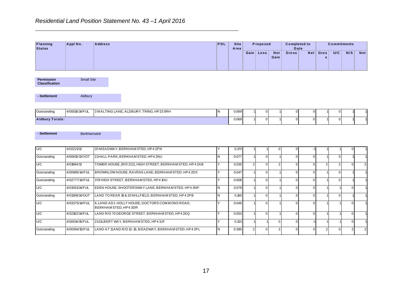|                                            |                   |                | Residential Land Position Statement No. 43-1 April 2016 |            |                     |             |          |                    |                             |     |           |                    |     |     |
|--------------------------------------------|-------------------|----------------|---------------------------------------------------------|------------|---------------------|-------------|----------|--------------------|-----------------------------|-----|-----------|--------------------|-----|-----|
|                                            |                   |                |                                                         |            |                     |             |          |                    |                             |     |           |                    |     |     |
| <b>Planning</b><br><b>Status</b>           | Appl No.          | <b>Address</b> |                                                         | <b>PDL</b> | <b>Site</b><br>Area |             | Proposed |                    | <b>Completed to</b><br>Date |     |           | <b>Commitments</b> |     |     |
|                                            |                   |                |                                                         |            |                     | $Gain \mid$ | Loss     | <b>Net</b><br>Gain | Gross                       | Net | Gros<br>s | U/C                | N/S | Net |
|                                            |                   |                |                                                         |            |                     |             |          |                    |                             |     |           |                    |     |     |
| <b>Permission</b><br><b>Classification</b> | <b>Small Site</b> |                |                                                         |            |                     |             |          |                    |                             |     |           |                    |     |     |
| - Settlement                               | Aldbury           |                |                                                         |            |                     |             |          |                    |                             |     |           |                    |     |     |
| Outstanding                                | 4/00016/14/FUL    |                | 3 MALTING LANE, ALDBURY, TRING, HP23 5RH                | N          | 0.069               |             |          |                    |                             |     |           |                    |     |     |
|                                            |                   |                |                                                         |            |                     |             |          |                    |                             |     |           |                    |     |     |
| <b>Aldbury Totals:</b>                     |                   |                |                                                         |            | 0.069               |             |          |                    | $\Omega$                    | 0   |           | $\overline{0}$     |     |     |

| Outstanding            | 14/00016/14/FU. | 13 MALTING LANE, ALDBURY, TRING, HP23 5RH | 0.069 | , |  |  |  |  |
|------------------------|-----------------|-------------------------------------------|-------|---|--|--|--|--|
| <b>Aldbury Totals:</b> |                 |                                           | 0.069 |   |  |  |  |  |

| Planning<br><b>Status</b>                  | Appl No.          | <b>Address</b>                                                           | PDL            | <b>Site</b><br>Area |            | Proposed       |                    | <b>Completed to</b><br>Date |                |                         | <b>Commitments</b> |                |                |
|--------------------------------------------|-------------------|--------------------------------------------------------------------------|----------------|---------------------|------------|----------------|--------------------|-----------------------------|----------------|-------------------------|--------------------|----------------|----------------|
|                                            |                   |                                                                          |                |                     |            | Gain Loss      | <b>Net</b><br>Gain | Gross                       | Net            | Gros<br>$\mathbf{s}$    | U/C                | N/S            | <b>Net</b>     |
| <b>Permission</b><br><b>Classification</b> | <b>Small Site</b> |                                                                          |                |                     |            |                |                    |                             |                |                         |                    |                |                |
| - Settlement                               | Aldbury           |                                                                          |                |                     |            |                |                    |                             |                |                         |                    |                |                |
| Outstanding                                | 4/00016/14/FUL    | 3 MALTING LANE, ALDBURY, TRING, HP23 5RH                                 | IN.            | 0.069               |            | $\overline{0}$ |                    | $\Omega$                    | $\pmb{0}$      |                         | $\overline{0}$     |                |                |
| <b>Aldbury Totals:</b>                     |                   |                                                                          |                | 0.069               |            | $\overline{0}$ |                    | $\Omega$                    | $\overline{0}$ |                         | $\overline{0}$     |                |                |
| - Settlement                               | Berkhamsted       |                                                                          |                |                     |            |                |                    |                             |                |                         |                    |                |                |
| U/C                                        | 4/02221/12        | 20 MEADWAY, BERKHAM STED, HP4 2PN                                        | lY.            | 0.170               |            |                | $\overline{0}$     | $\Omega$                    | $-1$           |                         | $\mathbf{1}$       | $\overline{0}$ |                |
| Outstanding                                | 4/00615/13/VOT    | 21HALL PARK, BERKHAM STED, HP42NU                                        | IN.            | 0.077               |            | $\overline{0}$ |                    | $\mathbf 0$                 | $\overline{0}$ |                         | $\overline{0}$     |                |                |
| U/C                                        | 4/01884/13        | TOWER HOUSE, (R/0 222), HIGH STREET, BERKHAM STED, HP4 2AB               | Y              | 0.035               | $\sqrt{2}$ | 0              | 2 <sup>1</sup>     | $\Omega$                    | $\mathbf 0$    | $\overline{\mathbf{c}}$ | 2 <sub>1</sub>     | $\overline{0}$ | 2 <sub>1</sub> |
| Outstanding                                | 4/00985/14/FUL    | BROWNLOW HOUSE, RAVENS LANE, BERKHAM STED, HP4 2DX                       | Y              | 0.047               |            | $\overline{0}$ |                    | $\Omega$                    | $\mathbf 0$    |                         | $\overline{0}$     |                |                |
| Outstanding                                | 4/02777/14/FUL    | 378 HIGH STREET, BERKHAM STED, HP4 1HU                                   | Y              | 0.008               |            | $\overline{0}$ |                    | $\Omega$                    | $\mathbf 0$    |                         | $\overline{0}$     |                |                |
| U/C                                        | 4/03051/14/FUL    | EDEN HOUSE, SHOOTERSWAY LANE, BERKHAM STED, HP4 3NP                      | IN.            | 0.078               |            | $\overline{0}$ |                    | $\Omega$                    | $\mathbf 0$    |                         |                    | $\overline{0}$ |                |
| Outstanding                                | 4/01369/14/OUT    | LAND TO REAR 18 & 20 MILLFIELD, BERKHAM STED, HP4 2PB                    | l N            | 0.160               |            | $\overline{0}$ |                    | $\Omega$                    | $\mathbf 0$    |                         | $\overline{0}$     |                |                |
| U/C                                        | 4/03375/14/FUL    | 6, LAND ADJ. HOLLY HOUSE, DOCTORS COMMONS ROAD,<br>BERKHAM STED, HP4 3DR | Y              | 0.046               |            | 0              |                    | $\Omega$                    | $\mathbf 0$    |                         |                    | $\Omega$       |                |
| U/C                                        | 4/02162/14/FUL    | LAND R/O 70 GEORGE STREET, BERKHAM STED, HP4 2EQ                         | $\overline{Y}$ | 0.053               |            | $\overline{0}$ |                    | $\Omega$                    | $\mathbf 0$    |                         |                    | $\overline{0}$ |                |
| U/C                                        | 4/00014/15/FUL    | 21GILBERT WAY, BERKHAM STED, HP43JF                                      | Y              | 0.133               |            |                | $\overline{0}$     | $\Omega$                    | $-1$           |                         |                    | $\overline{0}$ |                |
| Outstanding                                | 4/00394/15/FUL    | LAND AT 11 AND R/O 13 - 15, MEADWAY, BERKHAM STED, HP4 2PL               | IN.            | 0.385               | $\sqrt{2}$ | $\overline{0}$ | 2 <sub>1</sub>     | $\Omega$                    | $\overline{0}$ | $\overline{2}$          | $\overline{0}$     | 2 <sup>1</sup> | $\overline{2}$ |
|                                            |                   | 17                                                                       |                |                     |            |                |                    |                             |                |                         |                    |                |                |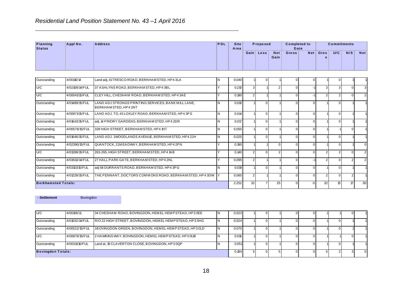|                           |                 | Residential Land Position Statement No. 43-1 April 2016 |              |                     |        |          |               |                     |                  |           |                    |     |            |
|---------------------------|-----------------|---------------------------------------------------------|--------------|---------------------|--------|----------|---------------|---------------------|------------------|-----------|--------------------|-----|------------|
| Planning<br><b>Status</b> | Appl No.        | <b>Address</b>                                          | PDL          | <b>Site</b><br>Area |        | Proposed |               | <b>Completed to</b> | Date             |           | <b>Commitments</b> |     |            |
|                           |                 |                                                         |              |                     | Gain   | Loss     | Net  <br>Gain | <b>Gross</b>        | Net <sub>1</sub> | Gros<br>s | U/C                | N/S | <b>Net</b> |
| Outstanding               | 4/00116/14      | Land adj, 41TRESCO ROAD, BERKHAM STED, HP4 3LA          |              | 0.040               |        |          |               |                     |                  |           |                    |     |            |
| $\overline{\phantom{a}}$  | 110010011117711 |                                                         | . . <i>.</i> | 0.010               | $\sim$ |          |               |                     |                  | $\sim$ 1  |                    |     |            |

| Planning<br><b>Status</b>  | Appl No.       | <b>Address</b>                                                               | PDL            | <b>Site</b><br>Area |                | Proposed       |                    | <b>Completed to</b><br><b>Date</b> |                |                      | <b>Commitments</b> |                |                |
|----------------------------|----------------|------------------------------------------------------------------------------|----------------|---------------------|----------------|----------------|--------------------|------------------------------------|----------------|----------------------|--------------------|----------------|----------------|
|                            |                |                                                                              |                |                     |                | Gain Loss      | <b>Net</b><br>Gain | Gross                              | <b>Net</b>     | Gros<br>$\mathbf{s}$ | U/C                | N/S            | <b>Net</b>     |
|                            |                |                                                                              |                |                     |                |                |                    |                                    |                |                      |                    |                |                |
| Outstanding                | 4/00116/14     | Land adj, 41TRESCO ROAD, BERKHAM STED, HP4 3LA                               | N              | 0.040               |                | $\mathbf 0$    |                    | $\Omega$                           | $\mathbf 0$    |                      | $\overline{0}$     |                |                |
| U/C                        | 4/02108/14/FUL | 37 A SHLYNS ROAD, BERKHAM STED, HP43BL                                       | Y              | 0.210               | $\overline{3}$ |                | 2 <sup>1</sup>     | $\Omega$                           | ÷,             | 3                    | $\overline{3}$     | $\Omega$       | $\mathbf{3}$   |
| U/C                        | 4/00041/15/FUL | CLEY HILL, CHESHAM ROAD, BERKHAM STED, HP43AE                                | Υ              | 0.190               | $\sqrt{2}$     |                |                    | $\Omega$                           | $-1$           | $\overline{2}$       | 2 <sup>1</sup>     | $\Omega$       | $\overline{2}$ |
| Outstanding                | 4/01489/15/FUL | LAND ADJ STRONGS PRINTING SERVICES, BANK MILL LANE,<br>BERKHAM STED, HP4 2NT | N              | 0.010               |                | $\overline{0}$ |                    | $\mathbf 0$                        | $\overline{0}$ |                      | $\overline{0}$     |                |                |
| Outstanding                | 4/00871/15/FUL | LAND ADJ. TO, 43 LOXLEY ROAD, BERKHAM STED, HP4 3PS                          | N              | 0.014               |                | $\overline{0}$ |                    | $\mathbf 0$                        | $\overline{0}$ |                      | $\overline{0}$     |                |                |
| Outstanding                | 4/01643/15/FUL | adj. 14 PRIORY GARDENS, BERKHAM STED, HP4 2DR                                | N              | 0.017               |                | $\overline{0}$ |                    | $\mathbf 0$                        | $\mathbf 0$    |                      | $\overline{0}$     |                |                |
| Outstanding                | 4/00578/15/FUL | 328 HIGH STREET, BERKHAM STED, HP4 1HT                                       | N              | 0.050               |                | $\overline{0}$ |                    | $\overline{0}$                     | $\overline{0}$ |                      |                    | $\overline{0}$ |                |
| Outstanding                | 4/01646/15/FUL | LAND ADJ. 1WOODLANDS AVENUE, BERKHAM STED, HP42JH                            | N              | 0.025               |                | $\overline{0}$ |                    | $\overline{0}$                     | $\overline{0}$ |                      | $\overline{0}$     |                |                |
| Outstanding                | 4/02390/15/FUL | QUANTOCK, 21M EADWAY, BERKHAM STED, HP4 2PN                                  | Υ              | 0.190               |                | 1              | $\Omega$           | $\Omega$                           | $\overline{0}$ |                      | $\overline{0}$     |                | $\overline{0}$ |
| U/C                        | 4/01288/15/FUL | 263-265, HIGH STREET, BERKHAM STED, HP4 1AB                                  | Y              | 0.140               | $\overline{2}$ | $\overline{0}$ | 2 <sub>1</sub>     | $\overline{0}$                     | $\overline{0}$ | $\overline{2}$       | $\overline{2}$     | $\overline{0}$ | $\overline{2}$ |
| Outstanding                | 4/03613/14/FUL | 27 HALL PARK GATE, BERKHAM STED, HP4 2NL                                     | Υ              | 0.095               | $\overline{2}$ | 1              |                    | $\mathbf{0}$                       | $-1$           | 2                    | $\overline{0}$     | 2 <sup>1</sup> | $\overline{2}$ |
| Outstanding                | 4/03101/15/FUL | adj 58 DURRANTS ROAD, BERKHAM STED, HP4 3PG                                  | N              | 0.019               |                | $\overline{0}$ |                    | $\mathbf 0$                        | $\overline{0}$ |                      | $\overline{0}$     |                |                |
| Outstanding                | 4/01228/15/FUL | THE PENNANT, DOCTORS COMMONS ROAD, BERKHAM STED, HP4 3DW Y                   |                | 0.060               | 2              |                |                    | $\Omega$                           | $\overline{0}$ | $\overline{2}$       | $\overline{0}$     | $\overline{2}$ |                |
| <b>Berkhamsted Totals:</b> |                |                                                                              |                | 2.252               | 32             | $\overline{7}$ | 25                 | $\Omega$                           | -5             | 32                   | 15                 | $17\,$         | 30             |
| - Settlement               | Bovingdon      |                                                                              |                |                     |                |                |                    |                                    |                |                      |                    |                |                |
| U/C                        | 4/00106/11     | 34 CHESHAM ROAD, BOVINGDON, HEM EL HEM PSTEAD, HP3 0EE                       | N              | 0.023               |                | $\overline{0}$ |                    | $\mathbf 0$                        | $\overline{0}$ |                      |                    | $\Omega$       |                |
| Outstanding                | 4/01032/14/FUL | R/O 22 HIGH STREET, BOVINGDON, HEMEL HEMPSTEAD, HP3 0HG                      | N              | 0.024               |                | $\overline{0}$ |                    | $\Omega$                           | $\overline{0}$ |                      | $\overline{0}$     |                |                |
| Outstanding                | 4/00522/15/FUL | 1BOVINGDON GREEN, BOVINGDON, HEMEL HEMPSTEAD, HP3 0LD                        | N <sub>1</sub> | 0.070               |                | $\overline{0}$ |                    | $\overline{0}$                     | $\Omega$       |                      | $\overline{0}$     |                |                |
| U/C                        | 4/00876/15/FUL | 2 HAWKINS WAY, BOVINGDON, HEM EL HEM PSTEAD, HP3 OUB                         | N              | 0.016               |                | $\overline{0}$ |                    | $\mathbf 0$                        | $\overline{0}$ |                      |                    | $\Omega$       |                |
| Outstanding                | 4/00311/16/FUL | Land at, 19 CLA VERTON CLOSE, BOVINGDON, HP3 0QP                             | N              | 0.051               |                | $\overline{0}$ |                    | $\Omega$                           | $\mathbf 0$    |                      | $\overline{0}$     |                |                |
| <b>Bovingdon Totals:</b>   |                |                                                                              |                | 0.184               | 5 <sup>5</sup> | $\overline{0}$ | 5 <sub>5</sub>     | $\overline{0}$                     | $\overline{0}$ | 5 <sup>5</sup>       | $\vert$ 2          | $\overline{3}$ | 5              |
|                            |                |                                                                              |                |                     |                |                |                    |                                    |                |                      |                    |                |                |

| - Settlement             | Bovingdon      |                                                 |                                                         |    |       |  |  |  |  |
|--------------------------|----------------|-------------------------------------------------|---------------------------------------------------------|----|-------|--|--|--|--|
|                          |                |                                                 |                                                         |    |       |  |  |  |  |
| U/C                      | 4/00106/11     |                                                 | 34 CHESHAM ROAD, BOVINGDON, HEMEL HEMPSTEAD, HP3 0EE    |    | 0.023 |  |  |  |  |
| Outstanding              | 4/01032/14/FUL |                                                 | R/O 22 HIGH STREET, BOVINGDON, HEMEL HEMPSTEAD, HP3 0HG |    | 0.024 |  |  |  |  |
| Outstanding              | 4/00522/15/FUL |                                                 | 1BOVINGDON GREEN, BOVINGDON, HEMEL HEMPSTEAD, HP3 0LD   | IΝ | 0.070 |  |  |  |  |
| U/C                      | 4/00876/15/FUL |                                                 | 2 HAWKINS WAY, BOVINGDON, HEM EL HEM PSTEAD, HP3 OUB    |    | 0.016 |  |  |  |  |
| Outstanding              | 4/00311/16/FUL | Land at, 19 CLAVERTON CLOSE, BOVINGDON, HP3 0QP |                                                         |    | 0.051 |  |  |  |  |
| <b>Bovingdon Totals:</b> |                |                                                 |                                                         |    | 0.184 |  |  |  |  |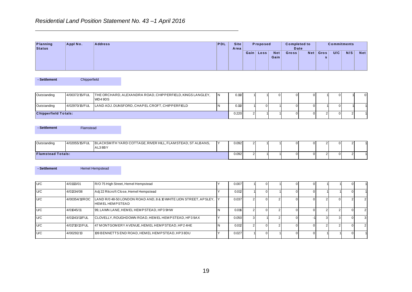|          |          | Residential Land Position Statement No. 43-1 April 2016 |     |             |           |                    |                     |     |           |     |                    |            |
|----------|----------|---------------------------------------------------------|-----|-------------|-----------|--------------------|---------------------|-----|-----------|-----|--------------------|------------|
| Planning | Appl No. | <b>Address</b>                                          | PDL | <b>Site</b> | Proposed  |                    | <b>Completed to</b> |     |           |     | <b>Commitments</b> |            |
| Status   |          |                                                         |     | Area        |           |                    | Date                |     |           |     |                    |            |
|          |          |                                                         |     |             | Gain Loss | <b>Net</b><br>Gain | <b>Gross</b>        | Net | Gros<br>s | U/C | N/S                | <b>Net</b> |

| Outstanding | 4/00372/15/FUL              | THE ORCHARD, ALEXANDRA ROAD, CHIPPERFIELD, KINGS LANGLEY,<br>WD4 9DS |  | 0.110 |       |  |  |  |  |
|-------------|-----------------------------|----------------------------------------------------------------------|--|-------|-------|--|--|--|--|
| Outstanding | 4/02970/15/FUL              | LAND ADJ. DUNSFORD, CHAPEL CROFT, CHIPPERFIELD                       |  | 0.110 |       |  |  |  |  |
|             | <b>Chipperfield Totals:</b> |                                                                      |  |       | 0.220 |  |  |  |  |

| - Settlement             | Flamstead |        |                                                                            |                        |       |  |  |  |  |  |
|--------------------------|-----------|--------|----------------------------------------------------------------------------|------------------------|-------|--|--|--|--|--|
| Outstanding              |           | AL38BY | 4/02055/15/FUL BLACKSMITH YARD COTTAGE, RIVER HILL, FLAM STEAD, ST ALBANS, | $\mathsf{I}\mathsf{v}$ | 0.092 |  |  |  |  |  |
| <b>Flamstead Totals:</b> |           |        |                                                                            |                        | 0.092 |  |  |  |  |  |

| Chipperfield<br>4/00372/15/FUL |                                                                      |                                                                                                                                                                                                                                                                                                                           | Area  |                         | Gain Loss      | <b>Net</b><br>Gain               | <b>Date</b><br>Gross | Net            | Gros<br>s      | U/C             | N/S            | <b>Net</b>     |
|--------------------------------|----------------------------------------------------------------------|---------------------------------------------------------------------------------------------------------------------------------------------------------------------------------------------------------------------------------------------------------------------------------------------------------------------------|-------|-------------------------|----------------|----------------------------------|----------------------|----------------|----------------|-----------------|----------------|----------------|
|                                |                                                                      |                                                                                                                                                                                                                                                                                                                           |       |                         |                |                                  |                      |                |                |                 |                |                |
|                                |                                                                      |                                                                                                                                                                                                                                                                                                                           |       |                         |                |                                  |                      |                |                |                 |                |                |
|                                | THE ORCHARD, ALEXANDRA ROAD, CHIPPERFIELD, KINGS LANGLEY,<br>WD4 9DS | N                                                                                                                                                                                                                                                                                                                         | 0.110 |                         |                | $\Omega$                         | $\mathbf 0$          | $\overline{0}$ |                | $\mathbf 0$     |                | $\mathbf 0$    |
| 4/02970/15/FUL                 | LAND ADJ. DUNSFORD, CHAPEL CROFT, CHIPPERFIELD                       | $\overline{N}$                                                                                                                                                                                                                                                                                                            | 0.110 |                         | $\overline{0}$ |                                  | $\mathbf 0$          | $\overline{0}$ |                | $\overline{0}$  |                |                |
| <b>Chipperfield Totals:</b>    |                                                                      |                                                                                                                                                                                                                                                                                                                           | 0.220 | $\overline{2}$          |                |                                  | $\mathbf 0$          | $\overline{0}$ | 2 <sub>1</sub> | $\overline{0}$  | 2              |                |
|                                |                                                                      |                                                                                                                                                                                                                                                                                                                           |       |                         |                |                                  |                      |                |                |                 |                |                |
| 4/02055/15/FUL                 | AL38BY                                                               | Y                                                                                                                                                                                                                                                                                                                         | 0.092 | $\overline{\mathbf{c}}$ |                |                                  | $\pmb{0}$            | $\overline{0}$ | $2 \mid$       | $\overline{0}$  | $\overline{2}$ |                |
| <b>Flamstead Totals:</b>       |                                                                      |                                                                                                                                                                                                                                                                                                                           | 0.092 | $\overline{2}$          |                |                                  | $\mathbf 0$          |                | $2 \mid$       | $\overline{0}$  | $\overline{2}$ |                |
|                                |                                                                      |                                                                                                                                                                                                                                                                                                                           |       |                         |                |                                  |                      |                |                |                 |                |                |
| 4/01113/01                     | R/O 75 High Street, Hemel Hempstead                                  | Y                                                                                                                                                                                                                                                                                                                         | 0.007 |                         | $\overline{0}$ |                                  | $\mathsf 0$          | $\overline{0}$ |                |                 | $\overline{0}$ |                |
| 4/01334/08                     |                                                                      | Y                                                                                                                                                                                                                                                                                                                         | 0.012 |                         | $\overline{0}$ |                                  | $\mathbf 0$          | $\overline{0}$ |                |                 | $\overline{0}$ |                |
| 4/00354/11/ROC                 | <b>HEMELHEMPSTEAD</b>                                                | lΥ                                                                                                                                                                                                                                                                                                                        | 0.037 | $\overline{2}$          | $\overline{0}$ | $\overline{2}$                   | $\mathbf 0$          | $\overline{0}$ | 2 <sup>1</sup> | $\overline{0}$  | 2 <sub>1</sub> | $\overline{2}$ |
| 4/01045/11                     | 99, LAWN LANE, HEM EL HEM PSTEAD, HP3 9HW                            | N                                                                                                                                                                                                                                                                                                                         | 0.016 | $\overline{2}$          | $\overline{0}$ | $\overline{2}$                   | $\mathbf 0$          | $\overline{0}$ | 2 <sub>1</sub> | 2               | $\overline{0}$ | $\overline{2}$ |
| 4/01343/11/FUL                 |                                                                      | Y                                                                                                                                                                                                                                                                                                                         | 0.050 |                         |                | $\overline{2}$                   | $\mathbf{0}$         |                | $\mathbf{3}$   | 3 <sup>1</sup>  | $\overline{0}$ | $\mathbf{3}$   |
| 4/01710/12/FUL                 |                                                                      | $\mathsf{N}$                                                                                                                                                                                                                                                                                                              | 0.012 | $\overline{2}$          |                | $\overline{2}$                   | $\mathbf 0$          | $\overline{0}$ | 2 <sub>1</sub> | 2 <sub>1</sub>  | $\overline{0}$ | $\overline{2}$ |
| 4/00292/13                     | 109 BENNETTS END ROAD, HEMEL HEMPSTEAD, HP3 8DU                      | Y                                                                                                                                                                                                                                                                                                                         | 0.027 |                         | $\overline{0}$ |                                  | $\mathbf 0$          | $\overline{0}$ |                |                 | $\overline{0}$ |                |
|                                |                                                                      | Flamstead<br>BLACKSMITH YARD COTTAGE, RIVER HILL, FLAMSTEAD, ST ALBANS,<br><b>Hemel Hempstead</b><br>Adj 22 Ritcroft Close, Hemel Hempstead<br>LAND R/0 48-50 LONDON ROAD AND, 8 & 10 WHITE LION STREET, APSLEY,<br>CLOVELLY, ROUGHDOWN ROAD, HEM EL HEM PSTEAD, HP3 9AX<br>47 MONTGOMERY AVENUE, HEMEL HEMPSTEAD, HP24HE |       |                         |                | 3 <sup>1</sup><br>$\overline{0}$ |                      |                |                | $\circ$<br>$-1$ |                |                |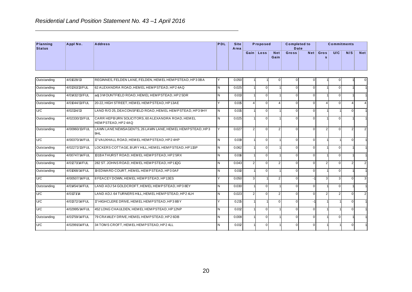| Planning<br><b>Status</b> | Appl No.       | <b>Address</b>                                                         | PDL                     | <b>Site</b><br>Area |                | Proposed       |                    | <b>Completed to</b><br>Date |             |                | <b>Commitments</b> |                |                |
|---------------------------|----------------|------------------------------------------------------------------------|-------------------------|---------------------|----------------|----------------|--------------------|-----------------------------|-------------|----------------|--------------------|----------------|----------------|
|                           |                |                                                                        |                         |                     |                | Gain Loss      | <b>Net</b><br>Gain | Gross                       | Net         | Gros<br>s      | U/C                | N/S            | <b>Net</b>     |
| Outstanding               | 4/01028/13     | REGINNES, FELDEN LANE, FELDEN, HEM EL HEMPSTEAD, HP3 0BA               | Y                       | 0.050               |                |                | $\mathbf 0$        | $\Omega$                    | 0           |                | 0                  |                | 0              |
| Outstanding               | 4/01261/13/FUL | 62 ALEXANDRA ROAD, HEMEL HEMPSTEAD, HP24AQ                             | N                       | 0.025               |                | $\overline{0}$ |                    | $\mathbf 0$                 | $\mathsf 0$ |                | $\overline{0}$     |                |                |
| Outstanding               | 4/01432/13/FUL | adj 3 MOUNTFIELD ROAD, HEMEL HEMPSTEAD, HP25DR                         | $\overline{\mathsf{N}}$ | 0.013               |                | $\overline{0}$ |                    | $\Omega$                    | $\pmb{0}$   |                | $\overline{0}$     |                |                |
| Outstanding               | 4/01044/13/FUL | 20-22, HIGH STREET, HEMEL HEMPSTEAD, HP13AE                            | Y                       | 0.015               | $\overline{4}$ | $\Omega$       | $\overline{4}$     | $\Omega$                    | $\mathsf 0$ | $\overline{4}$ | $\overline{0}$     | $\overline{A}$ |                |
| U/C                       | 4/02134/13     | LAND R/O 25, DEACONSFIELD ROAD, HEM EL HEM PSTEAD, HP3 9HY             | IN.                     | 0.015               |                | $\overline{0}$ |                    | $\mathbf 0$                 | $\mathsf 0$ |                |                    | $\Omega$       |                |
| Outstanding               | 4/02330/13/FUL | CARR HEPBURN SOLICITORS, 60 ALEXANDRA ROAD, HEMEL<br>HEMPSTEAD, HP24AQ | IN.                     | 0.025               |                | $\overline{0}$ |                    | $\Omega$                    | $\pmb{0}$   |                | $\overline{0}$     |                |                |
| Outstanding               | 4/00960/13/FUL | LAWN LANE NEWSAGENTS, 26 LAWN LANE, HEM EL HEMPSTEAD, HP3<br>9HL       | Y                       | 0.027               | $\overline{2}$ | $\overline{0}$ | 2                  | $\Omega$                    | $\mathbf 0$ | $\overline{2}$ | $\mathbf 0$        | 2              | $\overline{2}$ |
| U/C                       | 4/00370/14/FUL | 17 VAUXHALL ROAD, HEMEL HEMPSTEAD, HP2 4HP                             | N                       | 0.019               |                | $\overline{0}$ |                    | $\mathbf 0$                 | $\pmb{0}$   |                |                    | $\overline{0}$ |                |
| Outstanding               | 4/02272/13/FUL | LOCKERS COTTAGE, BURY HILL, HEM EL HEM PSTEAD, HP11SP                  | l N                     | 0.062               |                | $\overline{0}$ |                    | $\mathbf 0$                 | $\pmb{0}$   |                | $\overline{0}$     |                |                |
| Outstanding               | 4/00747/14/FUL | 101BATHURST ROAD, HEMEL HEMPSTEAD, HP25RX                              | N                       | 0.016               |                | $\overline{0}$ |                    | $\mathbf 0$                 | $\mathsf 0$ |                | $\overline{0}$     |                |                |
| Outstanding               | 4/01271/14/FUL | 282 ST. JOHNS ROAD, HEMEL HEMPSTEAD, HP11QG                            | N                       | 0.043               | $\sqrt{2}$     | $\overline{0}$ | 2                  | $\mathbf 0$                 | $\mathsf 0$ | $\overline{2}$ | $\overline{0}$     | $\overline{2}$ | $\overline{2}$ |
| Outstanding               | 4/01068/14/FUL | 19 EDWARD COURT, HEMEL HEMPSTEAD, HP30AF                               | N                       | 0.010               |                | $\overline{0}$ |                    | $\mathbf 0$                 | $\pmb{0}$   |                | $\overline{0}$     |                |                |
| U/C                       | 4/00507/14/FUL | 8 FEACEY DOWN, HEM ELHEMP STEAD, HP13ES                                | Y                       | 0.050               | 3              |                | $\mathfrak{p}$     | $\Omega$                    | $-1$        | 3              | 3                  | $\Omega$       | 3              |
| Outstanding               | 4/01454/14/FUL | LAND ADJ 54 GOLDCROFT, HEM EL HEM PSTEAD, HP3 8EY                      | N                       | 0.030               |                | $\overline{0}$ |                    | $\Omega$                    | $\mathsf 0$ |                | $\overline{0}$     |                |                |
| U/C                       | 4/01171/14     | LAND ADJ. 64 TURNERS HILL, HEM EL HEM PSTEAD, HP2 4LH                  | N                       | 0.023               | $\sqrt{2}$     | $\overline{0}$ | 2                  | $\Omega$                    | $\mathsf 0$ | $\overline{2}$ | $\overline{2}$     | $\Omega$       | $\overline{2}$ |
| U/C                       | 4/01372/14/FUL | 17 HIGHCLERE DRIVE, HEMEL HEMPSTEAD, HP3 8BY                           | Y                       | 0.215               |                |                | $\Omega$           | $\Omega$                    | $-1$        |                |                    | $\Omega$       |                |
| U/C                       | 4/02995/14/FUL | 452 LONG CHAULDEN, HEMEL HEMPSTEAD, HP12NP                             | N                       | 0.012               |                | $\overline{0}$ |                    | $\mathbf 0$                 | $\mathsf 0$ |                |                    | $\mathbf 0$    |                |
| Outstanding               | 4/01759/14/FUL | 79 CRAWLEY DRIVE, HEMEL HEM PSTEAD, HP2 6DB                            | N                       | 0.008               |                | $\overline{0}$ |                    | $\Omega$                    | $\mathsf 0$ |                | $\overline{0}$     |                |                |
| U/C                       | 4/02991/14/FUL | 34 TOM S CROFT, HEMEL HEMP STEAD, HP2 4LL                              | $\mathsf{N}$            | 0.012               |                | $\overline{0}$ |                    | $\Omega$                    | $\mathsf 0$ |                |                    | $\mathbf 0$    |                |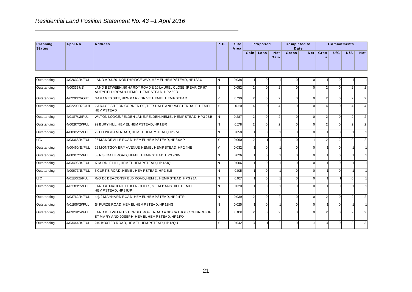| Planning<br><b>Status</b> | Appl No.       | <b>Address</b>                                                                                         | PDL | <b>Site</b><br>Area |                | Proposed       |                    | <b>Completed to</b><br>Date |                |                  | <b>Commitments</b> |                |                |
|---------------------------|----------------|--------------------------------------------------------------------------------------------------------|-----|---------------------|----------------|----------------|--------------------|-----------------------------|----------------|------------------|--------------------|----------------|----------------|
|                           |                |                                                                                                        |     |                     |                | Gain Loss      | <b>Net</b><br>Gain | Gross                       | Net            | Gros<br>s        | U/C                | N/S            | <b>Net</b>     |
| Outstanding               | 4/02632/14/FUL | LAND ADJ. 201NORTHRIDGE WAY, HEMEL HEMPSTEAD, HP12AU                                                   | N   | 0.038               |                | 0              |                    |                             | 0              |                  | $\overline{0}$     |                |                |
| Outstanding               | 4/003357/14    | LAND BETWEEN, 50 HARDY ROAD & 20 LAUREL CLOSE, (REAR OF 97<br>ADEYFIELD ROAD), HEMEL HEMPSTEAD, HP25EB | N   | 0.052               | $\overline{2}$ | $\overline{0}$ | $\overline{2}$     | $\Omega$                    | $\mathbf 0$    | 2                | $\overline{0}$     | 2              | $\overline{2}$ |
| Outstanding               | 4/02191/12/OUT | GARAGES SITE, NEW PARK DRIVE, HEMEL HEMPSTEAD                                                          | Y   | 0.130               | $\overline{2}$ | $\overline{0}$ | 2 <sup>2</sup>     | $\mathbf 0$                 | $\mathbf 0$    | $\overline{c}$   | $\overline{0}$     | $\overline{2}$ | 2 <sup>1</sup> |
| Outstanding               | 4/02209/12/OUT | GARAGE SITE ON CORNER OF, TEESDALE AND, WESTERDALE, HEMEL<br><b>HEMPSTEAD</b>                          | Y   | 0.110               | $\vert$        | $\overline{0}$ | $\overline{4}$     | $\Omega$                    | $\overline{0}$ | $\overline{4}$   | $\overline{0}$     | $\overline{4}$ | $\overline{4}$ |
| Outstanding               | 4/01147/13/FUL | WILTON LODGE, FELDEN LANE, FELDEN, HEM EL HEMPSTEAD, HP3 0BB                                           | N   | 0.287               | $\overline{2}$ | $\overline{0}$ | 2 <sup>1</sup>     | $\Omega$                    | $\mathbf 0$    | $\boldsymbol{2}$ | $\overline{0}$     | $\overline{2}$ | $\sqrt{2}$     |
| Outstanding               | 4/00197/15/FUL | 92 BURY HILL, HEM EL HEMP STEAD, HP11SR                                                                | N   | 0.178               | $\overline{2}$ | $\overline{0}$ | 2 <sub>1</sub>     | $\overline{0}$              | $\mathbf 0$    | $\overline{2}$   | $\overline{0}$     | $\overline{2}$ | $\overline{2}$ |
| Outstanding               | 4/00315/15/FUL | 29 ELLINGHAM ROAD, HEMEL HEMPSTEAD, HP2 5LE                                                            | N   | 0.058               |                | $\overline{0}$ |                    | $\mathbf 0$                 | $\mathbf 0$    |                  | $\overline{0}$     |                |                |
| U/C                       | 4/03368/14/FUL | 25 M ANOR VILLE ROAD, HEM EL HEMPSTEAD, HP30AP                                                         | Y   | 0.060               | $\mathbf{2}$   |                |                    | $\overline{0}$              | $-1$           | $\overline{2}$   | 2 <sub>1</sub>     | $\overline{0}$ | 2 <sub>1</sub> |
| Outstanding               | 4/00460/15/FUL | 25 M ONTGOMERY AVENUE, HEMEL HEMPSTEAD, HP24HE                                                         | Y   | 0.032               |                | $\overline{0}$ |                    | $\Omega$                    | $\overline{0}$ |                  | $\overline{0}$     |                |                |
| Outstanding               | 4/00317/15/FUL | 53 RISEDALE ROAD, HEMEL HEM PSTEAD, HP3 9NW                                                            | N   | 0.026               |                | $\overline{0}$ |                    | $\overline{0}$              | $\overline{0}$ |                  | $\overline{0}$     |                |                |
| Outstanding               | 4/03498/14/FUL | 17 M IDDLE HILL, HEM EL HEMPSTEAD, HP12JQ                                                              | N   | 0.006               |                | $\overline{0}$ |                    | $\overline{0}$              | $\overline{0}$ |                  | $\overline{0}$     |                |                |
| Outstanding               | 4/00677/15/FUL | 5 CURTIS ROAD, HEMEL HEMPSTEAD, HP3 8LE                                                                | Ν   | 0.015               |                | $\overline{0}$ |                    | $\mathbf 0$                 | $\overline{0}$ |                  | $\overline{0}$     |                |                |
| U/C                       | 4/01180/15/FUL | R/O 106 DEACONSFIELD ROAD, HEM EL HEMPSTEAD, HP3 9JA                                                   | N   | 0.017               |                | $\overline{0}$ |                    | $\Omega$                    | $\mathbf 0$    |                  |                    | $\Omega$       |                |
| Outstanding               | 4/01289/15/FUL | LAND ADJACENT TO KILN-COTES, ST. ALBANS HILL, HEMEL<br>HEMPSTEAD, HP3 9JP                              | N   | 0.020               |                | $\overline{0}$ |                    | $\mathbf 0$                 | $\mathbf 0$    |                  | $\overline{0}$     |                |                |
| Outstanding               | 4/03762/14/FUL | adj. 2 MAYNARD ROAD, HEMEL HEMPSTEAD, HP2 4TR                                                          | N   | 0.039               | $\overline{2}$ | $\overline{0}$ | 2 <sup>1</sup>     | $\Omega$                    | $\mathbf 0$    | $\overline{2}$   | $\overline{0}$     | $\overline{2}$ | $\overline{2}$ |
| Outstanding               | 4/01306/15/FUL | 18, FURZE ROAD, HEMEL HEMPSTEAD, HP12HG                                                                | N   | 0.025               |                | $\overline{0}$ |                    | $\overline{0}$              | $\overline{0}$ |                  | $\overline{0}$     |                |                |
| Outstanding               | 4/03281/14/FUL | LAND BETWEEN 102 HORSECROFT ROAD AND CATHOLIC CHURCH OF<br>ST MARY AND JOSEPH, HEMEL HEMPSTEAD, HP11PX | Y   | 0.031               | $\overline{2}$ | $\overline{0}$ | 2 <sup>2</sup>     | $\Omega$                    | $\overline{0}$ | $\boldsymbol{2}$ | $\overline{0}$     | $\overline{2}$ | $\overline{2}$ |
| Outstanding               | 4/03444/14/FUL | 240 BOXTED ROAD, HEMEL HEMPSTEAD, HP12QU                                                               | Ÿ   | 0.042               | $\mathbf{3}$   |                | 2 <sub>1</sub>     | $\Omega$                    | -1             | $\mathbf{3}$     | $\overline{0}$     | $\overline{3}$ | $\mathbf{3}$   |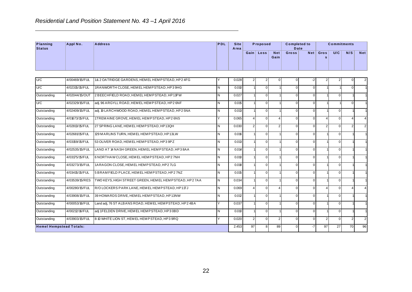| Planning<br><b>Status</b> | Appl No.                       | <b>Address</b>                                          | PDL | <b>Site</b><br>Area |                  | Proposed       |                    | <b>Completed to</b><br>Date |             |                | <b>Commitments</b> |                |                         |
|---------------------------|--------------------------------|---------------------------------------------------------|-----|---------------------|------------------|----------------|--------------------|-----------------------------|-------------|----------------|--------------------|----------------|-------------------------|
|                           |                                |                                                         |     |                     |                  | Gain Loss      | <b>Net</b><br>Gain | Gross                       | Net         | Gros<br>s      | U/C                | N/S            | <b>Net</b>              |
| U/C                       | 4/00469/15/FUL                 | 1& 2 OATRIDGE GARDENS, HEMEL HEMPSTEAD, HP2 4FG         | Y   | 0.028               | $\boldsymbol{2}$ | $\mathbf{2}$   | $\mathbf 0$        | $\Omega$                    | $-2$        | $\mathbf{2}$   | $\overline{2}$     | $\Omega$       | $\overline{\mathbf{c}}$ |
| U/C                       | 4/02315/15/FUL                 | 1RANWORTH CLOSE, HEMEL HEMPSTEAD, HP3 9HG               | İΝ  | 0.010               |                  | $\overline{0}$ |                    | $\Omega$                    | $\pmb{0}$   |                |                    | $\mathbf 0$    |                         |
| Outstanding               | 4/02044/15/OUT                 | 2 BEECHFIELD ROAD, HEM EL HEM PSTEAD, HP11PW            | IN. | 0.027               |                  | $\overline{0}$ |                    | $\Omega$                    | $\pmb{0}$   |                | $\overline{0}$     |                |                         |
| U/C                       | 4/02329/15/FUL                 | adj. 96 ARGYLL ROAD, HEMEL HEMPSTEAD, HP2 6NF           | l N | 0.015               |                  | $\overline{0}$ |                    | $\mathbf 0$                 | $\mathsf 0$ |                |                    | $\Omega$       |                         |
| Outstanding               | 4/02409/15/FUL                 | adj. 19 LARCHWOOD ROAD, HEM EL HEM PSTEAD, HP2 5NA      | İΝ  | 0.013               |                  | $\overline{0}$ |                    | $\mathbf 0$                 | $\mathsf 0$ |                | $\overline{0}$     |                |                         |
| Outstanding               | 4/01673/15/FUL                 | 1TREM AINE GROVE, HEM ELHEMPSTEAD, HP2 6NS              | Y   | 0.065               | 4                | $\overline{0}$ | 4                  | $\Omega$                    | $\mathsf 0$ | 4              | $\overline{0}$     | $\overline{4}$ | $\overline{4}$          |
| Outstanding               | 4/02813/15/FUL                 | 27 SPRING LANE, HEMEL HEMPSTEAD, HP13QH                 | IN. | 0.030               | $\overline{2}$   | $\overline{0}$ | $\overline{2}$     | $\mathbf 0$                 | $\pmb{0}$   | $\overline{2}$ | $\overline{0}$     | $\overline{2}$ | $\mathbf 2$             |
| Outstanding               | 4/02681/15/FUL                 | 129 M A R LINS TURN, HEM EL HEM P STEAD, HP13LW         | IN. | 0.016               |                  | $\overline{0}$ |                    | $\mathbf 0$                 | $\pmb{0}$   |                | $\overline{0}$     |                |                         |
| Outstanding               | 4/03159/15/FUL                 | 53 OLIVER ROAD, HEM EL HEMPSTEAD, HP3 9PZ               | ΙN  | 0.013               |                  | $\overline{0}$ |                    | $\mathbf 0$                 | $\mathsf 0$ |                | $\overline{0}$     |                |                         |
| Outstanding               | 4/02535/15/FUL                 | LAND AT 14 NASH GREEN, HEMEL HEMPSTEAD, HP38AA          | IN. | 0.014               |                  | $\overline{0}$ |                    | $\mathbf 0$                 | $\mathsf 0$ |                | $\overline{0}$     |                |                         |
| Outstanding               | 4/03175/15/FUL                 | 6 NORTHAW CLOSE, HEMEL HEMP STEAD, HP2 7NH              | IN. | 0.010               |                  | $\overline{0}$ |                    | $\Omega$                    | $\pmb{0}$   |                | $\overline{0}$     |                |                         |
| Outstanding               | 4/03273/15/FUL                 | 1ARAGON CLOSE, HEMEL HEMPSTEAD, HP2 7LG                 | İΝ  | 0.018               |                  | $\Omega$       |                    | $\Omega$                    | $\mathbf 0$ |                | $\mathbf 0$        |                |                         |
| Outstanding               | 4/03415/15/FUL                 | 5 BRAM FIELD PLACE, HEM EL HEMPSTEAD, HP2 7NZ           | ΙN  | 0.015               |                  | $\overline{0}$ |                    | $\Omega$                    | $\mathsf 0$ |                | $\overline{0}$     |                |                         |
| Outstanding               | 4/03539/15/RES                 | TWO KEYS, HIGH STREET GREEN, HEMEL HEMPSTEAD, HP27AA    | IN. | 0.034               |                  | $\overline{0}$ |                    | $\mathbf 0$                 | $\mathsf 0$ |                | $\overline{0}$     |                |                         |
| Outstanding               | 4/00280/15/FUL                 | R/OLOCKERS PARK LANE, HEMEL HEMPSTEAD, HP11TJ           | IN. | 0.069               | $\overline{4}$   | $\overline{0}$ | $\overline{4}$     | $\Omega$                    | $\mathbf 0$ | $\overline{4}$ | $\overline{0}$     | $\overline{4}$ | $\overline{4}$          |
| Outstanding               | 4/03908/15/FUL                 | 39 HOWARDS DRIVE, HEMEL HEMPSTEAD, HP13NW               | l N | 0.012               |                  | $\overline{0}$ |                    | $\Omega$                    | $\pmb{0}$   |                | $\overline{0}$     |                |                         |
| Outstanding               | 4/00053/16/FUL                 | Land adj, 76 ST ALBANS ROAD, HEM EL HEM PSTEAD, HP2 4BA | Y   | 0.037               |                  | $\overline{0}$ |                    | $\Omega$                    | $\mathsf 0$ |                | $\overline{0}$     |                |                         |
| Outstanding               | 4/00212/16/FUL                 | adj 1FELDEN DRIVE, HEMEL HEMPSTEAD, HP3 0BD             | N   | 0.010               |                  | $\overline{0}$ |                    | $\Omega$                    | $\mathsf 0$ |                | $\overline{0}$     |                |                         |
| Outstanding               | 4/03903/15/FUL                 | 8-10 WHITE LION ST, HEM EL HEMP STEAD, HP3 9RQ          | Y   | 0.020               | $\overline{2}$   | $\overline{0}$ | $\overline{2}$     | $\Omega$                    | $\mathbf 0$ | 2              | $\Omega$           | 2              | $\overline{2}$          |
|                           | <b>Hemel Hempstead Totals:</b> |                                                         |     | 2.453               | 97               | 8 <sup>1</sup> | 89                 | $\mathbf 0$                 | $-7$        | 97             | 27                 | 70             | 96                      |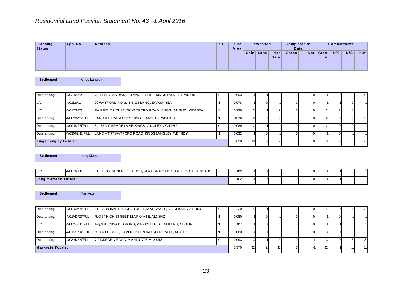|                    |          | Residential Land Position Statement No. 43-1 April 2016 |     |                     |           |          |                    |                             |     |      |     |                    |            |
|--------------------|----------|---------------------------------------------------------|-----|---------------------|-----------|----------|--------------------|-----------------------------|-----|------|-----|--------------------|------------|
| Planning<br>Status | Appl No. | <b>Address</b>                                          | PDL | <b>Site</b><br>Area |           | Proposed |                    | <b>Completed to</b><br>Date |     |      |     | <b>Commitments</b> |            |
|                    |          |                                                         |     |                     | Gain Loss |          | <b>Net</b><br>Gain | <b>Gross</b>                | Net | Gros | U/C | N/S                | <b>Net</b> |

| - Settlement | <b>Kings Langley</b> |
|--------------|----------------------|
|              |                      |

| Planning<br><b>Status</b>                        | Appl No.             | <b>Address</b>                                              | PDL | <b>Site</b><br>Area |                         | Proposed       |                    | <b>Completed to</b><br>Date |             |                | <b>Commitments</b> |                  |                |
|--------------------------------------------------|----------------------|-------------------------------------------------------------|-----|---------------------|-------------------------|----------------|--------------------|-----------------------------|-------------|----------------|--------------------|------------------|----------------|
|                                                  |                      |                                                             |     |                     | Gain Loss               |                | <b>Net</b><br>Gain | Gross                       | Net         | Gros<br>s      | U/C                | N/S              | <b>Net</b>     |
| - Settlement                                     | <b>Kings Langley</b> |                                                             |     |                     |                         |                |                    |                             |             |                |                    |                  |                |
| Outstanding                                      | 4/02194/12           | GREEN SHADOWS, 82 LANGLEY HILL, KINGS LANGLEY, WD4 9HE      | Y   | 0.093               |                         |                | $\overline{0}$     | $\Omega$                    | 0           |                | $\overline{0}$     |                  | $\pmb{0}$      |
| U/C                                              | 4/01519/11           | 20 WATFORD ROAD, KINGS LANGLEY, WD4 8EA                     | N   | 0.078               |                         | $\overline{0}$ |                    | $\Omega$                    | $\mathbf 0$ |                |                    | $\overline{0}$   |                |
| U/C                                              | 4/01578/10           | FAIRFIELD HOUSE, 20 WATFORD ROAD, KINGS LANGLEY, WD48EA     | Y   | 0.230               | $\overline{3}$          |                | $\overline{2}$     | $\Omega$                    | $\pmb{0}$   | $\overline{2}$ | $\overline{2}$     | $\Omega$         |                |
| Outstanding                                      | 4/00196/15/FUL       | LAND AT, FIVE ACRES, KINGS LANGLEY, WD4 9JU                 | N   | 0.116               | $\overline{c}$          | $\overline{0}$ | 2 <sup>1</sup>     | $\Omega$                    | $\pmb{0}$   | $\overline{2}$ | $\overline{0}$     | $\overline{2}$   | $\overline{2}$ |
| Outstanding                                      | 4/00182/15/FUL       | 84 - 86 VICARAGE LANE, KINGS LANGLEY, WD4 9HR               | Y   | 0.089               | $\overline{2}$          |                |                    | $\Omega$                    | $\pmb{0}$   | $\overline{2}$ | $\overline{0}$     | $\overline{2}$   |                |
| Outstanding                                      | 4/03062/15/FUL       | LAND AT 77 WATFORD ROAD, KINGS LANGLEY, WD4 8DY             | N   | 0.032               |                         | $\overline{0}$ |                    | $\mathbf 0$                 | $\mathsf 0$ |                | $\overline{0}$     |                  |                |
|                                                  |                      |                                                             |     |                     |                         |                |                    |                             |             |                |                    |                  |                |
| <b>Kings Langley Totals:</b>                     |                      |                                                             |     | 0.638               | 10 <sup>1</sup>         | 3 <sup>1</sup> | $\overline{7}$     | $\mathbf 0$                 | $\mathbf 0$ | $\overline{9}$ | $\overline{3}$     | $6 \overline{6}$ | $\,6\,$        |
| - Settlement                                     | Long Marston         |                                                             |     |                     |                         |                |                    |                             |             |                |                    |                  |                |
| U/C                                              | 4/00768/11           | THE EGG PACKING STATION, STATION ROAD, GUBBLECOTE, HP234QS  | Y   | 0.012               |                         | $\overline{0}$ |                    | $\Omega$                    | 0           |                |                    | $\Omega$         |                |
| <b>Long Marston Totals:</b>                      |                      |                                                             |     | 0.012               |                         | $\overline{0}$ |                    | $\Omega$                    | $\mathbf 0$ |                |                    | $\Omega$         |                |
| - Settlement                                     | Markyate             |                                                             |     |                     |                         |                |                    |                             |             |                |                    |                  |                |
|                                                  | 4/00109/14/FUL       | THE SUN INN, 101 HIGH STREET, MARKYATE, ST. ALBANS, AL3 8JG | Y   | 0.120               | $\overline{\mathbf{4}}$ |                | 3 <sup>1</sup>     | $\mathbf 0$                 | $\mathbf 0$ | $\overline{4}$ | $\overline{0}$     | $\Delta$         | 3              |
|                                                  | 4/01743/13/FUL       | R/O 64 HIGH STREET, MARKYATE, AL3 8HZ                       | N   | 0.080               |                         | $\overline{0}$ |                    | $\Omega$                    | $\pmb{0}$   |                | $\overline{0}$     |                  |                |
|                                                  | 4/00243/14/FUL       | Adj, 9 BUCKWOOD ROAD, MARKYATE, ST. ALBANS, AL3 8JF         | İΝ  | 0.017               |                         | $\overline{0}$ |                    | $\Omega$                    | $\pmb{0}$   |                |                    | $\Omega$         |                |
| Outstanding<br>Outstanding<br>U/C<br>Outstanding | 4/01627/14/OUT       | REAR OF 35-39, CAVENDISH ROAD, MARKYATE, AL3 8PT            | N   | 0.060               | $\overline{3}$          | $\overline{0}$ | 3 <sup>1</sup>     | $\mathbf 0$                 | $\mathbf 0$ | $\mathbf{3}$   | $\overline{0}$     | $\overline{3}$   | 3              |
| Outstanding                                      | 4/03142/14/FUL       | 7 PICKFORD ROAD, MARKYATE, AL3 8RS                          | Y   | 0.093               | $\overline{3}$          |                | $2 \mid$           | $\Omega$                    | $-1$        | $\overline{3}$ | $\overline{0}$     | 3                | 3              |

| U/C                         | 4/00768/11 | THE EGG PACKING STATION, STATION ROAD, GUBBLECOTE, HP234QS | 0.012 |  |  |  |  | ΩI |  |
|-----------------------------|------------|------------------------------------------------------------|-------|--|--|--|--|----|--|
| <b>Long Marston Totals:</b> |            |                                                            | 0.012 |  |  |  |  |    |  |

| - Settlement     | Markyate       |                                                     |                                                             |    |       |    |  |  |  |  |
|------------------|----------------|-----------------------------------------------------|-------------------------------------------------------------|----|-------|----|--|--|--|--|
|                  |                |                                                     |                                                             |    |       |    |  |  |  |  |
| Outstanding      | 4/00109/14/FUL |                                                     | THE SUN INN, 101 HIGH STREET, MARKYATE, ST. ALBANS, AL3 8JG |    | 0.120 |    |  |  |  |  |
| Outstanding      | 4/01743/13/FUL | R/O 64 HIGH STREET, MARKYATE, AL3 8HZ               |                                                             |    | 0.080 |    |  |  |  |  |
| U/C              | 4/00243/14/FUL | Adi, 9 BUCKWOOD ROAD, MARKYATE, ST. ALBANS, AL3 8JF |                                                             | IΝ | 0.017 |    |  |  |  |  |
| Outstanding      | 4/01627/14/OUT | REAR OF 35-39, CAVENDISH ROAD, MARKYATE, AL3 8PT    |                                                             |    | 0.060 | 3  |  |  |  |  |
| Outstanding      | 4/03142/14/FUL | 7 PICKFORD ROAD, MARKYATE, AL3 8RS                  |                                                             |    | 0.093 | 3  |  |  |  |  |
| Markyate Totals: |                |                                                     |                                                             |    | 0.370 | 12 |  |  |  |  |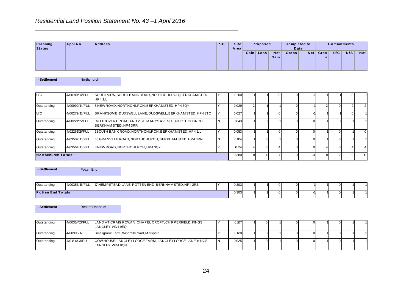|                           |          | Residential Land Position Statement No. 43-1 April 2016 |            |                     |      |          |                    |                             |     |      |                    |     |            |
|---------------------------|----------|---------------------------------------------------------|------------|---------------------|------|----------|--------------------|-----------------------------|-----|------|--------------------|-----|------------|
| Planning<br><b>Status</b> | Appl No. | <b>Address</b>                                          | <b>PDL</b> | <b>Site</b><br>Area |      | Proposed |                    | <b>Completed to</b><br>Date |     |      | <b>Commitments</b> |     |            |
|                           |          |                                                         |            |                     | Gain | Loss     | <b>Net</b><br>Gain | Gross <sup>1</sup>          | Net | Gros | U/C                | N/S | <b>Net</b> |

| - Settlement | <b>Northchurch</b> |
|--------------|--------------------|
|              |                    |

| Planning<br><b>Status</b>  | Appl No.       | <b>Address</b>                                                                | PDL | <b>Site</b><br>Area |                | Proposed       |                    | <b>Completed to</b><br><b>Date</b> |                |                | <b>Commitments</b> |                |                  |
|----------------------------|----------------|-------------------------------------------------------------------------------|-----|---------------------|----------------|----------------|--------------------|------------------------------------|----------------|----------------|--------------------|----------------|------------------|
|                            |                |                                                                               |     |                     |                | Gain Loss      | <b>Net</b><br>Gain | Gross                              | Net            | Gros<br>s      | U/C                | N/S            | <b>Net</b>       |
| - Settlement               | Northchurch    |                                                                               |     |                     |                |                |                    |                                    |                |                |                    |                |                  |
| U/C                        | 4/00199/14/FUL | SOUTH VIEW, SOUTH BANK ROAD, NORTHCHURCH, BERKHAM STED,<br>HP4 1LL            | Y   | 0.100               |                |                | $\Omega$           | $\mathbf 0$                        | -1             |                |                    | $\mathbf 0$    |                  |
| Outstanding                | 4/00990/14/FUL | 8 NEW ROAD, NORTHCHURCH, BERKHAM STED, HP4 3QY                                | Y   | 0.029               | $\overline{2}$ |                |                    | $\mathbf 0$                        | $-1$           | 2 <sub>1</sub> | $\overline{0}$     | $\overline{2}$ | 2                |
| U/C                        | 4/00279/15/FUL | BRANKSOME, DUDSWELL LANE, DUDSWELL, BERKHAM STED, HP43TQ                      | Y   | 0.027               |                |                | $\Omega$           | $\mathbf 0$                        | $-1$           |                |                    | $\Omega$       |                  |
| Outstanding                | 4/00221/15/FUL | R/O 1COVERT ROAD AND 2 ST. MARYS AVENUE, NORTHCHURCH,<br>BERKHAM STED, HP43RR | N   | 0.043               |                | $\overline{0}$ |                    | $\mathbf 0$                        | $\overline{0}$ |                | $\overline{0}$     |                |                  |
| Outstanding                | 4/02261/15/FUL | 1SOUTH BANK ROAD, NORTHCHURCH, BERKHAM STED, HP4 1LL                          | Y   | 0.053               |                |                | $\Omega$           | $\mathbf 0$                        | $\overline{0}$ |                | $\overline{0}$     |                | $\mathbf 0$      |
| Outstanding                | 4/03502/15/FUL | 68 GRANVILLE ROAD, NORTHCHURCH, BERKHAM STED, HP43RN                          | N   | 0.014               |                | $\overline{0}$ |                    | $\mathbf 0$                        | $\overline{0}$ |                | $\overline{0}$     |                |                  |
| Outstanding                | 4/03564/15/FUL | 8 NEW ROAD, NORTHCHURCH, HP4 3QY                                              | Y   | 0.114               | $\overline{4}$ | $\overline{0}$ | 4                  | $\mathbf 0$                        | $\overline{0}$ | $\overline{4}$ | $\overline{0}$     | $\overline{4}$ | 4                |
| <b>Northchurch Totals:</b> |                |                                                                               |     | 0.380               | 11             | $\vert$        |                    | $\mathbf 0$                        | $-3$           | 11             | 2 <sub>1</sub>     | $\overline{9}$ | 10 <sup>10</sup> |
| - Settlement               | Potten End     |                                                                               |     |                     |                |                |                    |                                    |                |                |                    |                |                  |
| Outstanding                | 4/00356/15/FUL | 17 HEMPSTEAD LANE, POTTEN END, BERKHAMSTED, HP4 2RZ                           | Y   | 0.303               |                |                | $\Omega$           | 0                                  |                |                | 0                  |                |                  |
| <b>Potten End Totals:</b>  |                |                                                                               |     | 0.303               |                |                | 0                  | $\mathbf 0$                        | $-1$           |                | $\overline{0}$     |                |                  |
| - Settlement               |                | <b>Rest of Dacorum</b>                                                        |     |                     |                |                |                    |                                    |                |                |                    |                |                  |
| Outstanding                | 4/00314/13/FUL | LAND AT CRAIG ROWAN, CHAPEL CROFT, CHIPPERFIELD, KINGS<br>LANGLEY, WD4 9EQ    | Y   | 0.107               |                | $\overline{0}$ |                    | $\mathbf 0$                        | $\overline{0}$ |                | $\mathbf 0$        |                |                  |
| Outstanding                | 4/00995/12     | Smallgrove Farm, Windmill Road, Markyate                                      | Y   | 0.610               |                | $\overline{0}$ |                    | $\mathbf 0$                        | $\overline{0}$ |                | $\overline{0}$     |                |                  |
| Outstanding                | 4/01810/13/FUL | COW HOUSE, LANGLEY LODGE FARM, LANGLEY LODGE LANE, KINGS<br>LANGLEY, WD4 8QN  | N   | 0.025               |                | $\overline{0}$ |                    | $\mathbf 0$                        | $\overline{0}$ |                | $\overline{0}$     |                |                  |
|                            |                |                                                                               |     |                     |                |                |                    |                                    |                |                |                    |                |                  |

| - Settlement              | Potten End     |                                                     |       |  |  |                |    |          |
|---------------------------|----------------|-----------------------------------------------------|-------|--|--|----------------|----|----------|
|                           |                |                                                     |       |  |  |                |    |          |
|                           |                |                                                     |       |  |  |                |    |          |
| Outstanding               | 4/00356/15/FUL | 17 HEMPSTEAD LANE, POTTEN END, BERKHAMSTED, HP4 2RZ | 0.303 |  |  | 01             | 01 | $\Omega$ |
| <b>Potten End Totals:</b> |                |                                                     | 0.303 |  |  | 0 <sup>1</sup> | 0  | $\Omega$ |

| Outstanding | 4/00314/13/FUL | LAND AT CRAIG ROWAN, CHAPEL CROFT, CHIPPERFIELD, KINGS<br>LANGLEY. WD4 9EQ   |  | 0.107 |  |  |  | $\Omega$ |  |
|-------------|----------------|------------------------------------------------------------------------------|--|-------|--|--|--|----------|--|
| Outstanding | 4/00995/12     | Smallgrove Farm, Windmill Road, Markyate                                     |  | 0.610 |  |  |  | $\Omega$ |  |
| Outstanding | 4/01810/13/FUL | COW HOUSE, LANGLEY LODGE FARM, LANGLEY LODGE LANE, KINGS<br>LANGLEY, WD4 8QN |  | 0.025 |  |  |  | $\Omega$ |  |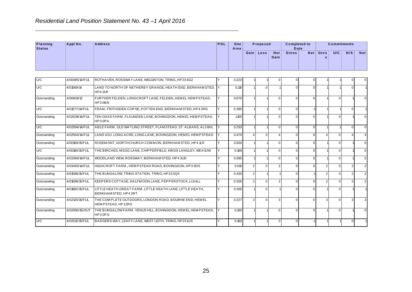| Planning<br><b>Status</b> | Appl No.       | <b>Address</b>                                                                    | PDL | <b>Site</b><br>Area |                | Proposed       |                    | <b>Completed to</b><br>Date |                |                | <b>Commitments</b> |                |                |
|---------------------------|----------------|-----------------------------------------------------------------------------------|-----|---------------------|----------------|----------------|--------------------|-----------------------------|----------------|----------------|--------------------|----------------|----------------|
|                           |                |                                                                                   |     |                     |                | Gain Loss      | <b>Net</b><br>Gain | Gross                       | Net            | Gros<br>s      | U/C                | N/S            | <b>Net</b>     |
|                           |                |                                                                                   |     |                     |                |                |                    |                             |                |                |                    |                |                |
| U/C                       | 4/00485/14/FUL | ROTHAVEN, ROSSWAY LANE, WIGGINTON, TRING, HP236GZ                                 |     | 0.223               |                |                | $\mathbf 0$        |                             | 0              |                |                    | $\Omega$       | $\overline{0}$ |
| U/C                       | 4/01569/14     | LAND TO NORTH OF NETHERBY GRANGE, HEATH END, BERKHAM STED, Y<br>HP43UF            |     | 0.116               |                | $\overline{0}$ |                    | $\Omega$                    | $\mathbf 0$    |                |                    | $\Omega$       |                |
| Outstanding               | 4/00939/12     | FURTHER FELDEN, LONGCROFT LANE, FELDEN, HEMEL HEMPSTEAD,<br>HP30BN                | Y   | 0.670               |                |                | $\overline{0}$     | $\mathbf 0$                 | $\mathbf 0$    |                | $\overline{0}$     |                | $\overline{0}$ |
| U/C                       | 4/01577/14/FUL | FRAM, FRITHSDEN COPSE, POTTEN END, BERKHAM STED, HP4 2RG                          | Y   | 0.390               |                |                | $\overline{0}$     | $\mathbf 0$                 | $-1$           |                |                    | $\overline{0}$ |                |
| Outstanding               | 4/02538/14/FUL | TEN OAKS FARM, FLAUNDEN LANE, BOVINGDON, HEMEL HEMPSTEAD,<br>HP30PA               | l Y | 1.100               |                |                | $\Omega$           | $\Omega$                    | $\overline{0}$ |                | $\overline{0}$     |                | $\overline{0}$ |
| U/C                       | 4/02094/14/FUL | ABLE FARM, OLD WATLING STREET, FLAMSTEAD, ST. ALBANS, AL3 8HL                     | Y   | 0.250               |                |                | $\overline{0}$     | $\Omega$                    | $\pmb{0}$      |                |                    | $\overline{0}$ | $\overline{0}$ |
| Outstanding               | 4/02504/14/FUL | LAND ADJ. LONG ACRE, LONG LANE, BOVINGDON, HEM EL HEM PSTEAD                      | Υ   | 0.470               | $\overline{4}$ | $\overline{0}$ | $\overline{4}$     | $\overline{0}$              | $\mathbf 0$    | 4              | $\overline{0}$     | 4              | $\overline{4}$ |
| Outstanding               | 4/00169/15/FUL | ROSEMONT, NORTHCHURCH COMMON, BERKHAMSTED, HP4 1LR                                | Y   | 0.650               |                |                | $\overline{0}$     | $\mathbf 0$                 | $\mathbf 0$    |                | $\overline{0}$     |                | $\overline{0}$ |
| U/C                       | 4/00180/15/FUL | THE BIRCHES, MEGG LANE, CHIPPERFIELD, KINGS LANGLEY, WD4 9JW                      | Υ   | 0.169               |                |                | $\overline{0}$     | $\Omega$                    | 0              |                | $\overline{0}$     |                | $\overline{0}$ |
| Outstanding               | 4/03369/14/FUL | WOODLAND VIEW, ROSSWAY, BERKHAM STED, HP4 3UD                                     | Y   | 0.095               |                |                | $\overline{0}$     | $\Omega$                    | $\mathbf 0$    |                | $\overline{0}$     |                | $\overline{0}$ |
| Outstanding               | 4/03493/14/FUL | HIGHCROFT FARM, HEMPSTEAD ROAD, BOVINGDON, HP3 0DS                                | Y   | 0.010               | $\vert$ 2      | $\overline{0}$ | 2 <sub>1</sub>     | $\mathbf 0$                 | $\overline{0}$ | $\overline{2}$ | $\overline{0}$     | 2 <sup>1</sup> | 2 <sub>1</sub> |
| Outstanding               | 4/01598/15/FUL | THE BUNGALOW, TRING STATION, TRING, HP23 5QX                                      | Y   | 0.430               | $\overline{2}$ |                |                    | $\mathbf 0$                 | $-1$           | $\overline{2}$ | $\overline{0}$     | 2 <sup>1</sup> | $\overline{2}$ |
| Outstanding               | 4/01699/15/FUL | KEEPERS COTTAGE, HALFMOON LANE, PEPPERSTOCK, LU14LL                               | Y   | 0.256               | $\overline{2}$ | $\overline{0}$ | $\overline{2}$     | $\Omega$                    | $\overline{0}$ | $\overline{2}$ | $\overline{0}$     | $\overline{2}$ | $\overline{2}$ |
| Outstanding               | 4/01882/15/FUL | LITTLE HEATH GREAT FARM, LITTLE HEATH LANE, LITTLE HEATH,<br>BERKHAM STED, HP42RT | Y   | 0.300               |                | $\overline{0}$ |                    | $\mathbf 0$                 | $\mathbf 0$    |                | $\overline{0}$     |                |                |
| Outstanding               | 4/02120/15/FUL | THE COMPLETE OUTDOORS, LONDON ROAD, BOURNE END, HEMEL<br>HEMPSTEAD, HP12RS        | Υ   | 0.227               | 3              | $\overline{0}$ | $\mathbf{3}$       | $\mathbf 0$                 | $\mathbf 0$    | 3              | $\overline{0}$     | 3 <sup>1</sup> | 3              |
| Outstanding               | 4/02090/15/OUT | THE BUNGALOW FARM, VENUS HILL, BOVINGDON, HEM EL HEM PSTEAD,<br>HP30PG            | Y   | 0.150               |                |                | $\overline{0}$     | $\Omega$                    | $\mathbf 0$    |                | $\overline{0}$     |                | $\overline{0}$ |
| U/C                       | 4/02512/15/FUL | BADGERS WAY, LEAFY LANE, WEST LEITH, TRING, HP23 6JS                              | Y   | 0.160               |                |                | $\overline{0}$     | $\mathbf 0$                 | $-1$           |                |                    | $\overline{0}$ |                |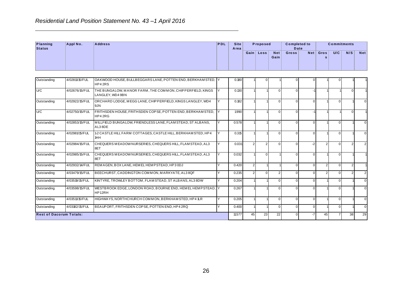|                           |                | Residential Land Position Statement No. 43-1 April 2016                |            |                     |      |                   |               |                     |      |           |                    |     |            |
|---------------------------|----------------|------------------------------------------------------------------------|------------|---------------------|------|-------------------|---------------|---------------------|------|-----------|--------------------|-----|------------|
| Planning<br><b>Status</b> | Appl No.       | <b>Address</b>                                                         | <b>PDL</b> | <b>Site</b><br>Area |      | Proposed          |               | <b>Completed to</b> | Date |           | <b>Commitments</b> |     |            |
|                           |                |                                                                        |            |                     | Gain | Loss <sub>1</sub> | Net  <br>Gain | <b>Gross</b>        | Net  | Gros<br>s | U/C                | N/S | <b>Net</b> |
| Outstanding               | 4/02811/15/FUL | OAKWOOD HOUSE, BULLBEGGARS LANE, POTTEN END, BERKHAM STED, Y<br>HP42RS |            | 0.180               |      |                   |               |                     | OΙ   |           |                    |     |            |

| Gain Loss<br><b>Net</b><br>Gross<br><b>Net</b><br>Gros<br>U/C<br>N/S<br>Gain<br>$\mathbf{s}$<br>4/02811/15/FUL<br>OAKWOOD HOUSE, BULLBEGGARS LANE, POTTEN END, BERKHAM STED, Y<br>0.180<br>$\overline{0}$<br>$\Omega$<br>$\mathbf 0$<br>$\overline{0}$<br>HP42RS<br>U/C<br>THE BUNGALOW, MANOR FARM, THE COMMON, CHIPPERFIELD, KINGS<br>4/02676/15/FUL<br>0.130<br>Y<br>$\overline{0}$<br>$\Omega$<br>$-1$<br>$\Omega$<br>LANGLEY. WD4 9BN<br>Outstanding<br>4/02922/15/FUL<br>ORCHARD LODGE, MEGG LANE, CHIPPERFIELD, KINGS LANGLEY, WD4<br>0.182<br>$\overline{0}$<br>Y<br>$\overline{0}$<br>$\mathbf{0}$<br>$\overline{0}$<br>9JN<br>U/C<br>4/02750/15/FUL<br>FRITHSDEN HOUSE, FRITHSDEN COPSE, POTTEN END, BERKHAMSTED,<br>1.990<br>Y<br>$\overline{0}$<br>$\mathbf{0}$<br>$\overline{0}$<br>$-1$<br>HP42RG<br>4/02853/15/FUL<br>MILLFIELD BUNGALOW, FRIENDLESS LANE, FLAM STEAD, ST ALBANS,<br>Y<br>0.578<br>Outstanding<br>$\overline{0}$<br>$\Omega$<br>$\overline{0}$<br>$\overline{0}$<br>AL38DE<br>4/02981/15/FUL<br>12 CASTLE HILL FARM COTTAGES, CASTLE HILL, BERKHAMSTED, HP4<br>Outstanding<br>Y<br>0.315<br>$\overline{0}$<br>$\Omega$<br>$\overline{0}$<br>$\overline{0}$<br>1HH<br>CHEQUERS MEADOW NURSERIES, CHEQUERS HILL, FLAM STEAD, AL3<br>Outstanding<br>4/02984/15/FUL<br>Y<br>0.031<br>$\overline{2}$<br>$\overline{2}$<br>$-2$<br>$\overline{2}$<br>$\overline{0}$<br>$\overline{0}$<br>$\overline{0}$<br>$\overline{2}$<br>8ET<br>CHEQUERS MEADOW NURSERIES, CHEQUERS HILL, FLAM STEAD, AL3<br>Outstanding<br>4/02985/15/FUL<br>Y<br>0.032<br>$\overline{0}$<br>$\mathbf 0$<br>$\Omega$<br>$\overline{0}$<br>8ET<br>4/02932/14/FUL<br>REMAGEN, BOX LANE, HEMEL HEMPSTEAD, HP3 0DJ<br>Y<br>0.420<br>$\overline{2}$<br>$\overline{0}$<br>$\overline{0}$<br>$\overline{2}$<br>Outstanding<br>$\mathbf{0}$<br>$\overline{2}$<br>$\overline{2}$<br>$\overline{2}$<br>$\overline{2}$<br>Outstanding<br>4/03479/15/FUL<br>BEECHURST, CADDINGTON COMMON, MARKYATE, AL3 8QF<br>Y<br>0.235<br>$\overline{0}$<br>2 <sup>1</sup><br>$\mathbf 0$<br>$\overline{0}$<br>$\Omega$<br>4/03519/15/FUL<br>KINTYRE, TROWLEY BOTTOM, FLAM STEAD, ST ALBANS, AL3 8DW<br>Outstanding<br>Y<br>0.204<br>$\overline{0}$<br>$\mathbf{0}$<br>$\overline{0}$<br>$\overline{0}$<br>4/03598/15/FUL<br>WESTBROOK EDGE, LONDON ROAD, BOURNE END, HEM EL HEM PSTEAD, Y<br>Outstanding<br>0.267<br>$\Omega$<br>$\Omega$<br>$\Omega$<br>$\overline{0}$<br>HP12RH<br>Y<br>Outstanding<br>4/03511/15/FUL<br>HIGHWAYS, NORTHCHURCH COMMON, BERKHAM STED, HP4 1LR<br>0.205<br>$\overline{0}$<br>$\Omega$<br>$\mathbf 0$<br>$\overline{0}$<br>4/03182/15/FUL<br>BEAUPORT, FRITHSDEN COPSE, POTTEN END, HP4 2RQ<br>Outstanding<br>Y<br>0.400<br>$\overline{0}$<br>$\Omega$<br>$\overline{0}$<br>$\overline{0}$ | Planning<br><b>Status</b> | Appl No. | <b>Address</b> | PDL | <b>Site</b><br>Area |    | Proposed |    | <b>Completed to</b><br><b>Date</b> |      |    | <b>Commitments</b> |    |                |
|-------------------------------------------------------------------------------------------------------------------------------------------------------------------------------------------------------------------------------------------------------------------------------------------------------------------------------------------------------------------------------------------------------------------------------------------------------------------------------------------------------------------------------------------------------------------------------------------------------------------------------------------------------------------------------------------------------------------------------------------------------------------------------------------------------------------------------------------------------------------------------------------------------------------------------------------------------------------------------------------------------------------------------------------------------------------------------------------------------------------------------------------------------------------------------------------------------------------------------------------------------------------------------------------------------------------------------------------------------------------------------------------------------------------------------------------------------------------------------------------------------------------------------------------------------------------------------------------------------------------------------------------------------------------------------------------------------------------------------------------------------------------------------------------------------------------------------------------------------------------------------------------------------------------------------------------------------------------------------------------------------------------------------------------------------------------------------------------------------------------------------------------------------------------------------------------------------------------------------------------------------------------------------------------------------------------------------------------------------------------------------------------------------------------------------------------------------------------------------------------------------------------------------------------------------------------------------------------------------------------------------------------------------------------------------------------------------------------------------------------------------------------------------------------------|---------------------------|----------|----------------|-----|---------------------|----|----------|----|------------------------------------|------|----|--------------------|----|----------------|
| Outstanding                                                                                                                                                                                                                                                                                                                                                                                                                                                                                                                                                                                                                                                                                                                                                                                                                                                                                                                                                                                                                                                                                                                                                                                                                                                                                                                                                                                                                                                                                                                                                                                                                                                                                                                                                                                                                                                                                                                                                                                                                                                                                                                                                                                                                                                                                                                                                                                                                                                                                                                                                                                                                                                                                                                                                                                     |                           |          |                |     |                     |    |          |    |                                    |      |    |                    |    | <b>Net</b>     |
|                                                                                                                                                                                                                                                                                                                                                                                                                                                                                                                                                                                                                                                                                                                                                                                                                                                                                                                                                                                                                                                                                                                                                                                                                                                                                                                                                                                                                                                                                                                                                                                                                                                                                                                                                                                                                                                                                                                                                                                                                                                                                                                                                                                                                                                                                                                                                                                                                                                                                                                                                                                                                                                                                                                                                                                                 |                           |          |                |     |                     |    |          |    |                                    |      |    |                    |    |                |
|                                                                                                                                                                                                                                                                                                                                                                                                                                                                                                                                                                                                                                                                                                                                                                                                                                                                                                                                                                                                                                                                                                                                                                                                                                                                                                                                                                                                                                                                                                                                                                                                                                                                                                                                                                                                                                                                                                                                                                                                                                                                                                                                                                                                                                                                                                                                                                                                                                                                                                                                                                                                                                                                                                                                                                                                 |                           |          |                |     |                     |    |          |    |                                    |      |    |                    |    |                |
|                                                                                                                                                                                                                                                                                                                                                                                                                                                                                                                                                                                                                                                                                                                                                                                                                                                                                                                                                                                                                                                                                                                                                                                                                                                                                                                                                                                                                                                                                                                                                                                                                                                                                                                                                                                                                                                                                                                                                                                                                                                                                                                                                                                                                                                                                                                                                                                                                                                                                                                                                                                                                                                                                                                                                                                                 |                           |          |                |     |                     |    |          |    |                                    |      |    |                    |    | $\overline{0}$ |
|                                                                                                                                                                                                                                                                                                                                                                                                                                                                                                                                                                                                                                                                                                                                                                                                                                                                                                                                                                                                                                                                                                                                                                                                                                                                                                                                                                                                                                                                                                                                                                                                                                                                                                                                                                                                                                                                                                                                                                                                                                                                                                                                                                                                                                                                                                                                                                                                                                                                                                                                                                                                                                                                                                                                                                                                 |                           |          |                |     |                     |    |          |    |                                    |      |    |                    |    |                |
|                                                                                                                                                                                                                                                                                                                                                                                                                                                                                                                                                                                                                                                                                                                                                                                                                                                                                                                                                                                                                                                                                                                                                                                                                                                                                                                                                                                                                                                                                                                                                                                                                                                                                                                                                                                                                                                                                                                                                                                                                                                                                                                                                                                                                                                                                                                                                                                                                                                                                                                                                                                                                                                                                                                                                                                                 |                           |          |                |     |                     |    |          |    |                                    |      |    |                    |    | $\overline{0}$ |
|                                                                                                                                                                                                                                                                                                                                                                                                                                                                                                                                                                                                                                                                                                                                                                                                                                                                                                                                                                                                                                                                                                                                                                                                                                                                                                                                                                                                                                                                                                                                                                                                                                                                                                                                                                                                                                                                                                                                                                                                                                                                                                                                                                                                                                                                                                                                                                                                                                                                                                                                                                                                                                                                                                                                                                                                 |                           |          |                |     |                     |    |          |    |                                    |      |    |                    |    | $\mathbf 0$    |
|                                                                                                                                                                                                                                                                                                                                                                                                                                                                                                                                                                                                                                                                                                                                                                                                                                                                                                                                                                                                                                                                                                                                                                                                                                                                                                                                                                                                                                                                                                                                                                                                                                                                                                                                                                                                                                                                                                                                                                                                                                                                                                                                                                                                                                                                                                                                                                                                                                                                                                                                                                                                                                                                                                                                                                                                 |                           |          |                |     |                     |    |          |    |                                    |      |    |                    |    | $\overline{2}$ |
|                                                                                                                                                                                                                                                                                                                                                                                                                                                                                                                                                                                                                                                                                                                                                                                                                                                                                                                                                                                                                                                                                                                                                                                                                                                                                                                                                                                                                                                                                                                                                                                                                                                                                                                                                                                                                                                                                                                                                                                                                                                                                                                                                                                                                                                                                                                                                                                                                                                                                                                                                                                                                                                                                                                                                                                                 |                           |          |                |     |                     |    |          |    |                                    |      |    |                    |    |                |
|                                                                                                                                                                                                                                                                                                                                                                                                                                                                                                                                                                                                                                                                                                                                                                                                                                                                                                                                                                                                                                                                                                                                                                                                                                                                                                                                                                                                                                                                                                                                                                                                                                                                                                                                                                                                                                                                                                                                                                                                                                                                                                                                                                                                                                                                                                                                                                                                                                                                                                                                                                                                                                                                                                                                                                                                 |                           |          |                |     |                     |    |          |    |                                    |      |    |                    |    |                |
|                                                                                                                                                                                                                                                                                                                                                                                                                                                                                                                                                                                                                                                                                                                                                                                                                                                                                                                                                                                                                                                                                                                                                                                                                                                                                                                                                                                                                                                                                                                                                                                                                                                                                                                                                                                                                                                                                                                                                                                                                                                                                                                                                                                                                                                                                                                                                                                                                                                                                                                                                                                                                                                                                                                                                                                                 |                           |          |                |     |                     |    |          |    |                                    |      |    |                    |    | $\overline{2}$ |
|                                                                                                                                                                                                                                                                                                                                                                                                                                                                                                                                                                                                                                                                                                                                                                                                                                                                                                                                                                                                                                                                                                                                                                                                                                                                                                                                                                                                                                                                                                                                                                                                                                                                                                                                                                                                                                                                                                                                                                                                                                                                                                                                                                                                                                                                                                                                                                                                                                                                                                                                                                                                                                                                                                                                                                                                 |                           |          |                |     |                     |    |          |    |                                    |      |    |                    |    | $\overline{0}$ |
|                                                                                                                                                                                                                                                                                                                                                                                                                                                                                                                                                                                                                                                                                                                                                                                                                                                                                                                                                                                                                                                                                                                                                                                                                                                                                                                                                                                                                                                                                                                                                                                                                                                                                                                                                                                                                                                                                                                                                                                                                                                                                                                                                                                                                                                                                                                                                                                                                                                                                                                                                                                                                                                                                                                                                                                                 |                           |          |                |     |                     |    |          |    |                                    |      |    |                    |    | $\overline{0}$ |
|                                                                                                                                                                                                                                                                                                                                                                                                                                                                                                                                                                                                                                                                                                                                                                                                                                                                                                                                                                                                                                                                                                                                                                                                                                                                                                                                                                                                                                                                                                                                                                                                                                                                                                                                                                                                                                                                                                                                                                                                                                                                                                                                                                                                                                                                                                                                                                                                                                                                                                                                                                                                                                                                                                                                                                                                 |                           |          |                |     |                     |    |          |    |                                    |      |    |                    |    | $\overline{0}$ |
|                                                                                                                                                                                                                                                                                                                                                                                                                                                                                                                                                                                                                                                                                                                                                                                                                                                                                                                                                                                                                                                                                                                                                                                                                                                                                                                                                                                                                                                                                                                                                                                                                                                                                                                                                                                                                                                                                                                                                                                                                                                                                                                                                                                                                                                                                                                                                                                                                                                                                                                                                                                                                                                                                                                                                                                                 |                           |          |                |     |                     |    |          |    |                                    |      |    |                    |    | $\overline{0}$ |
| <b>Rest of Dacorum Totals:</b>                                                                                                                                                                                                                                                                                                                                                                                                                                                                                                                                                                                                                                                                                                                                                                                                                                                                                                                                                                                                                                                                                                                                                                                                                                                                                                                                                                                                                                                                                                                                                                                                                                                                                                                                                                                                                                                                                                                                                                                                                                                                                                                                                                                                                                                                                                                                                                                                                                                                                                                                                                                                                                                                                                                                                                  |                           |          |                |     | 11.577              | 45 | 23       | 22 | $\Omega$                           | $-7$ | 45 | $\overline{7}$     | 38 | 29             |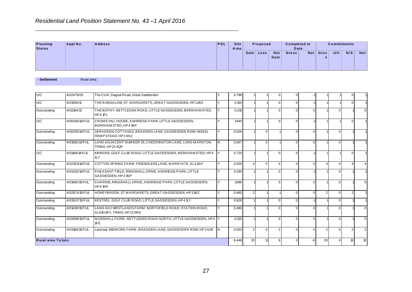|                    |          | Residential Land Position Statement No. 43-1 April 2016 |     |                     |           |          |                    |                             |     |           |     |                    |     |
|--------------------|----------|---------------------------------------------------------|-----|---------------------|-----------|----------|--------------------|-----------------------------|-----|-----------|-----|--------------------|-----|
| Planning<br>Status | Appl No. | <b>Address</b>                                          | PDL | <b>Site</b><br>Area |           | Proposed |                    | <b>Completed to</b><br>Date |     |           |     | <b>Commitments</b> |     |
|                    |          |                                                         |     |                     | Gain Loss |          | <b>Net</b><br>Gain | Gross <sup>1</sup>          | Net | Gros<br>s | U/C | N/S                | Net |

| Planning<br><b>Status</b> | Appl No.       | <b>Address</b>                                                                     | PDL | <b>Site</b><br>Area |                | Proposed       |                    | <b>Completed to</b><br><b>Date</b> |                |                      | <b>Commitments</b> |                |                |
|---------------------------|----------------|------------------------------------------------------------------------------------|-----|---------------------|----------------|----------------|--------------------|------------------------------------|----------------|----------------------|--------------------|----------------|----------------|
|                           |                |                                                                                    |     |                     |                | Gain Loss      | <b>Net</b><br>Gain | <b>Gross</b>                       | <b>Net</b>     | Gros<br>$\mathbf{s}$ | U/C                | N/S            | <b>Net</b>     |
| - Settlement              | Rural area     |                                                                                    |     |                     |                |                |                    |                                    |                |                      |                    |                |                |
| U/C                       | 4/02476/05     | The Croft, Dagnal Road, Great Gaddesden                                            |     | 0.798               |                |                | $\overline{0}$     | $\mathbf{0}$                       |                |                      |                    | $\Omega$       |                |
| U/C                       | 4/01394/12     | THE BUNGALOW, ST. MARGARETS, GREAT GADDESDEN, HP13BZ                               | Y   | 0.150               |                |                | $\Omega$           | $\Omega$                           | $-1$           |                      |                    | $\Omega$       |                |
| Outstanding               | 4/02104/13     | THE BOTHY, NETTLEDEN ROAD, LITTLE GADDESDEN, BERKHAM STED,<br>HP4 1PL              | Y   | 0.210               |                |                | 0                  | $\Omega$                           | $\mathbf 0$    |                      | $\overline{0}$     |                | $\mathbf 0$    |
| U/C                       | 4/00284/14/FUL | CROME HILL HOUSE, ASHRIDGE PARK, LITTLE GADDESDEN,<br>BERKHAM STED, HP4 1NP        | v   | 1.940               |                |                | $\overline{0}$     | $\overline{0}$                     | ÷.             |                      |                    | $\overline{0}$ |                |
| Outstanding               | 4/00293/14/FUL | 1BRADDEN COTTAGES, BRADDEN LANE, GADDESDEN ROW, HEMEL<br>HEMPSTEAD, HP26HZ         | Y   | 0.026               |                | $\Omega$       |                    | $\Omega$                           | $\mathbf 0$    |                      | $\overline{0}$     |                |                |
| Outstanding               | 4/01365/13/FUL | LAND ADJACENT NUMBER 25, CHEDDINGTON LANE, LONG MARSTON,<br>TRING, HP234QP         | l N | 0.067               |                | 0              |                    | $\Omega$                           | $\mathbf 0$    |                      | $\overline{0}$     |                |                |
| U/C                       | 4/01149/14/FUL | KINROSS, GOLF CLUB ROAD, LITTLE GADDESDEN, BERKHAM STED, HP4<br>1LY                | Y   | 0.720               |                |                | 0                  | $\Omega$                           | ÷,             |                      |                    | $\Omega$       |                |
| Outstanding               | 4/02353/14/FUL | COTTON SPRING FARM, FRIENDLESS LANE, MARKYATE, AL38AF                              | Y   | 0.520               | $\overline{4}$ | $\overline{0}$ | $\vert$            | $\Omega$                           | $\overline{0}$ | $\overline{4}$       | $\overline{0}$     | $\overline{4}$ | $\overline{4}$ |
| Outstanding               | 4/03292/14/FUL | PHEASANT FIELD, RINGSHALL DRIVE, ASHRIDGE PARK, LITTLE<br>GADDESDEN, HP4 1NP       | Υ   | 0.290               |                |                | $\Omega$           | $\Omega$                           | ÷.             |                      | $\overline{0}$     |                |                |
| Outstanding               | 4/01460/15/FUL | CHARNIS, RINGSHALL DRIVE, ASHRIDGE PARK, LITTLE GADDESDEN,<br>HP4 1NP              | Y   | 1.686               |                |                | 0                  | $\Omega$                           | $\mathbf 0$    |                      | $\overline{0}$     |                | $\mathbf 0$    |
| Outstanding               | 4/02874/15/FUL | HONEYBROOK, ST MARGARETS, GREAT GADDESDEN, HP13BZ                                  | Y   | 0.460               | 2              |                |                    | $\Omega$                           | $\overline{0}$ | $\overline{2}$       | $\overline{0}$     | 2 <sup>1</sup> |                |
| Outstanding               | 4/03537/15/FUL | KESTREL, GOLF CLUB ROAD, LITTLE GADDESDEN, HP4 1LY                                 | Ÿ   | 0.928               |                |                | $\overline{0}$     | $\Omega$                           | ÷,             |                      | $\overline{0}$     |                |                |
| Outstanding               | 4/01439/15/FUL | LAND ADJ WESTLANDS FARM, NORTHFIELD ROAD, STATION ROAD,<br>ALDBURY, TRING, HP235RS | Υ   | 0.480               |                |                | $\Omega$           | $\Omega$                           | $\mathbf 0$    |                      | $\overline{0}$     |                | $\mathbf 0$    |
| Outstanding               | 4/02699/15/FUL | MOSSHALL FARM, NETTLEDEN ROAD NORTH, LITTLE GADDESDEN, HP4<br><b>IPE</b>           |     | 0.120               |                |                | $\overline{0}$     | $\mathbf{0}$                       | $\overline{0}$ |                      | $\overline{0}$     |                | $\mathbf 0$    |
| Outstanding               | 4/03166/15/FUL | Land adj, WIDM ORE FARM, BRADDEN LANE, GADDESDEN ROW, HP2 6JB                      | IN. | 0.053               | $\overline{2}$ | $\Omega$       | 2 <sub>1</sub>     | $\Omega$                           | $\mathbf 0$    | $\overline{2}$       | $\overline{0}$     | $\overline{2}$ | $\overline{2}$ |
| Rural area Totals:        |                |                                                                                    |     | 8.448               | 20             | 11             | 9 <sub>o</sub>     | $\Omega$                           | $-6$           | 20                   | $\overline{4}$     | 16             | 15             |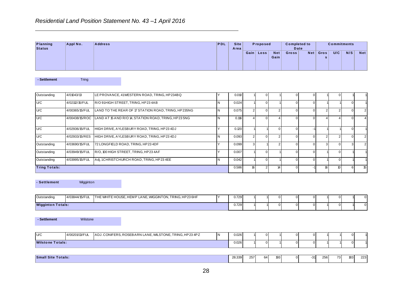|                           |          | Residential Land Position Statement No. 43-1 April 2016 |            |                     |      |          |                    |                             |     |           |     |                    |            |
|---------------------------|----------|---------------------------------------------------------|------------|---------------------|------|----------|--------------------|-----------------------------|-----|-----------|-----|--------------------|------------|
| Planning<br><b>Status</b> | Appl No. | <b>Address</b>                                          | <b>PDL</b> | <b>Site</b><br>Area |      | Proposed |                    | <b>Completed to</b><br>Date |     |           |     | <b>Commitments</b> |            |
|                           |          |                                                         |            |                     | Gain | Loss     | <b>Net</b><br>Gain | Gross                       | Net | Gros<br>s | U/C | N/S                | <b>Net</b> |

| Planning<br><b>Status</b> | Appl No.       | <b>Address</b>                                          | PDL            | <b>Site</b><br>Area |                | Proposed       |                         | <b>Completed to</b><br>Date |             |                | <b>Commitments</b> |                  |                |
|---------------------------|----------------|---------------------------------------------------------|----------------|---------------------|----------------|----------------|-------------------------|-----------------------------|-------------|----------------|--------------------|------------------|----------------|
|                           |                |                                                         |                |                     | Gain Loss      |                | <b>Net</b><br>Gain      | Gross                       | <b>Net</b>  | Gros<br>s      | U/C                | N/S              | <b>Net</b>     |
| - Settlement              | <b>Tring</b>   |                                                         |                |                     |                |                |                         |                             |             |                |                    |                  |                |
| Outstanding               | 4/01043/13     | LE PROVANCE, 41WESTERN ROAD, TRING, HP234BQ             | Υ              | 0.010               |                | $\overline{0}$ |                         | $\Omega$                    | $\mathbf 0$ |                | $\overline{0}$     |                  |                |
| U/C                       | 4/02112/15/FUL | R/O 91HIGH STREET, TRING, HP23 4AB                      | N              | 0.024               |                | $\overline{0}$ |                         | $\Omega$                    | $\mathbf 0$ |                |                    | $\Omega$         |                |
| U/C                       | 4/00365/15/FUL | LAND TO THE REAR OF 17 STATION ROAD, TRING, HP235NG     | N              | 0.075               | $\overline{2}$ | $\overline{0}$ | $\overline{2}$          | $\Omega$                    | $\mathbf 0$ | $\overline{2}$ | $\overline{2}$     | $\Omega$         | $\overline{2}$ |
| U/C                       | 4/00438/15/ROC | LAND AT 15 AND R/O 14, STATION ROAD, TRING, HP23 5NG    | N              | 0.116               | $\overline{4}$ | $\overline{0}$ | $\overline{\mathbf{A}}$ | $\Omega$                    | $\mathbf 0$ | 4              | $\overline{4}$     | $\Omega$         | $\overline{4}$ |
| U/C                       | 4/02936/15/FUL | HIGH DRIVE, AYLESBURY ROAD, TRING, HP234DJ              | Y              | 0.120               |                |                | $\overline{0}$          | $\Omega$                    | $-1$        |                |                    | $\Omega$         |                |
| U/C                       | 4/02933/15/RES | HIGH DRIVE, AYLESBURY ROAD, TRING, HP234DJ              | N              | 0.093               | $\overline{2}$ | $\overline{0}$ | 2 <sup>1</sup>          | $\Omega$                    | $\mathbf 0$ | $\overline{2}$ | $\overline{2}$     | $\Omega$         | $\overline{2}$ |
| Outstanding               | 4/03690/15/FUL | 72 LONGFIELD ROAD, TRING, HP23 4DF                      | Y              | 0.099               | $\overline{3}$ |                | 2 <sup>1</sup>          | $\Omega$                    | $\mathbf 0$ | $\overline{3}$ | $\Omega$           | 3                | $\overline{2}$ |
| Outstanding               | 4/03949/15/FUL | R/O, 100 HIGH STREET, TRING, HP234AF                    | Y              | 0.007               | $\overline{1}$ | $\overline{0}$ |                         | $\mathbf 0$                 | $\mathbf 0$ |                | $\overline{0}$     |                  |                |
| Outstanding               | 4/03995/15/FUL | Adj, 1CHRISTCHURCH ROAD, TRING, HP234EE                 | $\overline{N}$ | 0.042               |                | $\overline{0}$ |                         | $\Omega$                    | $\mathbf 0$ |                | $\overline{0}$     |                  |                |
| <b>Tring Totals:</b>      |                |                                                         |                | 0.586               | 16             | 2 <sup>1</sup> | 14                      | $\Omega$                    | $-1$        | 16             | 10 <sup>10</sup>   | $6 \overline{6}$ | 15             |
| - Settlement              | Wigginton      |                                                         |                |                     |                |                |                         |                             |             |                |                    |                  |                |
| Outstanding               | 4/03844/15/FUL | THE WHITE HOUSE, HEMP LANE, WIGGINTON, TRING, HP23 6HF  | Υ              | 0.729               |                |                | $\overline{0}$          | $\mathcal{C}$               | $\mathbf 0$ |                | $\mathbf 0$        |                  | 0              |
| <b>Wigginton Totals:</b>  |                |                                                         |                | 0.729               |                |                | $\Omega$                | $\sqrt{2}$                  | $\mathbf 0$ |                | $\Omega$           |                  | $\mathbf 0$    |
| - Settlement              | Wilstone       |                                                         |                |                     |                |                |                         |                             |             |                |                    |                  |                |
| U/C                       | 4/00201/13/FUL | ADJ. CONIFERS, ROSEBARN LANE, WILSTONE, TRING, HP23 4PZ | N.             | 0.026               |                | $\overline{0}$ |                         | $\mathsf{C}$                | $\pmb{0}$   |                |                    | $\mathbf 0$      |                |
| <b>Wilstone Totals:</b>   |                |                                                         |                | 0.026               |                | $\overline{0}$ |                         | $\Omega$                    | $\mathbf 0$ |                |                    | $\Omega$         |                |
|                           |                |                                                         |                |                     |                |                |                         |                             |             |                |                    |                  |                |

| - Settlement | Wigginton |  |  |  |  |          |  | THE WHITE HOUSE, HEMP LANE, WIGGINTON, TRING, HP23 6HF<br>4/03844/15/FUL<br>Outstanding<br>0.729<br>01 |
|--------------|-----------|--|--|--|--|----------|--|--------------------------------------------------------------------------------------------------------|
|              |           |  |  |  |  | OΙ       |  |                                                                                                        |
|              |           |  |  |  |  | $\Omega$ |  | <b>Wigginton Totals:</b><br>0.729<br>0                                                                 |

| <b>Wilstone Totals:</b> |                |                                                        | 0.026 |  |  | 01 |  |  |
|-------------------------|----------------|--------------------------------------------------------|-------|--|--|----|--|--|
| U/C                     | 4/00201/13/FUL | ADJ. CONIFERS, ROSEBARN LANE, WILSTONE, TRING, HP234PZ | 0.026 |  |  | 01 |  |  |
| - Settlement            | Wilstone       |                                                        |       |  |  |    |  |  |

| $\sim$<br><b>Small Site</b><br>Totals: | 28.339 | 257<br>257 | 64 | 10C<br>M. | $-31$ | 25.5<br>וכ∠ | $\overline{ }$<br>. | 183 | 222.<br>دے |
|----------------------------------------|--------|------------|----|-----------|-------|-------------|---------------------|-----|------------|
|                                        |        |            |    |           |       |             |                     |     |            |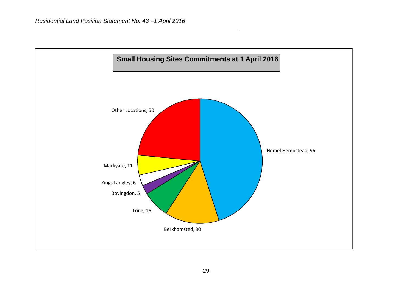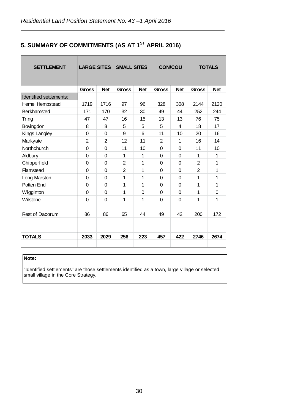| 5. SUMMARY OF COMMITMENTS (AS AT 1 <sup>ST</sup> APRIL 2016) |  |
|--------------------------------------------------------------|--|
|--------------------------------------------------------------|--|

| <b>SETTLEMENT</b>              |                |                | <b>LARGE SITES SMALL SITES</b> |            | <b>CON/COU</b> |            |                | <b>TOTALS</b> |
|--------------------------------|----------------|----------------|--------------------------------|------------|----------------|------------|----------------|---------------|
|                                | <b>Gross</b>   | <b>Net</b>     | <b>Gross</b>                   | <b>Net</b> | <b>Gross</b>   | <b>Net</b> | <b>Gross</b>   | <b>Net</b>    |
| <b>Identified settlements:</b> |                |                |                                |            |                |            |                |               |
| <b>Hemel Hempstead</b>         | 1719           | 1716           | 97                             | 96         | 328            | 308        | 2144           | 2120          |
| <b>Berkhamsted</b>             | 171            | 170            | 32                             | 30         | 49             | 44         | 252            | 244           |
| Tring                          | 47             | 47             | 16                             | 15         | 13             | 13         | 76             | 75            |
| Bovingdon                      | 8              | 8              | 5                              | 5          | 5              | 4          | 18             | 17            |
| Kings Langley                  | $\overline{0}$ | 0              | 9                              | 6          | 11             | 10         | 20             | 16            |
| Markyate                       | $\overline{2}$ | $\overline{2}$ | 12                             | 11         | $\overline{2}$ | 1          | 16             | 14            |
| Northchurch                    | 0              | 0              | 11                             | 10         | 0              | 0          | 11             | 10            |
| Aldbury                        | 0              | 0              | 1                              | 1          | 0              | 0          | 1              | 1             |
| Chipperfield                   | $\mathbf 0$    | 0              | $\overline{2}$                 | 1          | 0              | 0          | $\overline{2}$ | 1             |
| Flamstead                      | 0              | 0              | $\overline{2}$                 | 1          | $\overline{0}$ | 0          | $\overline{2}$ | 1             |
| Long Marston                   | $\mathbf 0$    | 0              | 1                              | 1          | 0              | 0          | 1              | 1             |
| Potten End                     | $\Omega$       | 0              | 1                              | 1          | 0              | 0          | 1              | 1             |
| Wigginton                      | $\mathbf 0$    | 0              | 1                              | 0          | 0              | 0          | 1              | 0             |
| Wilstone                       | $\Omega$       | $\Omega$       | 1                              | 1          | $\overline{0}$ | 0          | 1              | 1             |
|                                |                |                |                                |            |                |            |                |               |
| Rest of Dacorum                | 86             | 86             | 65                             | 44         | 49             | 42         | 200            | 172           |
|                                |                |                |                                |            |                |            |                |               |
|                                |                |                |                                |            |                |            |                |               |
| <b>TOTALS</b>                  | 2033           | 2029           | 256                            | 223        | 457            | 422        | 2746           | 2674          |
|                                |                |                |                                |            |                |            |                |               |

# **Note:**

"Identified settlements" are those settlements identified as a town, large village or selected small village in the Core Strategy.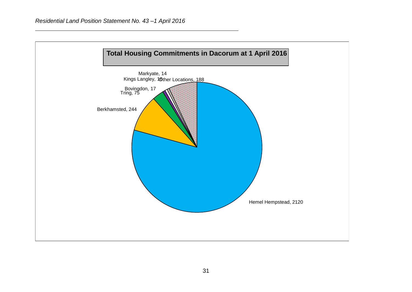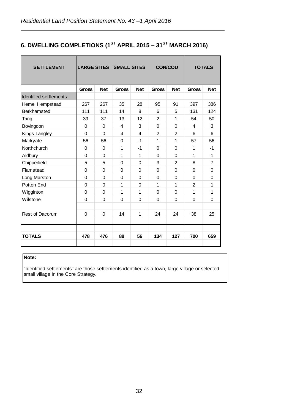# **6. DWELLING COMPLETIONS (1ST APRIL 2015 – 31ST MARCH 2016)**

| <b>SETTLEMENT</b>       |              |             | <b>LARGE SITES SMALL SITES</b> |            | <b>CON/COU</b> |                |                | <b>TOTALS</b>  |
|-------------------------|--------------|-------------|--------------------------------|------------|----------------|----------------|----------------|----------------|
|                         | <b>Gross</b> | <b>Net</b>  | <b>Gross</b>                   | <b>Net</b> | <b>Gross</b>   | <b>Net</b>     | <b>Gross</b>   | <b>Net</b>     |
| Identified settlements: |              |             |                                |            |                |                |                |                |
| Hemel Hempstead         | 267          | 267         | 35                             | 28         | 95             | 91             | 397            | 386            |
| <b>Berkhamsted</b>      | 111          | 111         | 14                             | 8          | 6              | 5              | 131            | 124            |
| Tring                   | 39           | 37          | 13                             | 12         | $\overline{2}$ | 1              | 54             | 50             |
| Bovingdon               | $\Omega$     | $\Omega$    | 4                              | 3          | $\Omega$       | 0              | 4              | 3              |
| Kings Langley           | $\Omega$     | $\Omega$    | 4                              | 4          | $\overline{2}$ | $\overline{2}$ | 6              | 6              |
| Markyate                | 56           | 56          | 0                              | $-1$       | 1              | 1              | 57             | 56             |
| Northchurch             | 0            | 0           | 1                              | -1         | $\mathbf 0$    | 0              | 1              | $-1$           |
| Aldbury                 | 0            | $\Omega$    | 1                              | 1          | $\Omega$       | 0              | 1              | $\mathbf{1}$   |
| Chipperfield            | 5            | 5           | $\Omega$                       | 0          | 3              | $\overline{2}$ | 8              | $\overline{7}$ |
| Flamstead               | 0            | 0           | 0                              | 0          | $\Omega$       | 0              | 0              | 0              |
| Long Marston            | $\Omega$     | $\Omega$    | $\Omega$                       | $\Omega$   | $\Omega$       | $\Omega$       | $\Omega$       | $\Omega$       |
| Potten End              | $\Omega$     | $\Omega$    | 1                              | $\Omega$   | 1              | 1              | $\overline{2}$ | $\mathbf{1}$   |
| Wigginton               | $\Omega$     | $\Omega$    | 1                              | 1          | $\Omega$       | $\Omega$       | 1              | 1              |
| Wilstone                | 0            | $\mathbf 0$ | $\Omega$                       | 0          | $\Omega$       | 0              | $\Omega$       | $\Omega$       |
|                         |              |             |                                |            |                |                |                |                |
| Rest of Dacorum         | $\mathbf 0$  | $\mathbf 0$ | 14                             | 1          | 24             | 24             | 38             | 25             |
|                         |              |             |                                |            |                |                |                |                |
|                         |              |             |                                |            |                |                |                |                |
| <b>TOTALS</b>           | 478          | 476         | 88                             | 56         | 134            | 127            | 700            | 659            |

## **Note:**

"Identified settlements" are those settlements identified as a town, large village or selected small village in the Core Strategy.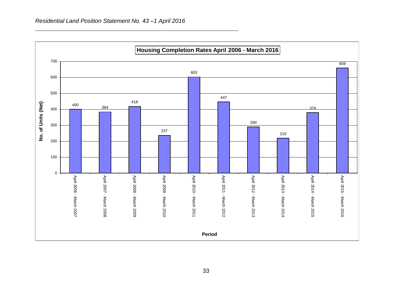

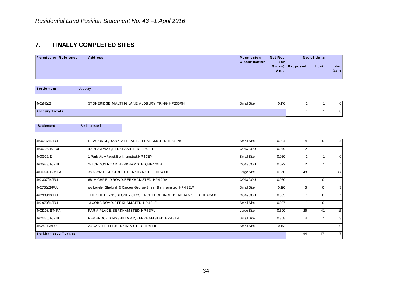# **7. FINALLY COMPLETED SITES**

| $\overline{\phantom{a}}$<br>. . | <b>FINALLY COMPLETED SITES</b> |                                     |                |                 |              |                    |
|---------------------------------|--------------------------------|-------------------------------------|----------------|-----------------|--------------|--------------------|
| <b>Permission Reference</b>     | <b>Address</b>                 | Permission<br><b>Classification</b> | Net Res<br>(or |                 | No. of Units |                    |
|                                 |                                |                                     | Area           | Gross) Proposed | Lost         | <b>Net</b><br>Gain |

| STONERIDGE, MALTING LANE, ALDBURY, TRING, HP235RH<br><b>Small Site</b><br>0.140 | <b>Settlement</b><br>Aldbury |
|---------------------------------------------------------------------------------|------------------------------|
|                                                                                 |                              |

|                            | <b>Berkhamsted</b>                     |                                                                     |                   |       |                |    |
|----------------------------|----------------------------------------|---------------------------------------------------------------------|-------------------|-------|----------------|----|
| <b>Settlement</b>          |                                        |                                                                     |                   |       |                |    |
|                            |                                        |                                                                     |                   |       |                |    |
| 4/00216/14/FUL             |                                        | NEW LODGE, BANK MILL LANE, BERKHAM STED, HP4 2NS                    | <b>Small Site</b> | 0.034 |                |    |
| 4/00706/14/FUL             | 49 RIDGEWAY, BERKHAM STED, HP4 3LD     |                                                                     | CON/COU           | 0.049 |                |    |
| 4/00927/12                 | 1, Park View Road, Berkhamsted, HP43EY |                                                                     | Small Site        | 0.050 |                |    |
| 4/00933/12/FUL             |                                        | 15 LONDON ROAD, BERKHAM STED, HP4 2NB                               | CON/COU           | 0.022 | $\overline{2}$ |    |
| 4/00994/13/M FA            |                                        | 380 - 392, HIGH STREET, BERKHAM STED, HP4 1HU                       | Large Site        | 0.360 | 48             |    |
| 4/01307/14/FUL             |                                        | 6B, HIGHFIELD ROAD, BERKHAM STED, HP4 2DA                           | CON/COU           | 0.060 |                |    |
| 4/01751/13/FUL             |                                        | r/o Lorelei, Shelgrah & Carden, George Street, Berkhamsted, HP4 2EW | Small Site        | 0.120 |                |    |
| 4/01909/13/FUL             |                                        | THE CHILTERNS, STONEY CLOSE, NORTHCHURCH, BERKHAM STED, HP4 3AX     | CON/COU           | 0.005 |                |    |
| 4/01970/14/FUL             |                                        | 13 COBB ROAD, BERKHAM STED, HP4 3LE                                 | Small Site        | 0.027 |                |    |
| 4/02208/11/M FA            |                                        | FARM PLACE, BERKHAM STED, HP4 3PU                                   | Large Site        | 0.500 | 26             | 41 |
| 4/02330/12/FUL             |                                        | PERBROOK, KINGSHILL WAY, BERKHAM STED, HP43TP                       | Small Site        | 0.358 |                |    |
| 4/02411/13/FUL             |                                        | 23 CASTLE HILL, BERKHAM STED, HP4 1HE                               | <b>Small Site</b> | 0.173 |                |    |
| <b>Berkhamsted Totals:</b> |                                        |                                                                     |                   |       | 94             | 47 |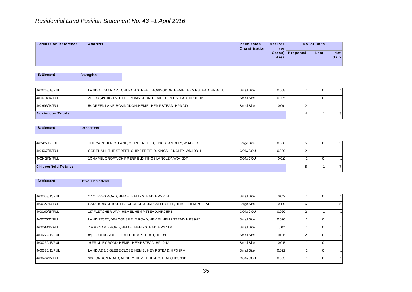### *Residential Land Position Statement No. 43 –1 April 2016*

|                             | $\overline{1}$ to $\overline{0}$ and $\overline{1}$ called the control of $\overline{1}$ and $\overline{1}$ and $\overline{1}$ and $\overline{1}$ and $\overline{1}$ and $\overline{1}$ and $\overline{1}$ and $\overline{1}$ and $\overline{1}$ and $\overline{1}$ and $\overline{1}$ and $\overline{1}$ and $\overline{1}$ |                                     |                |                 |              |             |
|-----------------------------|------------------------------------------------------------------------------------------------------------------------------------------------------------------------------------------------------------------------------------------------------------------------------------------------------------------------------|-------------------------------------|----------------|-----------------|--------------|-------------|
|                             |                                                                                                                                                                                                                                                                                                                              |                                     |                |                 |              |             |
| <b>Permission Reference</b> | <b>Address</b>                                                                                                                                                                                                                                                                                                               | Permission<br><b>Classification</b> | Net Res<br>(or |                 | No. of Units |             |
|                             |                                                                                                                                                                                                                                                                                                                              |                                     | Area           | Gross) Proposed | Lost         | Net<br>Gain |

| <b>Settlement</b>        | Bovingdon |                                                                         |            |       |  |
|--------------------------|-----------|-------------------------------------------------------------------------|------------|-------|--|
|                          |           |                                                                         |            |       |  |
| 4/00263/13/FUL           |           | LAND AT 18 AND 20, CHURCH STREET, BOVINGDON, HEM EL HEM PSTEAD, HP3 0LU | Small Site | 0.068 |  |
| 4/00714/14/FUL           |           | ZEERA, 49 HIGH STREET, BOVINGDON, HEM EL HEM PSTEAD, HP3 0HP            | Small Site | 0.005 |  |
| 4/01693/14/FUL           |           | 54 GREEN LANE, BOVINGDON, HEM EL HEMPSTEAD, HP3 0JY                     | Small Site | 0.091 |  |
| <b>Bovingdon Totals:</b> |           |                                                                         |            |       |  |
|                          |           |                                                                         |            |       |  |

**Settlement** Chipperfield

| 4/01411/13/FUL              | THE YARD, KINGS LANE, CHIPPERFIELD, KINGS LANGLEY, WD4 9ER | Large Site      | 0.330 |  |  |
|-----------------------------|------------------------------------------------------------|-----------------|-------|--|--|
| 4/01567/15/FUL              | COPTHALL, THE STREET, CHIPPERFIELD, KINGS LANGLEY, WD4 9BH | <b>ICON/COU</b> | 0.280 |  |  |
| 4/02415/14/FUL              | 1 CHAPEL CROFT, CHIPPERFIELD, KINGS LANGLEY, WD4 9DT       | <b>ICON/COU</b> | 0.010 |  |  |
| <b>Chipperfield Totals:</b> |                                                            |                 |       |  |  |

Settlement Hemel Hempstead

**Permission Net Res**<br> **Possitication (or proposed Lost Net Area**<br> **EAD.HP30LU SmallSite 0.009 1 0 1<br>
SmallSite 0.009 2 1 1<br>
<br>
<b>EAD.HP30LU SmallSite 0.009 1 0 1**<br>
<br> **EAD SmallSite 0.000 1 0 1**<br>
<br>
<br>
<br>
<br>
<br>
<br>
<br>
<br>
<br>
<br>
<br>
<br>
<br>
<br>
<br>  $0.012$  1 0  $0.120$  6  $0.020$  2  $0.020$  1 0 0.011 1 0 1  $0.016$  2  $0.015$  $0.022$  1 0  $0.003$  1 0 Settlement<br>4/00053/14/FUL 117 CLEVES ROAD, HEM EL HEM PSTEAD, HP2 7LH Small Site 17 CLEVES ROAD, HEM EL HEMPSTEAD, HP2 7LH<br>4/00027/13/FUL GADEBRIDGE BAPTIST CHURCH &, 361, GALLEY HILL, HEM EL HEMPSTEAD Large Site 4/00053/14/FUL 117 CLEVES ROAD, HEMEL HEMPSTEAD, HP2 7LH<br>4/00127/13/FUL GADEBRIDGE BAPTIST CHURCH &, 361, GALLEY HILL, HEMEL HEMPSTEAD<br>4/00140/15/FUL 137 FLETCHER WAY, HEMEL HEMPSTEAD, HP2 5RZ CON/COU 4/00127/13/FUL GADEBRIDGE BAPTIST CHURCH & 361, GALLEY HILL, HEMEL HEM PSTEAD Large Site<br>4/00140/15/FUL 137 FLETCHER WAY, HEMEL HEM PSTEAD, HP2 5RZ CON/COL<br>4/00176/12/FUL LAND R/O 52, DEACONSFIELD ROAD, HEMEL HEM PSTEAD, H 4/00176/12/FUL 100193/15/FUL 14/00193/15/FUL 14/00193/15/FUL 14/00193/15/FUL 14/00193/15/FUL 14/00193/15/FUL 1<br>4/00193/15/FUL 14/00193/15/FUL 7 MAYNARD ROAD, HEMEL HEM PSTEAD, HP2 4TR 3 Small Site 4/00176/12/FUL<br>4/00193/15/FUL LAND R/O 52, DEACONSFIELD ROAD, HEMEL HEM PSTEAD, HP3 9HZ<br>4/00193/15/FUL 7 MAYNARD ROAD, HEM EL HEM PSTEAD, HP2 4TR Small Site<br>4/00229/15/FUL adj. 1 GOLDCROFT, HEM EL HEM PSTEAD, HP3 8ET Small 4/0023/13/FUL 16 FRIM LEY ROAD, HEMEL HEM PSTEAD, HP1 2NA Small Site<br>4/00232/13/FUL 16 FRIM LEY ROAD, HEMEL HEM PSTEAD, HP3 8ET Small Site<br>4/00232/13/FUL 16 FRIM LEY ROAD, HEMEL HEM PSTEAD, HP1 2NA Small Site 4/00239/15/FUL adj. 1GOLDCROFT, HEMEL HEMPSTEAD, HP3 8ET Small Site<br>4/00232/13/FUL 16 FRIMLEY ROAD, HEMEL HEMPSTEAD, HP12NA Small Site<br>4/00380/15/FUL LAND ADJ. 5 GLEBE CLOSE, HEMEL HEMPSTEAD, HP3 9PA Small Site 4/00232/13/FUL 106 LONDON ROAD, APSLEY, HEMEL HEM PSTEAD, HP3 9PA<br>4/00414/15/FUL 106 LONDON ROAD, APSLEY, HEMEL HEM PSTEAD, HP3 9SD CON/COU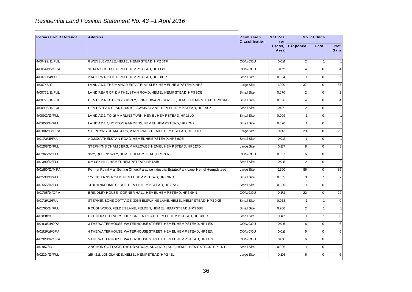| <b>Permission Reference</b> | <b>Address</b>                                                                            | Permission<br><b>Classification</b> | <b>Net Res</b><br>$($ or |                | No. of Units   |                    |
|-----------------------------|-------------------------------------------------------------------------------------------|-------------------------------------|--------------------------|----------------|----------------|--------------------|
|                             |                                                                                           |                                     | Gross)<br>Area           | Proposed       | Lost           | <b>Net</b><br>Gain |
| 4/00492/15/FUL              | 6 WENSLEYDALE, HEM EL HEM PSTEAD, HP25TF                                                  | CON/COU                             | 0.014                    | 2 <sup>2</sup> |                | $\mathbf 1$        |
| 4/00541/15/OPA              | 10 BANK COURT, HEM ELHEMPSTEAD, HP11BY                                                    | CON/COU                             | 0.021                    | 4              | $\overline{0}$ | $\overline{4}$     |
| 4/00711/14/FUL              | 2 ACORN ROAD, HEM ELHEMPSTEAD, HP3 8DP                                                    | <b>Small Site</b>                   | 0.024                    |                | $\overline{0}$ | $\mathbf{1}$       |
| 4/00745/10                  | LAND ADJ. THE MANOR ESTATE, APSLEY, HEMEL HEMPSTEAD, HP3                                  | Large Site                          | 1.990                    | 37             | $\overline{0}$ | 37                 |
| 4/00775/15/FUL              | LAND REAR OF 10 ATHELSTAN ROAD, HEMEL HEMPSTEAD, HP3 9QE                                  | <b>Small Site</b>                   | 0.070                    | 2              | $\overline{0}$ | $\overline{2}$     |
| 4/00776/14/FUL              | HEMEL DIRECT EGG SUPPLY, KING EDWARD STREET, HEMEL HEMPSTEAD, HP3 0AD                     | <b>Small Site</b>                   | 0.036                    | 4              | $\overline{0}$ | $\overline{4}$     |
| 4/00906/14/FUL              | HEM PSTEAD PLANT, 145 BELSWAINS LANE, HEM EL HEM PSTEAD, HP3 9UZ                          | <b>Small Site</b>                   | 0.071                    | 2              | $\mathbf 0$    | $\overline{2}$     |
| 4/00912/13/FUL              | LAND ADJ. TO, 16 MARLINS TURN, HEMEL HEMPSTEAD, HP13LQ                                    | <b>Small Site</b>                   | 0.009                    |                | $\overline{0}$ | $\mathbf{1}$       |
| 4/01050/14/FUL              | LAND ADJ. 1, HORTON GARDENS, HEMEL HEMPSTEAD, HP27NF                                      | <b>Small Site</b>                   | 0.020                    |                | $\overline{0}$ | $\mathbf 1$        |
| 4/01082/13/OPA              | STEPHYNS CHAMBERS, MARLOWES, HEMEL HEMPSTEAD, HP11DD                                      | Large Site                          | 0.361                    | 29             | $\overline{0}$ | 29                 |
| 4/01173/15/FUL              | ADJ.10 ATHELSTAN ROAD, HEMEL HEMPSTEAD, HP3 9QE                                           | <b>Small Site</b>                   | 0.012                    |                | $\overline{0}$ | $\mathbf{1}$       |
| 4/01208/13/FUL              | STEPHYNS CHAMBERS, MARLOWES, HEMEL HEMPSTEAD, HP11DD                                      | Large Site                          | 0.187                    | 8              | $\overline{0}$ | 8                  |
| 4/01365/12/FUL              | 10-12, QUEENSWAY, HEMEL HEMPSTEAD, HP21LR                                                 | CON/COU                             | 0.037                    | $6 \mid$       | $\overline{0}$ | 6                  |
| 4/01390/12/FUL              | 6 M USK HILL, HEM EL HEM PSTEAD, HP12JB                                                   | <b>Small Site</b>                   | 0.015                    | $\overline{2}$ | $\overline{0}$ | $\overline{2}$     |
| 4/01450/12/MFA              | Former Royal Mail Sorting Office, Paradise Industrial Estate, Park Lane, Hemel Hempdstead | Large Site                          | 1.200                    | 86             | $\mathbf 0$    | 86                 |
| 4/01533/13/FUL              | 175 EBBERNS ROAD, HEM EL HEM PSTEAD, HP3 9RD                                              | <b>Small Site</b>                   | 0.055                    | $\mathbf{3}$   |                | $\overline{2}$     |
| 4/01655/14/FUL              | 14 BRANKSOME CLOSE, HEMEL HEMPSTEAD, HP27AG                                               | <b>Small Site</b>                   | 0.030                    |                | $\Omega$       | $\mathbf{1}$       |
| 4/01705/14/OPA              | BRINDLEY HOUSE,, CORNER HALL, HEMEL HEMPSTEAD, HP39HN                                     | CON/COU                             | 0.172                    | 22             | $\overline{0}$ | 22                 |
| 4/01719/13/FUL              | STEPHENSONS COTTAGE, 306 BELSWAINS LANE, HEM EL HEM PSTEAD, HP3 9XE                       | <b>Small Site</b>                   | 0.063                    |                |                | $\Omega$           |
| 4/01765/14/FUL              | ROUGHWOOD, FELDEN LANE, FELDEN, HEM EL HEM PSTEAD, HP3 0BB                                | <b>Small Site</b>                   | 0.260                    | 2 <sup>2</sup> |                | $\mathbf 1$        |
| 4/01818/13                  | HILL HOUSE, LEVERSTOCK GREEN ROAD, HEM EL HEMPSTEAD, HP38PR                               | <b>Small Site</b>                   | 0.147                    |                |                | $\mathbf 0$        |
| 4/01918/14/OPA              | 3 THE WATERHOUSE, WATERHOUSE STREET, HEM ELHEMPSTEAD, HP11ES                              | CON/COU                             | 0.016                    | $6 \mid$       | $\overline{0}$ | 6                  |
| 4/01919/14/OPA              | 4 THE WATERHOUSE, WATERHOUSE STREET, HEM EL HEM PSTEAD, HP11EN                            | CON/COU                             | 0.016                    | $6 \mid$       | $\overline{0}$ | 6                  |
| 4/01920/14/OPA              | 5 THE WATERHOUSE, WATERHOUSE STREET, HEM ELHEMP STEAD, HP11ES                             | CON/COU                             | 0.016                    | $6 \mid$       | $\overline{0}$ | 6                  |
| 4/01957/13                  | ANCHOR COTTAGE, THE DRIVEWAY, ANCHOR LANE, HEMEL HEMPSTEAD, HP11NT                        | <b>Small Site</b>                   | 0.026                    |                | $\overline{0}$ | $\mathbf{1}$       |
| 4/02214/13/FUL              | 165 - 215, LONGLANDS, HEMEL HEMPSTEAD, HP24EL                                             | Large Site                          | 0.106                    | $6 \mid$       | $\overline{0}$ | 6                  |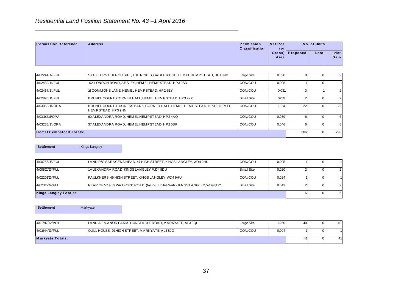|                             | $\overline{1}$ to $\overline{0}$ and $\overline{1}$ called the control of $\overline{1}$ and $\overline{1}$ and $\overline{1}$ and $\overline{1}$ and $\overline{1}$ and $\overline{1}$ and $\overline{1}$ and $\overline{1}$ and $\overline{1}$ and $\overline{1}$ and $\overline{1}$ and $\overline{1}$ and $\overline{1}$ |                                            |                |                 |              |             |
|-----------------------------|------------------------------------------------------------------------------------------------------------------------------------------------------------------------------------------------------------------------------------------------------------------------------------------------------------------------------|--------------------------------------------|----------------|-----------------|--------------|-------------|
| <b>Permission Reference</b> | <b>Address</b>                                                                                                                                                                                                                                                                                                               | <b>Permission</b><br><b>Classification</b> | Net Res<br>(or |                 | No. of Units |             |
|                             |                                                                                                                                                                                                                                                                                                                              |                                            | Area           | Gross) Proposed | Lost         | Net<br>Gain |
|                             |                                                                                                                                                                                                                                                                                                                              |                                            |                |                 |              |             |
| 4/02244/12/FUL              | ST PETERS CHURCH SITE, THE NOKES, GADEBRIDGE, HEMEL HEM PSTEAD, HP 13ND                                                                                                                                                                                                                                                      | <b>Large Site</b>                          | 0.090          |                 |              | 9           |
| .                           | المتعاد الماليات المستنقل مستعمل والمستنقل والمستنقل المستنقل المتعاطفا والمتعاد المتعاد والمنافذ والمنافذ                                                                                                                                                                                                                   | - - - - - - - - -                          | - - - -        |                 |              |             |

| <b>Permission Reference</b>      | <b>Address</b>                                                                                            | Permission<br><b>Classification</b> | <b>Net Res</b><br>$($ or |                | No. of Units                     |                    |
|----------------------------------|-----------------------------------------------------------------------------------------------------------|-------------------------------------|--------------------------|----------------|----------------------------------|--------------------|
|                                  |                                                                                                           |                                     | Gross)<br>Area           | Proposed       | Lost                             | <b>Net</b><br>Gain |
|                                  |                                                                                                           |                                     |                          |                |                                  |                    |
| 4/02244/12/FUL                   | ST PETERS CHURCH SITE, THE NOKES, GADEBRIDGE, HEMEL HEMPSTEAD, HP13ND                                     | Large Site                          | 0.090                    | 9              | $\overline{0}$                   | $\overline{9}$     |
| 4/02439/14/FUL                   | 102, LONDON ROAD, APSLEY, HEMEL HEMPSTEAD, HP39SD                                                         | CON/COU                             | 0.005                    |                | $\overline{0}$                   |                    |
| 4/02467/14/FUL                   | 16 COMMONS LANE, HEMEL HEMPSTEAD, HP2 5EY                                                                 | CON/COU                             | 0.031                    | 3              |                                  | $\overline{2}$     |
| 4/02896/14/FUL                   | BRUNEL COURT, CORNER HALL, HEM EL HEM PSTEAD, HP3 9XX                                                     | Small Site                          | 0.013                    | $\overline{2}$ | $\overline{0}$                   | $\overline{2}$     |
| 4/03050/14/OPA                   | BRUNEL COURT, BUSINESS PARK, CORNER HALL, HEMEL HEMPSTEAD, HP39, HEMEL<br>HEMPSTEAD, HP39HN               | CON/COU                             | 0.114                    | 22             | $\overline{0}$                   | 22                 |
| 4/03191/14/OPA                   | 60 ALEXANDRA ROAD, HEMEL HEMPSTEAD, HP24AQ                                                                | CON/COU                             | 0.039                    | 6              | $\Omega$                         | 6                  |
| 4/03235/14/OPA                   | 37 ALEXANDRA ROAD, HEMEL HEMPSTEAD, HP2 5BP                                                               | CON/COU                             | 0.046                    | 6              | $\overline{0}$                   | $6 \overline{6}$   |
| <b>Hemel Hempstead Totals:</b>   |                                                                                                           |                                     |                          | 306            | 8 <sup>1</sup>                   | 298                |
| 4/00756/15/FUL<br>4/00812/13/FUL | LAND R/O SARACENS HEAD, 47 HIGH STREET, KINGS LANGLEY, WD4 9HU<br>1ALEXANDRA ROAD, KINGS LANGLEY, WD4 8DU | CON/COU<br>Small Site               | 0.005<br>0.020           | $\mathfrak{p}$ | $\overline{0}$<br>$\overline{0}$ | $\overline{2}$     |
|                                  |                                                                                                           |                                     |                          |                |                                  |                    |
|                                  |                                                                                                           |                                     |                          |                |                                  |                    |
| 4/02201/13/FUL                   | FAULKNERS, 49 HIGH STREET, KINGS LANGLEY, WD4 9HU                                                         | CON/COU                             | 0.024                    |                | $\overline{0}$                   |                    |
| 4/02315/14/FUL                   | REAR OF 57 & 59 WATFORD ROAD, (facing Jubilee Walk), KINGS LANGLEY, WD4 8DY                               | Small Site                          | 0.043                    | $\overline{2}$ | $\overline{0}$                   | $\overline{2}$     |
| <b>Kings Langley Totals:</b>     |                                                                                                           |                                     |                          | 6 <sup>1</sup> | $\overline{0}$                   | $\,$ 6 $\,$        |
| <b>Settlement</b>                | Markyate                                                                                                  |                                     |                          |                |                                  |                    |
| 4/01797/12/VOT                   | LAND AT MANOR FARM, DUNSTABLE ROAD, MARKYATE, AL3 8QL                                                     | Large Site                          | 1.260                    | 40             | $\overline{0}$                   | 40                 |
| 4/01944/13/FUL                   | QUILL HOUSE,, 91HIGH STREET, MARKYATE, AL3 8JG                                                            | CON/COU                             | 0.004                    |                | $\overline{0}$                   | $\overline{1}$     |
| <b>Markyate Totals:</b>          |                                                                                                           |                                     |                          | 41             | $\overline{0}$                   | 41                 |
|                                  |                                                                                                           |                                     |                          |                |                                  |                    |
|                                  |                                                                                                           |                                     |                          |                |                                  |                    |
|                                  |                                                                                                           |                                     |                          |                |                                  |                    |

| <b>Kings Langley Totals:</b> |                                                                             |                   |       |  |  |
|------------------------------|-----------------------------------------------------------------------------|-------------------|-------|--|--|
| 4/02315/14/FUL               | REAR OF 57 & 59 WATFORD ROAD, (facing Jubilee Walk), KINGS LANGLEY, WD4 8DY | <b>Small Site</b> | 0.043 |  |  |
| 4/02201/13/FUL               | FAULKNERS, 49 HIGH STREET, KINGS LANGLEY, WD4 9HU                           | <b>ICON/COU</b>   | 0.024 |  |  |
| 4/00812/13/FUL               | 1ALEXANDRA ROAD, KINGS LANGLEY, WD4 8DU                                     | Small Site        | 0.020 |  |  |
| 4/00756/15/FUL               | LAND R/O SARACENS HEAD, 47 HIGH STREET, KINGS LANGLEY, WD4 9HU              | <b>CON/COU</b>    | 0.005 |  |  |

| <b>Settlement</b>       | Markyate |                                                       |            |       |    |      |
|-------------------------|----------|-------------------------------------------------------|------------|-------|----|------|
| 4/01797/12/VOT          |          | LAND AT MANOR FARM, DUNSTABLE ROAD, MARKYATE, AL3 8QL | Large Site | 1.260 | 40 | 40 l |
| 4/01944/13/FUL          |          | QUILL HOUSE,, 91 HIGH STREET, MARKYATE, AL3 8JG       | CON/COU    | 0.004 |    |      |
| <b>Markyate Totals:</b> |          |                                                       |            |       | 41 | 41   |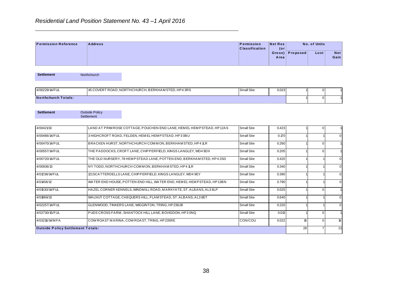# *Residential Land Position Statement No. 43 –1 April 2016*

|                             | $\overline{1}$ to $\overline{0}$ and $\overline{1}$ called the control of $\overline{1}$ and $\overline{1}$ and $\overline{1}$ and $\overline{1}$ and $\overline{1}$ and $\overline{1}$ and $\overline{1}$ and $\overline{1}$ and $\overline{1}$ and $\overline{1}$ and $\overline{1}$ and $\overline{1}$ and $\overline{1}$ |                                     |                |                 |              |             |
|-----------------------------|------------------------------------------------------------------------------------------------------------------------------------------------------------------------------------------------------------------------------------------------------------------------------------------------------------------------------|-------------------------------------|----------------|-----------------|--------------|-------------|
|                             |                                                                                                                                                                                                                                                                                                                              |                                     |                |                 |              |             |
| <b>Permission Reference</b> | <b>Address</b>                                                                                                                                                                                                                                                                                                               | Permission<br><b>Classification</b> | Net Res<br>(or |                 | No. of Units |             |
|                             |                                                                                                                                                                                                                                                                                                                              |                                     | Area           | Gross) Proposed | Lost         | Net<br>Gain |

| 45 COVERT ROAD, NORTHCHURCH, BERKHAM STED, HP4 3RS<br><b>Small Site</b><br>0.023 |
|----------------------------------------------------------------------------------|
|                                                                                  |

| <b>Permission Reference</b>              | <b>Address</b>                                                        | Permission<br><b>Classification</b> | <b>Net Res</b><br>$($ or |          | No. of Units   |                    |
|------------------------------------------|-----------------------------------------------------------------------|-------------------------------------|--------------------------|----------|----------------|--------------------|
|                                          |                                                                       |                                     | Gross)<br>Area           | Proposed | Lost           | <b>Net</b><br>Gain |
| <b>Settlement</b>                        | Northchurch                                                           |                                     |                          |          |                |                    |
| 4/00229/14/FUL                           | 45 COVERT ROAD, NORTHCHURCH, BERKHAM STED, HP4 3RS                    | Small Site                          | 0.023                    |          | $\overline{0}$ |                    |
| <b>Northchurch Totals:</b>               |                                                                       |                                     |                          |          | $\overline{0}$ |                    |
| <b>Settlement</b>                        | <b>Outside Policy</b><br>Settlement                                   |                                     |                          |          |                |                    |
| 4/00421/13                               | LAND AT PRIM ROSE COTTAGE, POUCHEN END LANE, HEMEL HEMPSTEAD, HP12AS  | <b>Small Site</b>                   | 0.423                    |          | $\overline{0}$ |                    |
| 4/00466/14/FUL                           | 3 HIGHCROFT ROAD, FELDEN, HEMEL HEMPSTEAD, HP3 0BU                    | <b>Small Site</b>                   | 0.170                    |          |                | $\overline{0}$     |
| 4/00470/14/FUL                           | BRACKEN HURST, NORTHCHURCH COMMON, BERKHAMSTED, HP4 1LR               | Small Site                          | 0.260                    |          | $\overline{0}$ |                    |
| 4/00557/14/FUL                           | THE PADDOCKS, CROFT LANE, CHIPPERFIELD, KINGS LANGLEY, WD4 9DX        | Small Site                          | 0.205                    |          | $\overline{0}$ | $\overline{1}$     |
| 4/00720/14/FUL                           | THE OLD NURSERY, 78 HEMPSTEAD LANE, POTTEN END, BERKHAM STED, HP4 2SD | <b>Small Site</b>                   | 0.420                    |          |                | $\overline{0}$     |
| 4/00936/13                               | IVY TODD, NORTHCHURCH COMMON, BERKHAM STED, HP4 1LR                   | <b>Small Site</b>                   | 0.340                    |          |                | $\overline{0}$     |
| 4/01238/14/FUL                           | 121 SCATTER DELLS LANE, CHIPPER FIELD, KINGS LANGLEY, WD4 9EY         | <b>Small Site</b>                   | 0.390                    |          |                | $\overline{0}$     |
| 4/01456/12                               | WATER END HOUSE, POTTEN END HILL, WATER END, HEMEL HEMPSTEAD, HP13BN  | Small Site                          | 0.790                    |          | -1             | $\overline{0}$     |
| 4/01530/14/FUL                           | HAZEL CORNER KENNELS, WINDMILL ROAD, MARKYATE, ST. ALBANS, AL3 8LP    | <b>Small Site</b>                   | 0.025                    |          | $\overline{0}$ |                    |
| 4/01869/13                               | WALNUT COTTAGE, CHEQUERS HILL, FLAM STEAD, ST. ALBANS, AL3 8ET        | Small Site                          | 0.640                    |          |                | $\overline{0}$     |
| 4/02257/14/FUL                           | GLENWOOD, TINKERS LANE, WIGGINTON, TRING, HP236JB                     | Small Site                          | 0.220                    |          |                | $\overline{0}$     |
| 4/02730/15/FUL                           | PUDS CROSS FARM, SHANTOCK HILL LANE, BOVIGDON, HP3 0NQ                | Small Site                          | 0.013                    |          | $\overline{0}$ |                    |
| 4/03216/14/MFA                           | COW ROAST MARINA, COW ROAST, TRING, HP235RE                           | CON/COU                             | 0.022                    | 16       | $\overline{0}$ | 16                 |
| <b>Outside Policy Settlement Totals:</b> |                                                                       |                                     |                          | 28       | $\overline{7}$ | 21                 |
|                                          |                                                                       |                                     |                          |          |                |                    |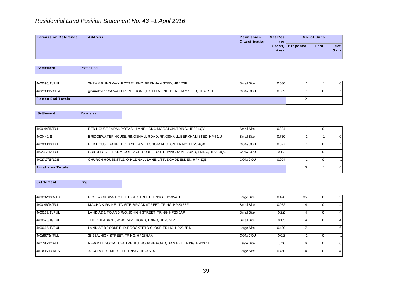|                             | Residential Land Position Statement No. 43-1 April 2016 |                                     |                |                 |                      |      |
|-----------------------------|---------------------------------------------------------|-------------------------------------|----------------|-----------------|----------------------|------|
| <b>Permission Reference</b> | <b>Address</b>                                          | Permission<br><b>Classification</b> | Net Res<br>(or | Gross) Proposed | No. of Units<br>Lost | Net  |
|                             |                                                         |                                     | Areal          |                 |                      | Gain |

| <b>Settlement</b>         | Potten End |                                                                    |                   |       |  |          |
|---------------------------|------------|--------------------------------------------------------------------|-------------------|-------|--|----------|
| 4/00395/14/FUL            |            | 29 RAMBLING WAY, POTTEN END, BERKHAM STED, HP42SF                  | <b>Small Site</b> | 0.080 |  | $\Omega$ |
| 4/02100/15/OPA            |            | ground floor, 3A WATER END ROAD, POTTEN END, BERKHAM STED, HP4 2SH | CON/COU           | 0.009 |  |          |
| <b>Potten End Totals:</b> |            |                                                                    |                   |       |  |          |

| <b>Settlement</b>         | Rural area |                                                                      |                   |       |  |  |
|---------------------------|------------|----------------------------------------------------------------------|-------------------|-------|--|--|
|                           |            |                                                                      |                   |       |  |  |
| 4/00144/15/FUL            |            | RED HOUSE FARM, POTASH LANE, LONG MARSTON, TRING, HP234QY            | <b>Small Site</b> | 0.234 |  |  |
| 4/00440/11                |            | BRIDGEWATER HOUSE, RINGSHALL ROAD, RINGSHALL, BERKHAM STED, HP4 1LU  | <b>Small Site</b> | 0.750 |  |  |
| 4/01303/13/FUL            |            | RED HOUSE BARN., POTASH LANE, LONG MARSTON, TRING, HP234QX           | ICON/COU          | 0.077 |  |  |
| 4/02317/12/FUL            |            | IGUBBLECOTE FARM COTTAGE. GUBBLECOTE. WINGRAVE ROAD. TRING. HP23 4QG | <b>ICON/COU</b>   | 0.122 |  |  |
| 4/02717/15/LDE            |            | CHURCH HOUSE STUDIO, HUDNALL LANE, LITTLE GADDESDEN, HP4 1QE         | CON/COU           | 0.004 |  |  |
| <b>Rural area Totals:</b> |            |                                                                      |                   |       |  |  |

**Settlement** Tring

**Permission Net Res**<br>
Classification (or cross) Proposed Lost Net Net<br>
Area<br>
PRISE (ONCOU 0.000 1 1 0 1<br>
PRISE (ONCOU 0.000 1 0 1<br>
PRISE (ONCOU 0.000 1 0 1<br>
2 1 1<br>
PRISE (ONCOU 0.000 1 0 1<br>
X<br>
X<br>
X (NR,HP234GG 00NCOU 0.004 0.470 35 0 35  $0.052$  4 0  $0.210$  4 0  $0.105$  4 0 0.490  $7$  1 6  $0.018$  1 0  $0.110$  6 0 6  $0.450$  14 0 14 4/00102/13/M FA ROSE & CROWN HOTEL, HIGH STREET, TRING, HP235AH Large Site 4/00146/14/FUL M AUND & IRVINE LTD SITE, BROOK STREET, TRING, HP23 5EF Small Site 1/00237/14/FUL LAND ADJ. TO AND R/O, 20 HIGH STREET, TRING, HP23 5AP Small Site 4/00526/14/FUL THE PHEASANT, WINGRAVE ROAD, TRING, HP23 5EZ SMALL Small Site 4/00665/13/FUL LAND AT BROOKFIELD, BROOKFIELD CLOSE, TRING, HP23 5PD Large Site 4/01667/14/FUL 35-35A, HIGH STREET, TRING, HP23 5AA CON/COU 4/00665/13/FUL LAND AT BROOKFIELD, BROOKFIELD CLOSE, TRING, HP23 5PD<br>4/01667/14/FUL 35-35A, HIGH STREET, TRING, HP23 5AA CON/COL<br>4/01785/12/FUL NEW MILL SOCIAL CENTRE, BULBOURNE ROAD, GAM NEL, TRING, HP23 4JL Large Site 4/01667/14/FUL 35-35A, HIGH STREET, TRING, HP23 5AA CON/COLL 2012<br>4/01785/12/FUL NEW MILL SOCIAL CENTRE, BULBOURNE ROAD, GAMNEL, TRING, HP23 4JL Large Site<br>4/01806/13/RES 37 - 41, MORTIMER HILL, TRING, HP23 5JA Large Site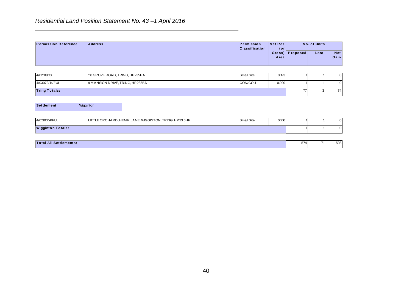# *Residential Land Position Statement No. 43 –1 April 2016*

| <b>Permission Reference</b>   | <b>Address</b>                                        | Permission<br><b>Classification</b> | <b>Net Res</b><br>$($ or |                 | No. of Units   |                     |
|-------------------------------|-------------------------------------------------------|-------------------------------------|--------------------------|-----------------|----------------|---------------------|
|                               |                                                       |                                     | Area                     | Gross) Proposed | Lost           | Net<br>Gain         |
| 4/02109/13                    | 110 GROVE ROAD, TRING, HP235PA                        | <b>Small Site</b>                   | 0.123                    |                 |                | $\boldsymbol{0}$    |
| 4/03072/14/FUL                | 9 MANSION DRIVE, TRING, HP235BD                       | CON/COU                             | 0.090                    |                 |                | $\mathsf{O}\xspace$ |
| <b>Tring Totals:</b>          |                                                       |                                     |                          | 77              | $\overline{3}$ | 74                  |
| <b>Settlement</b>             | Wigginton                                             |                                     |                          |                 |                |                     |
| 4/01301/14/FUL                | LITTLE ORCHARD, HEMP LANE, WIGGINTON, TRING, HP23 6HF | <b>Small Site</b>                   | 0.210                    |                 |                | $\mathsf{O}$        |
| <b>Wigginton Totals:</b>      |                                                       |                                     |                          |                 |                | $\mathsf{O}\xspace$ |
| <b>Total All Settlements:</b> |                                                       |                                     |                          | 574             | 71             | 503                 |
|                               |                                                       |                                     |                          |                 |                |                     |
|                               | 40                                                    |                                     |                          |                 |                |                     |

| 4/02109/13           | 110 GROVE ROAD, TRING, HP235PA  | Small Site | 0.123 |  |  | $\Omega$ |
|----------------------|---------------------------------|------------|-------|--|--|----------|
| 4/03072/14/FUL       | 9 MANSION DRIVE, TRING, HP235BD | CON/COU    | 0.090 |  |  | $\Omega$ |
| <b>Tring Totals:</b> |                                 |            |       |  |  | 74       |

| <b>Settlement</b><br>Wigginton                                          |                            |  |  |
|-------------------------------------------------------------------------|----------------------------|--|--|
| LITTLE ORCHARD, HEMP LANE, WIGGINTON, TRING, HP23 6HF<br>4/01301/14/FUL | <b>Small Site</b><br>0.210 |  |  |
|                                                                         |                            |  |  |

| Tota<br>ttlements.<br>. | $- -$<br>.314 | 74 | 503<br>∪∪ບ |
|-------------------------|---------------|----|------------|
|                         |               |    |            |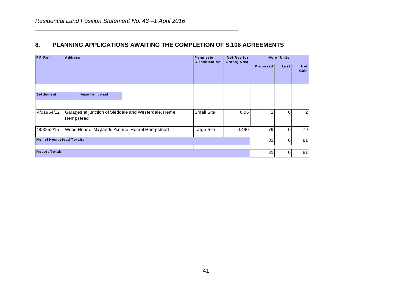# **8. PLANNING APPLICATIONS AWAITING THE COMPLETION OF S.106 AGREEMENTS**

| <b>PP</b> Ref                  | <b>Address</b> |                 |  |                                                       | Permission<br><b>Classification</b> | Net Res (or<br>Gross) Area |                | No of Units |                         |
|--------------------------------|----------------|-----------------|--|-------------------------------------------------------|-------------------------------------|----------------------------|----------------|-------------|-------------------------|
|                                |                |                 |  |                                                       |                                     |                            | Proposed       | Lost        | <b>Net</b><br>Gain      |
| <b>Settlement</b>              |                | Hemel Hempstead |  |                                                       |                                     |                            |                |             |                         |
|                                |                |                 |  |                                                       |                                     |                            |                |             |                         |
| 4/01964/12                     | Hempstead      |                 |  | Garages at junction of Sleddale and Westerdale, Hemel | Small Site                          | 0.05                       | $\overline{2}$ | O           | $\overline{\mathbf{c}}$ |
| 4/03252/15                     |                |                 |  | Wood House, Maylands Avenue, Hemel Hempstead          | Large Site                          | 0.490                      | 79             | $\Omega$    | 79                      |
| <b>Hemel Hempstead Totals:</b> |                |                 |  |                                                       |                                     |                            | 81             | $\Omega$    | 81                      |
| <b>Report Total:</b>           |                |                 |  |                                                       |                                     |                            | 81             | 0           | 81                      |